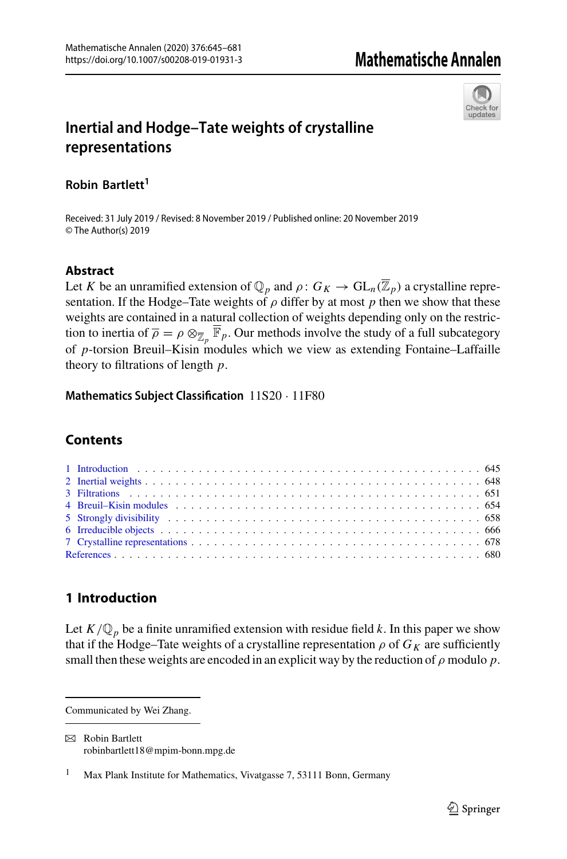

# **Inertial and Hodge–Tate weights of crystalline representations**

**Robin Bartlett<sup>1</sup>**

Received: 31 July 2019 / Revised: 8 November 2019 / Published online: 20 November 2019 © The Author(s) 2019

## **Abstract**

Let *K* be an unramified extension of  $\mathbb{Q}_p$  and  $\rho: G_K \to GL_n(\overline{\mathbb{Z}}_p)$  a crystalline representation. If the Hodge–Tate weights of  $\rho$  differ by at most  $p$  then we show that these weights are contained in a natural collection of weights depending only on the restriction to inertia of  $\overline{\rho} = \rho \otimes_{\overline{\mathbb{Z}}_p} \overline{\mathbb{F}}_p$ . Our methods involve the study of a full subcategory of *p*-torsion Breuil–Kisin modules which we view as extending Fontaine–Laffaille theory to filtrations of length *p*.

**Mathematics Subject Classification** 11S20 · 11F80

## **Contents**

## <span id="page-0-0"></span>**1 Introduction**

Let  $K/\mathbb{Q}_p$  be a finite unramified extension with residue field *k*. In this paper we show that if the Hodge–Tate weights of a crystalline representation  $\rho$  of  $G_K$  are sufficiently small then these weights are encoded in an explicit way by the reduction of  $\rho$  modulo  $p$ .

Communicated by Wei Zhang.

 $\boxtimes$  Robin Bartlett robinbartlett18@mpim-bonn.mpg.de

<sup>&</sup>lt;sup>1</sup> Max Plank Institute for Mathematics, Vivatgasse 7, 53111 Bonn, Germany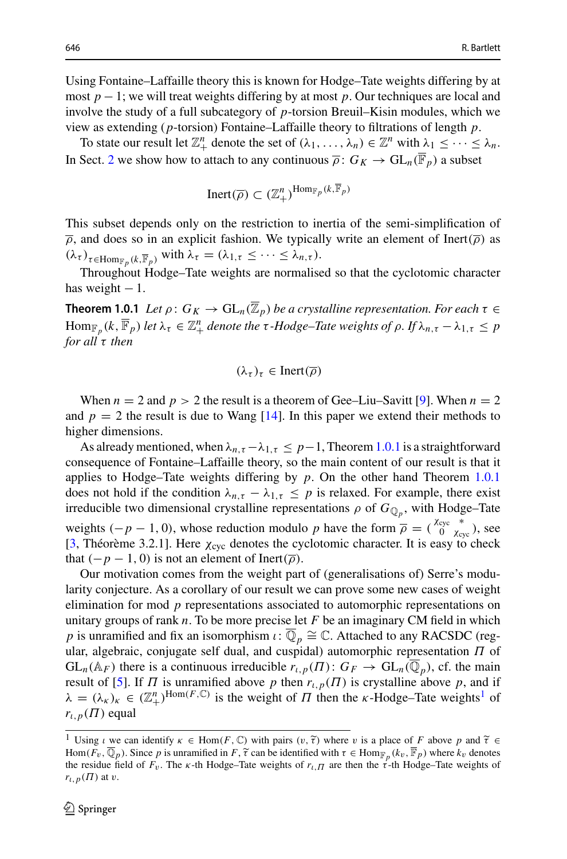Using Fontaine–Laffaille theory this is known for Hodge–Tate weights differing by at most *p* − 1; we will treat weights differing by at most *p*. Our techniques are local and involve the study of a full subcategory of *p*-torsion Breuil–Kisin modules, which we view as extending (*p*-torsion) Fontaine–Laffaille theory to filtrations of length *p*.

To state our result let  $\mathbb{Z}_+^n$  denote the set of  $(\lambda_1, \ldots, \lambda_n) \in \mathbb{Z}^n$  with  $\lambda_1 \leq \cdots \leq \lambda_n$ . In Sect. [2](#page-3-0) we show how to attach to any continuous  $\overline{\rho}$ :  $G_K \to GL_n(\overline{\mathbb{F}}_p)$  a subset

$$
\mathrm{Inert}(\overline{\rho}) \subset (\mathbb{Z}_+^n)^{\mathrm{Hom}_{\mathbb{F}_p}(k,\overline{\mathbb{F}}_p)}
$$

This subset depends only on the restriction to inertia of the semi-simplification of  $\overline{\rho}$ , and does so in an explicit fashion. We typically write an element of Inert( $\overline{\rho}$ ) as  $(\lambda_{\tau})_{\tau \in \text{Hom}_{\mathbb{F}_n}(k,\overline{\mathbb{F}}_p)}$  with  $\lambda_{\tau} = (\lambda_{1,\tau} \leq \cdots \leq \lambda_{n,\tau}).$ 

Throughout Hodge–Tate weights are normalised so that the cyclotomic character has weight  $-1$ .

<span id="page-1-0"></span>**Theorem 1.0.1** *Let*  $\rho: G_K \to \text{GL}_n(\overline{\mathbb{Z}}_p)$  *be a crystalline representation. For each*  $\tau \in$  $\text{Hom}_{\mathbb{F}_p}(k, \overline{\mathbb{F}}_p)$  *let*  $\lambda_{\tau} \in \mathbb{Z}_+^n$  *denote the*  $\tau$ *-Hodge–Tate weights of*  $\rho$ *. If*  $\lambda_{n, \tau} - \lambda_{1, \tau} \leq p$ *for all* τ *then*

$$
(\lambda_{\tau})_{\tau} \in \text{Inert}(\overline{\rho})
$$

When  $n = 2$  and  $p > 2$  the result is a theorem of Gee–Liu–Savitt [\[9](#page-36-0)]. When  $n = 2$ and  $p = 2$  the result is due to Wang  $[14]$  $[14]$ . In this paper we extend their methods to higher dimensions.

As already mentioned, when  $\lambda_{n,\tau} - \lambda_{1,\tau} \leq p-1$ , Theorem [1.0.1](#page-1-0) is a straightforward consequence of Fontaine–Laffaille theory, so the main content of our result is that it applies to Hodge–Tate weights differing by *p*. On the other hand Theorem [1.0.1](#page-1-0) does not hold if the condition  $\lambda_{n,\tau} - \lambda_{1,\tau} \leq p$  is relaxed. For example, there exist irreducible two dimensional crystalline representations  $\rho$  of  $G_{\mathbb{Q}_p}$ , with Hodge–Tate weights  $(-p - 1, 0)$ , whose reduction modulo *p* have the form  $\overline{\rho} = \left(\begin{array}{cc} \chi_{\text{cyc}} & * \\ 0 & \chi_{\text{cyc}} \end{array}\right)$ , see [\[3](#page-35-1), Théorème 3.2.1]. Here  $\chi_{\text{cyc}}$  denotes the cyclotomic character. It is easy to check that  $(-p - 1, 0)$  is not an element of Inert( $\overline{\rho}$ ).

Our motivation comes from the weight part of (generalisations of) Serre's modularity conjecture. As a corollary of our result we can prove some new cases of weight elimination for mod *p* representations associated to automorphic representations on unitary groups of rank *n*. To be more precise let *F* be an imaginary CM field in which *p* is unramified and fix an isomorphism  $\iota: \overline{\mathbb{Q}}_p \cong \mathbb{C}$ . Attached to any RACSDC (regular, algebraic, conjugate self dual, and cuspidal) automorphic representation  $\Pi$  of  $GL_n(\mathbb{A}_F)$  there is a continuous irreducible  $r_{\iota,p}(\Pi)$ :  $G_F \to GL_n(\overline{\mathbb{Q}}_p)$ , cf. the main result of [\[5](#page-35-2)]. If  $\Pi$  is unramified above  $p$  then  $r_{l,p}(\Pi)$  is crystalline above  $p$ , and if  $\lambda = (\lambda_{\kappa})_{\kappa} \in (\mathbb{Z}_{+}^{n})^{\text{Hom}(F,\mathbb{C})}$  is the weight of  $\Pi$  then the  $\kappa$ -Hodge–Tate weights<sup>[1](#page-1-1)</sup> of  $r_{\iota,p}(\Pi)$  equal  $\lambda = (\lambda_K)_K \in (\mathbb{Z}_+^*)^{\text{hom}(T,\infty)}$  is the weight of *II* then the *k*-Hodge–1ate weights<sup>2</sup> of<br>  $r_{i,p}(H)$  equal<br>  $\frac{1}{1}$  Using  $i \le \text{sem } \text{identity } \kappa \in \text{Hom}(F, \mathbb{C})$  with pairs  $(v, \tilde{\tau})$  where v is a place of *F* above *p* an

<span id="page-1-1"></span> $r_{t,p}(H)$  equal<br>  $\frac{1}{1}$  Using  $\iota$  we can identify  $\kappa \in \text{Hom}(F, \mathbb{C})$  with pairs  $(v, \tilde{\tau})$  where  $v$  is a place of  $F$  above  $p$  and  $\tilde{\tau} \in \text{Hom}(F_v, \overline{\mathbb{Q}}_p)$ . Since  $p$  is unramified in  $F, \tilde{\tau}$  can be iden the residue field of  $F_v$ . The  $\kappa$ -th Hodge–Tate weights of  $r_{\iota}$  are then the  $\tau^2$ -th Hodge–Tate weights of  $r_{\iota,p}(\Pi)$  at v.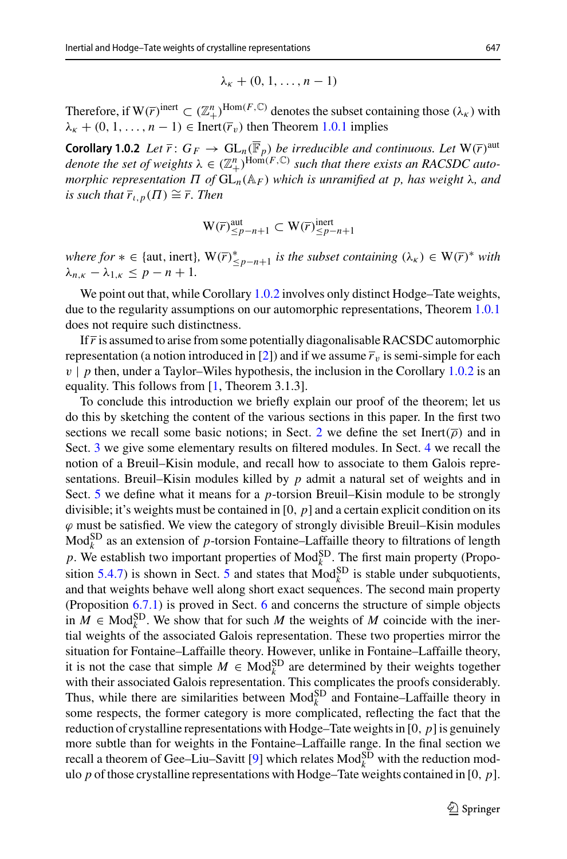<span id="page-2-0"></span>
$$
\lambda_{\kappa}+(0,1,\ldots,n-1)
$$

Therefore, if  $W(\overline{r})^{\text{inert}} \subset (\mathbb{Z}_+^n)^{\text{Hom}(F,\mathbb{C})}$  denotes the subset containing those  $(\lambda_K)$  with  $\lambda_{\kappa}$  + (0, 1, ..., *n* − 1) ∈ Inert( $\overline{r}_v$ ) then Theorem [1.0.1](#page-1-0) implies

**Corollary 1.0.2** *Let*  $\overline{r}$ :  $G_F \to GL_n(\overline{\mathbb{F}}_p)$  *be irreducible and continuous. Let*  $W(\overline{r})^{\text{aut}}$ *denote the set of weights*  $\lambda \in (\mathbb{Z}_+^n)^{\text{Hom}(F,\mathbb{C})}$  *such that there exists an RACSDC automorphic representation*  $\Pi$  *of*  $GL_n(A_F)$  *which is unramified at p, has weight* λ*, and is such that*  $\overline{r}_{t,p}(\Pi) \cong \overline{r}$ . Then

$$
\mathbf{W}(\overline{r})_{\leq p-n+1}^{\text{aut}} \subset \mathbf{W}(\overline{r})_{\leq p-n+1}^{\text{inert}}
$$

*where for* ∗ ∈ {aut, inert},  $W(\overline{r})^*_{\leq p-n+1}$  *is the subset containing*  $(\lambda_{\kappa}) \in W(\overline{r})^*$  *with*  $\lambda_{n,k} - \lambda_{1,k} \leq p - n + 1$ .

We point out that, while Corollary [1.0.2](#page-2-0) involves only distinct Hodge–Tate weights, due to the regularity assumptions on our automorphic representations, Theorem [1.0.1](#page-1-0) does not require such distinctness.

If  $\bar{r}$  is assumed to arise from some potentially diagonalisable RACSDC automorphic representation (a notion introduced in [\[2\]](#page-35-3)) and if we assume  $\bar{r}_v$  is semi-simple for each  $v \mid p$  then, under a Taylor–Wiles hypothesis, the inclusion in the Corollary [1.0.2](#page-2-0) is an equality. This follows from [\[1,](#page-35-4) Theorem 3.1.3].

To conclude this introduction we briefly explain our proof of the theorem; let us do this by sketching the content of the various sections in this paper. In the first two sections we recall some basic notions; in Sect. [2](#page-3-0) we define the set Inert( $\overline{\rho}$ ) and in Sect. [3](#page-6-0) we give some elementary results on filtered modules. In Sect. [4](#page-9-0) we recall the notion of a Breuil–Kisin module, and recall how to associate to them Galois representations. Breuil–Kisin modules killed by *p* admit a natural set of weights and in Sect. [5](#page-13-0) we define what it means for a *p*-torsion Breuil–Kisin module to be strongly divisible; it's weights must be contained in [0, *p*] and a certain explicit condition on its  $\varphi$  must be satisfied. We view the category of strongly divisible Breuil–Kisin modules  $Mod_k^{\text{SD}}$  as an extension of *p*-torsion Fontaine–Laffaille theory to filtrations of length p. We establish two important properties of  $\text{Mod}_{k}^{\text{SD}}$ . The first main property (Propo-sition [5.4.7\)](#page-21-1) is shown in Sect. [5](#page-13-0) and states that  $Mod_k^{SD}$  is stable under subquotients, and that weights behave well along short exact sequences. The second main property (Proposition [6.7.1\)](#page-32-0) is proved in Sect. [6](#page-21-0) and concerns the structure of simple objects in  $M \in Mod_k^{\text{SD}}$ . We show that for such M the weights of M coincide with the inertial weights of the associated Galois representation. These two properties mirror the situation for Fontaine–Laffaille theory. However, unlike in Fontaine–Laffaille theory, it is not the case that simple  $M \in Mod_k^{SD}$  are determined by their weights together with their associated Galois representation. This complicates the proofs considerably. Thus, while there are similarities between  $\text{Mod}_{k}^{\text{SD}}$  and Fontaine–Laffaille theory in some respects, the former category is more complicated, reflecting the fact that the reduction of crystalline representations with Hodge–Tate weights in  $[0, p]$  is genuinely more subtle than for weights in the Fontaine–Laffaille range. In the final section we recall a theorem of Gee–Liu–Savitt [\[9\]](#page-36-0) which relates  $\text{Mod}_{k}^{\text{SD}}$  with the reduction modulo *p* of those crystalline representations with Hodge–Tate weights contained in [0, *p*].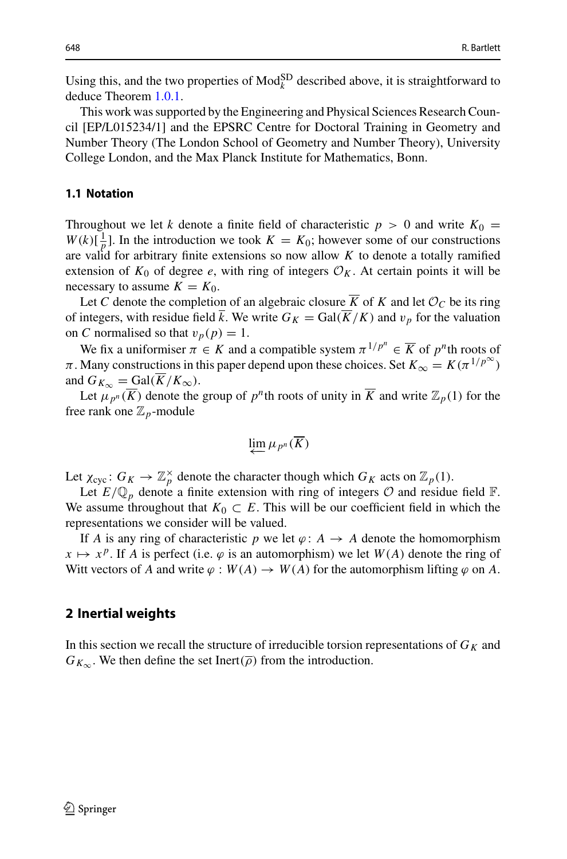Using this, and the two properties of  $\text{Mod}_{k}^{\text{SD}}$  described above, it is straightforward to deduce Theorem [1.0.1.](#page-1-0)

This work was supported by the Engineering and Physical Sciences Research Council [EP/L015234/1] and the EPSRC Centre for Doctoral Training in Geometry and Number Theory (The London School of Geometry and Number Theory), University College London, and the Max Planck Institute for Mathematics, Bonn.

#### <span id="page-3-1"></span>**1.1 Notation**

Throughout we let *k* denote a finite field of characteristic  $p > 0$  and write  $K_0 =$  $W(k)[\frac{1}{p}]$ . In the introduction we took  $K = K_0$ ; however some of our constructions are valid for arbitrary finite extensions so now allow *K* to denote a totally ramified extension of  $K_0$  of degree *e*, with ring of integers  $\mathcal{O}_K$ . At certain points it will be necessary to assume  $K = K_0$ .

Let *C* denote the completion of an algebraic closure  $\overline{K}$  of *K* and let  $\mathcal{O}_C$  be its ring of integers, with residue field  $\bar{k}$ . We write  $G_K = \text{Gal}(\bar{K}/K)$  and  $v_p$  for the valuation on *C* normalised so that  $v_p(p) = 1$ .

We fix a uniformiser  $\pi \in K$  and a compatible system  $\pi^{1/p^n} \in \overline{K}$  of  $p^n$ th roots of  $\pi$ . Many constructions in this paper depend upon these choices. Set  $K_{\infty} = K(\pi^{1/p^{\infty}})$ and  $G_{K_{\infty}} = \text{Gal}(\overline{K}/K_{\infty}).$ 

Let  $\mu_{p^n}(\overline{K})$  denote the group of  $p^n$ th roots of unity in  $\overline{K}$  and write  $\mathbb{Z}_p(1)$  for the free rank one  $\mathbb{Z}_p$ -module

$$
\varprojlim \mu_{p^n}(\overline{K})
$$

Let  $\chi_{\text{cyc}}: G_K \to \mathbb{Z}_p^{\times}$  denote the character though which  $G_K$  acts on  $\mathbb{Z}_p(1)$ .

Let  $E/\mathbb{Q}_p$  denote a finite extension with ring of integers  $\mathcal O$  and residue field  $\mathbb F$ . We assume throughout that  $K_0 \subset E$ . This will be our coefficient field in which the representations we consider will be valued.

If *A* is any ring of characteristic *p* we let  $\varphi$ : *A*  $\rightarrow$  *A* denote the homomorphism  $x \mapsto x^p$ . If *A* is perfect (i.e.  $\varphi$  is an automorphism) we let  $W(A)$  denote the ring of Witt vectors of *A* and write  $\varphi : W(A) \to W(A)$  for the automorphism lifting  $\varphi$  on *A*.

### <span id="page-3-0"></span>**2 Inertial weights**

In this section we recall the structure of irreducible torsion representations of  $G_K$  and  $G_{K_{\infty}}$ . We then define the set Inert( $\overline{\rho}$ ) from the introduction.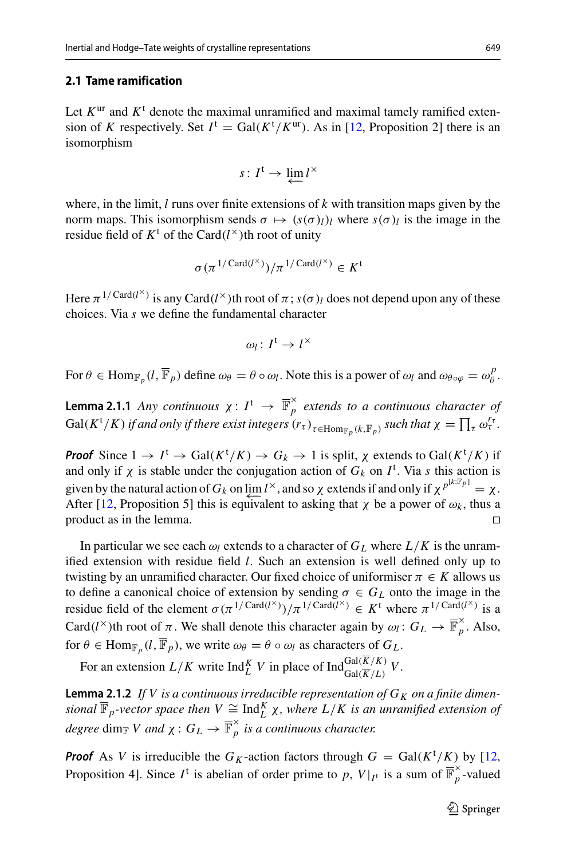## **2.1 Tame ramification**

Let  $K^{\text{ur}}$  and  $K^{\text{t}}$  denote the maximal unramified and maximal tamely ramified extension of *K* respectively. Set  $I^t = \text{Gal}(K^t/K^{\text{ur}})$ . As in [\[12,](#page-36-2) Proposition 2] there is an isomorphism

$$
s\colon I^{\mathfrak{t}}\to \varprojlim l^{\times}
$$

where, in the limit, *l* runs over finite extensions of *k* with transition maps given by the norm maps. This isomorphism sends  $\sigma \mapsto (s(\sigma)_{l})_{l}$  where  $s(\sigma)_{l}$  is the image in the residue field of  $K^t$  of the Card( $l^{\times}$ )th root of unity

$$
\sigma(\pi^{1/\operatorname{Card}(l^{\times})})/\pi^{1/\operatorname{Card}(l^{\times})} \in K^{\mathfrak{t}}
$$

Here  $\pi^{1/Card(l^{\times})}$  is any Card(*l*<sup>×</sup>)th root of  $\pi$ ; *s*( $\sigma$ )<sub>*l*</sub> does not depend upon any of these choices. Via *s* we define the fundamental character

$$
\omega_l\colon I^{\mathfrak{t}}\to I^\times
$$

<span id="page-4-0"></span>For  $\theta \in \text{Hom}_{\mathbb{F}_p}(l, \overline{\mathbb{F}}_p)$  define  $\omega_{\theta} = \theta \circ \omega_l$ . Note this is a power of  $\omega_l$  and  $\omega_{\theta \circ \varphi} = \omega_{\theta}^p$ .

**Lemma 2.1.1** *Any continuous*  $\chi: I^t \to \overline{\mathbb{F}}_p^{\times}$  *extends to a continuous character of* Gal(K<sup>t</sup>/K) if and only if there exist integers  $(r_\tau)_{\tau \in \text{Hom}_{\mathbb{F}_p}(k,\overline{\mathbb{F}}_p)}$  such that  $\chi = \prod_{\tau} \omega_{\tau}^{r_\tau}$ . *Hom*<sub>*F<sub>p</sub>*</sub>(*l*,  $\overline{\mathbb{F}}_p$ ) define  $\omega_\theta = \theta \circ \omega_l$ . Note this is a power of  $\omega_l$  and  $\omega_{\theta \circ \varphi}$  :<br> **2.1.1** *Any continuous*  $\chi: I^t \to \overline{\mathbb{F}}_p^{\times}$  *extends to a continuous charac*  $/K$ ) *if and only if there ex* 

*Proof* Since  $1 \to I^{\dagger} \to \text{Gal}(K^{\dagger}/K) \to G_k \to 1$  is split,  $\chi$  extends to  $\text{Gal}(K^{\dagger}/K)$  if and only if  $\chi$  is stable under the conjugation action of  $G_k$  on  $I^t$ . Via *s* this action is given by the natural action of  $G_k$  on  $\varprojlim l^\times$ , and so  $\chi$  extends if and only if  $\chi^{p^{[k:\mathbb{F}_p]}} = \chi$ .<br>After [12] Proposition 5] this is equivalent to asking that  $\chi$  be a power of  $\omega_k$ , thus a After [\[12,](#page-36-2) Proposition 5] this is equivalent to asking that  $\chi$  be a power of  $\omega_k$ , thus a product as in the lemma.

In particular we see each  $\omega_l$  extends to a character of  $G_L$  where  $L/K$  is the unramified extension with residue field *l*. Such an extension is well defined only up to twisting by an unramified character. Our fixed choice of uniformiser  $\pi \in K$  allows us to define a canonical choice of extension by sending  $\sigma \in G_L$  onto the image in the residue field of the element  $\sigma(\pi^{1/Card(l^{\times})})/\pi^{1/Card(l^{\times})} \in K^{\dagger}$  where  $\pi^{1/Card(l^{\times})}$  is a Card(*l*<sup>×</sup>)th root of  $\pi$ . We shall denote this character again by  $\omega_l$ :  $G_L \to \overline{\mathbb{F}}_p^{\times}$ . Also, for  $\theta \in \text{Hom}_{\mathbb{F}_p}(l, \overline{\mathbb{F}}_p)$ , we write  $\omega_\theta = \theta \circ \omega_l$  as characters of  $G_L$ .

<span id="page-4-1"></span>For an extension  $L/K$  write  $\text{Ind}_{L}^{K}V$  in place of  $\text{Ind}_{\text{Gal}(\overline{K}/L)}^{\text{Gal}(K/K)}V$ .

**Lemma 2.1.2** If V is a continuous irreducible representation of  $G_K$  on a finite dimen*sional*  $\overline{\mathbb{F}}_p$ -vector space then  $V \cong \text{Ind}_{L}^{K} \chi$ , where  $L/K$  is an unramified extension of  $degree \dim_{\mathbb{F}} V$  and  $\chi: G_L \to \overline{\mathbb{F}}_p^\times$  *is a continuous character.* 

**Proof** As *V* is irreducible the *G<sub>K</sub>*-action factors through  $G = \text{Gal}(K^t/K)$  by [\[12,](#page-36-2) Proposition 4]. Since  $I^t$  is abelian of order prime to p,  $V|_{I^t}$  is a sum of  $\overline{\mathbb{F}}_p^{\times}$ -valued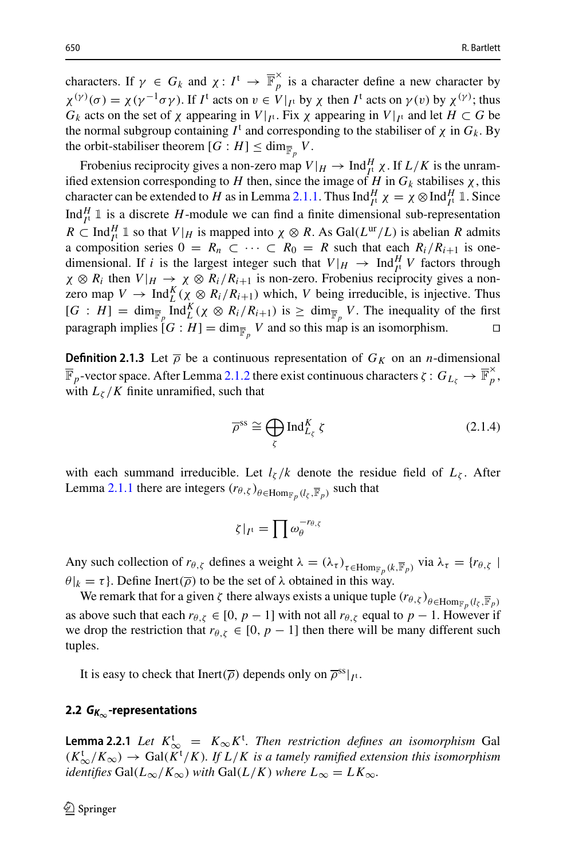characters. If  $\gamma \in G_k$  and  $\chi: I^t \to \overline{\mathbb{F}}_p^{\times}$  is a character define a new character by  $\chi^{(\gamma)}(\sigma) = \chi(\gamma^{-1}\sigma\gamma)$ . If *I*<sup>t</sup> acts on  $v \in V|_{I^t}$  by  $\chi$  then *I*<sup>t</sup> acts on  $\gamma(v)$  by  $\chi^{(\gamma)}$ ; thus *G<sub>k</sub>* acts on the set of  $\chi$  appearing in *V*|<sub>*I*<sup>t</sup></sub>. Fix  $\chi$  appearing in *V*|<sub>*I*<sup>t</sup></sub> and let  $H \subset G$  be the normal subgroup containing  $I^t$  and corresponding to the stabiliser of  $\chi$  in  $G_k$ . By the orbit-stabiliser theorem  $[G : H] \le \dim_{\overline{\mathbb{F}}_n} V$ .

Frobenius reciprocity gives a non-zero map  $V|_H \to \text{Ind}_{I^t}^H \chi$ . If  $L/K$  is the unramified extension corresponding to *H* then, since the image of *H* in  $G_k$  stabilises  $\chi$ , this character can be extended to *H* as in Lemma [2.1.1.](#page-4-0) Thus  $\text{Ind}_{I^t}^H \chi = \chi \otimes \text{Ind}_{I^t}^H \mathbb{1}$ . Since Ind $_{I}^{H}$  1 is a discrete *H*-module we can find a finite dimensional sub-representation  $R \subset \text{Ind}_{I^{\perp}}^H \mathbb{1}$  so that  $V|_H$  is mapped into  $\chi \otimes R$ . As  $\text{Gal}(L^{\text{ur}}/L)$  is abelian *R* admits a composition series  $0 = R_n \subset \cdots \subset R_0 = R$  such that each  $R_i/R_{i+1}$  is onedimensional. If *i* is the largest integer such that  $V|_H \to \text{Ind}_{I^1}^H V$  factors through  $\chi \otimes R_i$  then  $V|_H \to \chi \otimes R_i/R_{i+1}$  is non-zero. Frobenius reciprocity gives a nonzero map  $V \to \text{Ind}_{L}^{K}(\chi \otimes R_{i}/R_{i+1})$  which, *V* being irreducible, is injective. Thus  $[G : H] = \dim_{\overline{\mathbb{F}}_p} \text{Ind}_{L}^{K}(\chi \otimes R_i/R_{i+1})$  is  $\geq \dim_{\overline{\mathbb{F}}_p} V$ . The inequality of the first paragraph implies  $[G : H] = \dim_{\overline{F}_p} V$  and so this map is an isomorphism.

<span id="page-5-0"></span>**Definition 2.1.3** Let  $\overline{\rho}$  be a continuous representation of  $G_K$  on an *n*-dimensional  $=$  $\overline{\mathbb{F}}_p$ -vector space. After Lemma [2.1.2](#page-4-1) there exist continuous characters  $\zeta: G_{L_\zeta} \to \overline{\mathbb{F}}_p^\times$ , with  $L_{\zeta}/K$  finite unramified, such that

$$
\overline{\rho}^{\text{ss}} \cong \bigoplus_{\zeta} \text{Ind}_{L_{\zeta}}^{K} \zeta \tag{2.1.4}
$$

with each summand irreducible. Let  $l_\zeta/k$  denote the residue field of  $L_\zeta$ . After Lemma [2.1.1](#page-4-0) there are integers  $(r_{\theta,\zeta})_{\theta \in \text{Hom}_{\mathbb{F}_p}(l_{\zeta}, \overline{\mathbb{F}}_p)}$  such that *l<sub>s</sub>* /*k* denc<br>  $(\nabla \theta, \zeta)_{\theta \in \text{Hom}_{\mathbb{F}_p}(l_\zeta, \overline{\mathbb{F}})}$ <br>  $\zeta|_{I^t} = \prod_{\theta} \omega_{\theta}^{-r_{\theta, \zeta}}$ 

$$
\zeta|_{I^{\mathrm{t}}} = \prod \omega_{\theta}^{-r_{\theta,\zeta}}
$$

Any such collection of  $r_{\theta, \zeta}$  defines a weight  $\lambda = (\lambda_{\tau})_{\tau \in \text{Hom}_{\mathbb{F}_n}(k, \overline{\mathbb{F}}_p)}$  via  $\lambda_{\tau} = \{r_{\theta, \zeta} \mid$  $\theta|_k = \tau$ . Define Inert( $\overline{\rho}$ ) to be the set of  $\lambda$  obtained in this way.

We remark that for a given  $\zeta$  there always exists a unique tuple  $(r_{\theta, \zeta})_{\theta \in \text{Hom}_{\mathbb{F}_p}(l_{\zeta}, \overline{\mathbb{F}}_p)}$ as above such that each  $r_{\theta, \zeta} \in [0, p-1]$  with not all  $r_{\theta, \zeta}$  equal to  $p-1$ . However if we drop the restriction that  $r_{\theta, \zeta} \in [0, p-1]$  then there will be many different such tuples.

It is easy to check that Inert( $\overline{\rho}$ ) depends only on  $\overline{\rho}^{ss}|_{I^t}$ .

## **2.2** *GK***∞-representations**

**Lemma 2.2.1** *Let*  $K_{\infty}^{\text{t}} = K_{\infty} K^{\text{t}}$ . *Then restriction defines an isomorphism* Gal  $(K^t_{\infty}/K_{\infty})$  → Gal( $K^t/K$ ). If  $L/K$  is a tamely ramified extension this isomorphism *identifies* Gal( $L_{\infty}/K_{\infty}$ ) *with* Gal( $L/K$ ) *where*  $L_{\infty} = LK_{\infty}$ *.*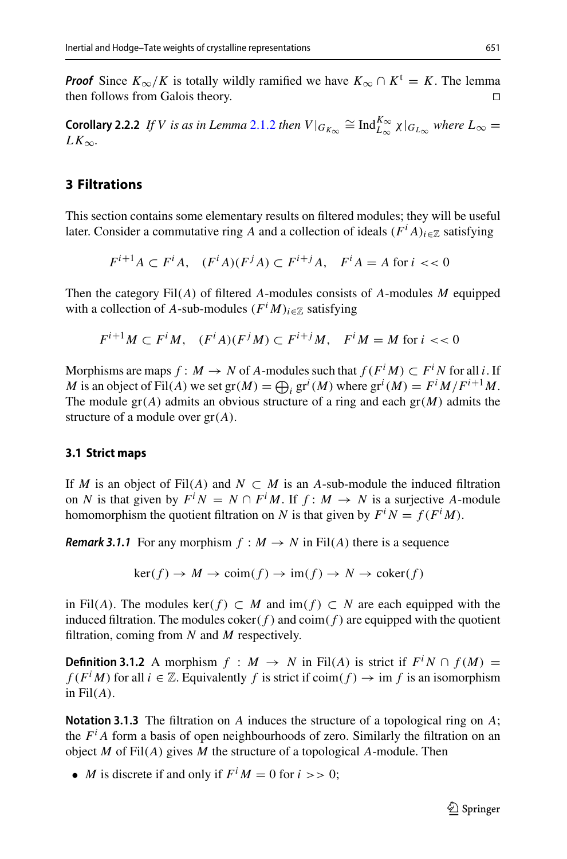*Proof* Since  $K_{\infty}/K$  is totally wildly ramified we have  $K_{\infty} \cap K^t = K$ . The lemma then follows from Galois theory. □ then follows from Galois theory.

<span id="page-6-1"></span>**Corollary 2.2.2** *If V is as in Lemma* [2.1.2](#page-4-1) *then*  $V|_{G_{K_{\infty}}}\cong \text{Ind}_{L_{\infty}}^{K_{\infty}} \chi|_{G_{L_{\infty}}}$  where  $L_{\infty} = L_{\infty}$  $LK_{\infty}$ .

## <span id="page-6-0"></span>**3 Filtrations**

This section contains some elementary results on filtered modules; they will be useful later. Consider a commutative ring *A* and a collection of ideals  $(F^i A)_{i \in \mathbb{Z}}$  satisfying

$$
F^{i+1}A \subset F^iA, \quad (F^iA)(F^jA) \subset F^{i+j}A, \quad F^iA = A \text{ for } i < 0
$$

Then the category Fil(*A*) of filtered *A*-modules consists of *A*-modules *M* equipped with a collection of *A*-sub-modules  $(F<sup>i</sup>M)_{i\in\mathbb{Z}}$  satisfying

$$
F^{i+1}M \subset F^iM, \quad (F^iA)(F^jM) \subset F^{i+j}M, \quad F^iM = M \text{ for } i < 0
$$

Morphisms are maps  $f : M \to N$  of *A*-modules such that  $f(F^iM) \subset F^iN$  for all *i*. If *F*<sup>*i*+1</sup>*M*  $\subset$  *F*<sup>*i*</sup>*M*,  $(F^{i}A)(F^{j}M) \subset F^{i+j}M$ ,  $F^{i}M = M$  for  $i \lt \lt 0$ <br>Morphisms are maps  $f : M \to N$  of *A*-modules such that  $f(F^{i}M) \subset F^{i}N$  for all *i*. If *M* is an object of Fil(*A*) we set  $gr(M) = \bigoplus_{i} gr^{i}(M)$ The module  $gr(A)$  admits an obvious structure of a ring and each  $gr(M)$  admits the structure of a module over gr(*A*).

## **3.1 Strict maps**

If *M* is an object of Fil(*A*) and  $N \subset M$  is an *A*-sub-module the induced filtration on *N* is that given by  $F^i N = N \cap F^i M$ . If  $f: M \to N$  is a surjective *A*-module homomorphism the quotient filtration on *N* is that given by  $F^i N = f(F^i M)$ .

*Remark 3.1.1* For any morphism  $f : M \to N$  in Fil(*A*) there is a sequence

$$
\ker(f) \to M \to \text{coim}(f) \to \text{im}(f) \to N \to \text{coker}(f)
$$

in Fil(*A*). The modules ker( $f$ ) ⊂ *M* and im( $f$ ) ⊂ *N* are each equipped with the induced filtration. The modules  $coker(f)$  and  $coim(f)$  are equipped with the quotient filtration, coming from *N* and *M* respectively.

**Definition 3.1.2** A morphism  $f : M \rightarrow N$  in Fil(*A*) is strict if  $F^iN \cap f(M) =$ *f* ( $F^i M$ ) for all  $i \in \mathbb{Z}$ . Equivalently *f* is strict if  $\text{coim}(f) \to \text{im } f$  is an isomorphism in Fil(*A*).

**Notation 3.1.3** The filtration on *A* induces the structure of a topological ring on *A*; the  $F^i$  *A* form a basis of open neighbourhoods of zero. Similarly the filtration on an object *M* of Fil(*A*) gives *M* the structure of a topological *A*-module. Then

• *M* is discrete if and only if  $F^i M = 0$  for  $i \gg 0$ ;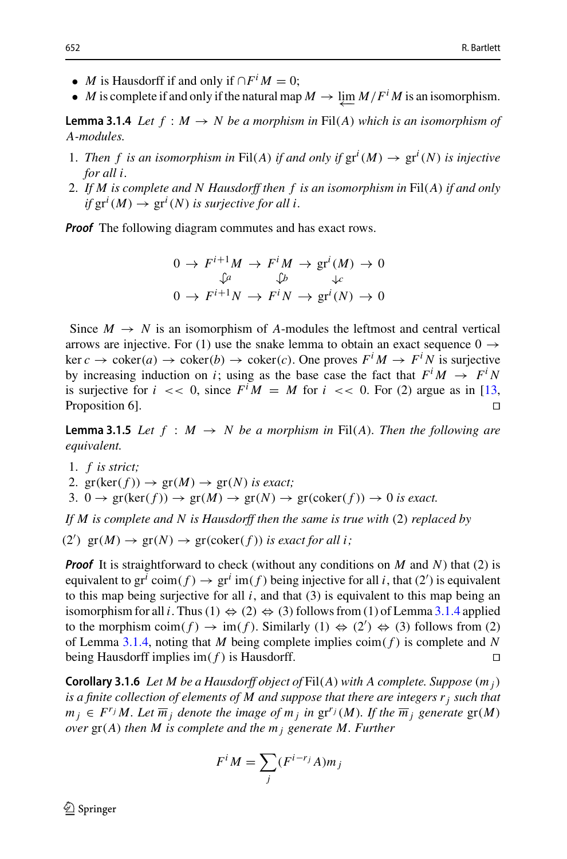- *M* is Hausdorff if and only if  $\bigcap F^i M = 0$ ;
- *M* is complete if and only if the natural map  $M \to \lim_{M \to \infty} M/F^iM$  is an isomorphism.

<span id="page-7-0"></span>**Lemma 3.1.4** *Let*  $f : M \to N$  *be a morphism in* Fil(*A*) *which is an isomorphism of A-modules.*

- 1. *Then f is an isomorphism in* Fil(*A*) *if and only if*  $\text{gr}^i(M) \to \text{gr}^i(N)$  *is injective for all i.*
- 2. *If M is complete and N Hausdorff then f is an isomorphism in* Fil(*A*) *if and only if*  $gr^i(M) \rightarrow gr^i(N)$  *is surjective for all i.*

*Proof* The following diagram commutes and has exact rows.

$$
0 \to F^{i+1}M \to F^iM \to \text{gr}^i(M) \to 0
$$
  

$$
\downarrow^a \qquad \downarrow^b \qquad \downarrow^c
$$
  

$$
0 \to F^{i+1}N \to F^iN \to \text{gr}^i(N) \to 0
$$

Since  $M \to N$  is an isomorphism of *A*-modules the leftmost and central vertical arrows are injective. For (1) use the snake lemma to obtain an exact sequence  $0 \rightarrow$  $\ker c \to \operatorname{coker}(a) \to \operatorname{coker}(b) \to \operatorname{coker}(c)$ . One proves  $F^i M \to F^i N$  is surjective by increasing induction on *i*; using as the base case the fact that  $F^iM \rightarrow F^iN$ is surjective for  $i \ll 0$ , since  $F^i M = M$  for  $i \ll 0$ . For (2) argue as in [\[13,](#page-36-3) Proposition 6] Proposition 6].

<span id="page-7-1"></span>**Lemma 3.1.5** *Let*  $f : M \rightarrow N$  *be a morphism in* Fil(*A*)*. Then the following are equivalent.*

- 1. *f is strict;*
- 2.  $gr(ker(f)) \rightarrow gr(M) \rightarrow gr(N)$  *is exact*;
- 3.  $0 \rightarrow \text{gr}(\text{ker}(f)) \rightarrow \text{gr}(M) \rightarrow \text{gr}(N) \rightarrow \text{gr}(\text{coker}(f)) \rightarrow 0$  *is exact.*

*If M is complete and N is Hausdorff then the same is true with* (2) *replaced by*

(2')  $\operatorname{gr}(M) \to \operatorname{gr}(N) \to \operatorname{gr}(\operatorname{coker}(f))$  *is exact for all i*;

*Proof* It is straightforward to check (without any conditions on *M* and *N*) that (2) is equivalent to  $gr^i \text{ coin}(f) \rightarrow gr^i \text{ im}(f)$  being injective for all *i*, that (2') is equivalent to this map being surjective for all  $i$ , and that  $(3)$  is equivalent to this map being an isomorphism for all *i*. Thus (1)  $\Leftrightarrow$  (2)  $\Leftrightarrow$  (3) follows from (1) of Lemma [3.1.4](#page-7-0) applied to the morphism  $\text{coim}(f) \to \text{im}(f)$ . Similarly  $(1) \Leftrightarrow (2') \Leftrightarrow (3)$  follows from  $(2)$ of Lemma [3.1.4,](#page-7-0) noting that *M* being complete implies  $\text{coin}(f)$  is complete and *N* being Hausdorff implies  $\text{im}(f)$  is Hausdorff.

<span id="page-7-2"></span>**Corollary 3.1.6** *Let M be a Hausdorff object of* Fil(*A*) *with A complete. Suppose* (*m <sup>j</sup>*) *is a finite collection of elements of M and suppose that there are integers rj such that m j* ∈ *F<sup>r<sub>j</sub></sup> M. Let*  $\overline{m}_j$  *denote the image of*  $m_j$  *in*  $gr^{r_j}(M)$ *. If the*  $\overline{m}_j$  *generate*  $gr(M)$ *over* gr(*A*) *then M is complete and the m <sup>j</sup> generate M. Further of M and*<br>*mage o m*<br>*M* =  $\sum$ 

$$
F^i M = \sum_j (F^{i-r_j} A) m_j
$$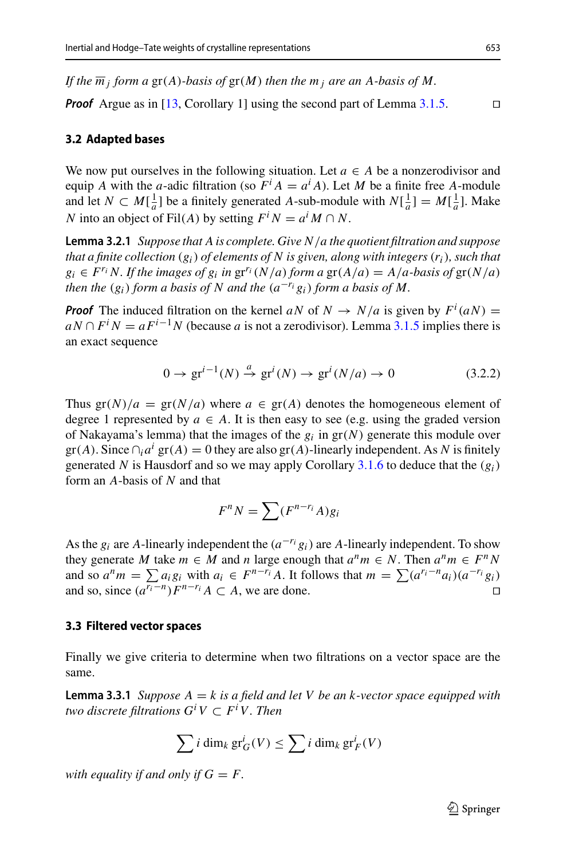*If the*  $\overline{m}$  *j form a* gr(*A*)*-basis of* gr(*M*) *then the*  $m<sub>i</sub>$  *are an A-basis of M*.

*Proof* Argue as in [\[13](#page-36-3), Corollary 1] using the second part of Lemma  $3.1.5$ .

#### **3.2 Adapted bases**

We now put ourselves in the following situation. Let  $a \in A$  be a nonzerodivisor and equip *A* with the *a*-adic filtration (so  $\overline{F}^i A = a^i A$ ). Let *M* be a finite free *A*-module and let  $N \subset M[\frac{1}{a}]$  be a finitely generated *A*-sub-module with  $N[\frac{1}{a}] = M[\frac{1}{a}]$ . Make *N* into an object of Fil(*A*) by setting  $F^i N = a^i M \cap N$ .

<span id="page-8-1"></span>**Lemma 3.2.1** *Suppose that A is complete. Give N*/*a the quotient filtration and suppose that a finite collection* (*gi*) *of elements of N is given, along with integers*(*ri*)*, such that*  $g_i \in F^{r_i} N$ . If the images of  $g_i$  in  $gr^{r_i}(N/a)$  form a  $gr(A/a) = A/a$ -basis of  $gr(N/a)$ *then the*  $(g_i)$  *form a basis of* N *and the*  $(a^{-r_i}g_i)$  *form a basis of* M.

*Proof* The induced filtration on the kernel *aN* of  $N \rightarrow N/a$  is given by  $F^i(aN) =$  $aN \cap F^i$  *N* =  $aF^{i-1}$ *N* (because *a* is not a zerodivisor). Lemma [3.1.5](#page-7-1) implies there is an exact sequence

<span id="page-8-2"></span>
$$
0 \to \operatorname{gr}^{i-1}(N) \xrightarrow{a} \operatorname{gr}^{i}(N) \to \operatorname{gr}^{i}(N/a) \to 0
$$
 (3.2.2)

Thus  $gr(N)/a = gr(N/a)$  where  $a \in gr(A)$  denotes the homogeneous element of degree 1 represented by  $a \in A$ . It is then easy to see (e.g. using the graded version of Nakayama's lemma) that the images of the *gi* in gr(*N*) generate this module over  $gr(A)$ . Since  $\bigcap_i a^i$   $gr(A) = 0$  they are also  $gr(A)$ -linearly independent. As N is finitely generated *N* is Hausdorf and so we may apply Corollary [3.1.6](#page-7-2) to deduce that the (*gi*) form an *A*-basis of *N* and that *f*<sub>n</sub>ey are also gr(*A*)-linea<br>so we may apply Coroll<br> $F^nN = \sum (F^{n-r_i}A)g_i$ 

$$
F^n N = \sum (F^{n-r_i} A)g_i
$$

As the  $g_i$  are *A*-linearly independent the  $(a^{-r_i}g_i)$  are *A*-linearly independent. To show they generate *M* take  $m \in M$  and *n* large enough that  $a^n m \in N$ . Then  $a^n m \in F^n N$ and so  $a^n m = \sum a_i g_i$  with  $a_i \in F^{n-r_i} A$ . It follows that  $m = \sum (a^{r_i - n} a_i)(a^{-r_i} g_i)$ <br>and so since  $(a^{r_i - n}) F^{n-r_i} A \subset A$  we are done. and so, since  $(a^{r_i - n})F^{n-r_i}A \subset A$ , we are done.

#### **3.3 Filtered vector spaces**

Finally we give criteria to determine when two filtrations on a vector space are the same.

<span id="page-8-0"></span>**Lemma 3.3.1** *Suppose A* = *k is a field and let V be an k-vector space equipped with two discrete filtrations*  $G^iV \subset F^iV$ *. Then* field and let V be an k<br>V. Then<br> $\frac{i}{G}(V) \leq \sum i \dim_k {\rm gr}^i$ 

$$
\sum i \dim_k \operatorname{gr}_G^i(V) \le \sum i \dim_k \operatorname{gr}_F^i(V)
$$

*with equality if and only if*  $G = F$ .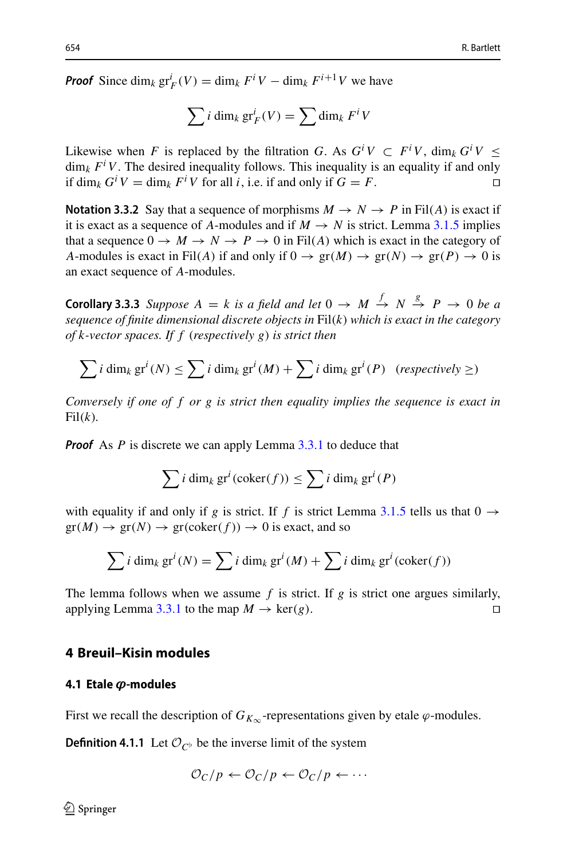*Proof* Since  $\dim_k \text{gr}_F^i(V) = \dim_k F^iV - \dim_k F^{i+1}V$  we have

 $\overline{\phantom{a}}$ 

$$
V = \dim_k F^i V - \dim_k F^{i+1} V
$$
 we  

$$
\sum i \dim_k \operatorname{gr}_F^i(V) = \sum \dim_k F^i V
$$

Likewise when *F* is replaced by the filtration *G*. As  $G^iV \subset F^iV$ , dim<sub>*k*</sub>  $G^iV \leq$  $\dim_k F^i V$ . The desired inequality follows. This inequality is an equality if and only if dim<sub>*k*</sub>  $G^i V = \dim_k F^i V$  for all *i*, i.e. if and only if  $G = F$ .

<span id="page-9-1"></span>**Notation 3.3.2** Say that a sequence of morphisms  $M \rightarrow N \rightarrow P$  in Fil(*A*) is exact if it is exact as a sequence of *A*-modules and if  $M \rightarrow N$  is strict. Lemma [3.1.5](#page-7-1) implies that a sequence  $0 \to M \to N \to P \to 0$  in Fil(*A*) which is exact in the category of *A*-modules is exact in Fil(*A*) if and only if  $0 \rightarrow \text{gr}(M) \rightarrow \text{gr}(N) \rightarrow \text{gr}(P) \rightarrow 0$  is an exact sequence of *A*-modules.

<span id="page-9-2"></span>**Corollary 3.3.3** *Suppose*  $A = k$  *is a field and let*  $0 \rightarrow M \stackrel{f}{\rightarrow} N \stackrel{g}{\rightarrow} P \rightarrow 0$  *be a sequence of finite dimensional discrete objects in* Fil(*k*) *which is exact in the category of k-vector spaces. If f* (*respectively g*) *is strict then*  $\mathcal{L}(\mathcal{M}) = \mathcal{M}(\mathcal{M})$ <br> *e dimensional discrete objects in* Fil $(k)$  wh<br> *es. If*  $f$  (respectively  $g$ ) is strict then<br>  $(N) \leq \sum i \dim_k gr^i(M) + \sum i \dim_k gr^i$ 

$$
\sum i \dim_k \operatorname{gr}^i(N) \le \sum i \dim_k \operatorname{gr}^i(M) + \sum i \dim_k \operatorname{gr}^i(P) \quad (respectively \ge)
$$

*Conversely if one of f or g is strict then equality implies the sequence is exact in*  $Fil(k)$ .

*Proof* As *P* is discrete we can apply Lemma [3.3.1](#page-8-0) to deduce that

7.111 The rate of a graph of the graph 
$$
3.3.1
$$
 to deduce that

\n
$$
\sum_{i} i \dim_k \text{gr}^i(\text{coker}(f)) \leq \sum_{i} i \dim_k \text{gr}^i(P)
$$

with equality if and only if *g* is strict. If *f* is strict Lemma [3.1.5](#page-7-1) tells us that  $0 \rightarrow$  $gr(M) \to gr(N) \to gr(coker(f)) \to 0$  is exact, and so only if *g* is strict. If *f* is strict Lemma 3.<br>  $f(x) = f(x) + f(x)$  is exact, and so<br>
(*N*) =  $\sum i \dim_k gr^i(M) + \sum i \dim_k gr^i(M)$ 

$$
\sum i \dim_k \operatorname{gr}^i(N) = \sum i \dim_k \operatorname{gr}^i(M) + \sum i \dim_k \operatorname{gr}^i(\operatorname{coker}(f))
$$

The lemma follows when we assume  $f$  is strict. If  $g$  is strict one argues similarly, applying Lemma [3.3.1](#page-8-0) to the map  $M \to \text{ker}(g)$ .

#### <span id="page-9-0"></span>**4 Breuil–Kisin modules**

## **4.1 Etale** *'***-modules**

First we recall the description of  $G_{K_{\infty}}$ -representations given by etale  $\varphi$ -modules.

**Definition 4.1.1** Let  $\mathcal{O}_{C^b}$  be the inverse limit of the system

$$
\mathcal{O}_C/p \leftarrow \mathcal{O}_C/p \leftarrow \mathcal{O}_C/p \leftarrow \cdots
$$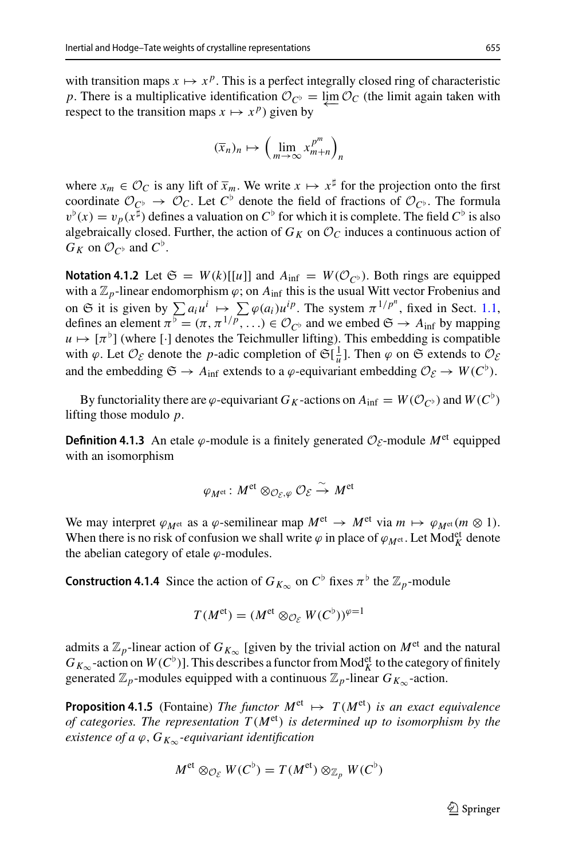with transition maps  $x \mapsto x^p$ . This is a perfect integrally closed ring of characteristic *p*. There is a multiplicative identification  $\mathcal{O}_{C}$  =  $\varprojlim \mathcal{O}_C$  (the limit again taken with respect to the transition mans  $x \mapsto x^p$ ) given by respect to the transition maps  $x \mapsto x^p$ ) given by

$$
(\overline{x}_n)_n \mapsto \left(\lim_{m \to \infty} x_{m+n}^{p^m}\right)_n
$$

where  $x_m \in \mathcal{O}_C$  is any lift of  $\overline{x}_m$ . We write  $x \mapsto x^{\sharp}$  for the projection onto the first coordinate  $\mathcal{O}_{C^{\flat}} \to \mathcal{O}_C$ . Let  $C^{\flat}$  denote the field of fractions of  $\mathcal{O}_{C^{\flat}}$ . The formula  $v^{\flat}(x) = v_p(x^{\sharp})$  defines a valuation on  $C^{\flat}$  for which it is complete. The field  $C^{\flat}$  is also algebraically closed. Further, the action of  $G_K$  on  $\mathcal{O}_C$  induces a continuous action of  $G_K$  on  $\mathcal{O}_{C^{\flat}}$  and  $C^{\flat}$ .

**Notation 4.1.2** Let  $\mathfrak{S} = W(k)[[u]]$  and  $A_{\text{inf}} = W(\mathcal{O}_{C^{\flat}})$ . Both rings are equipped with a  $\mathbb{Z}_p$ -linear endomorphism  $\varphi$ ; on  $A_{\text{inf}}$  this is the usual Witt vector Frobenius and *G<sub>K</sub>* on *O<sub>C</sub>*<sup>*b*</sup></sub> and *C*<sup>*ρ*</sup>.<br> **Notation 4.1.2** Let *G* = *W*(*k*)[[*u*]] and *A*<sub>inf</sub> = *W*(*O<sub>C</sub><sub><i>è*</sub>)</sub>. Both rings are equipped with a  $\mathbb{Z}_p$ -linear endomorphism *φ*; on *A*<sub>inf</sub> this is the usual Witt vect defines an element  $\pi^{\overline{b}} = (\pi, \pi^{1/p}, \ldots) \in \mathcal{O}_{\mathbb{C}^{\flat}}$  and we embed  $\mathfrak{S} \to A_{\inf}$  by mapping  $u \mapsto [\pi^b]$  (where [·] denotes the Teichmuller lifting). This embedding is compatible with  $\varphi$ . Let  $\mathcal{O}_{\mathcal{E}}$  denote the *p*-adic completion of  $\mathfrak{S}[\frac{1}{u}]$ . Then  $\varphi$  on  $\mathfrak{S}$  extends to  $\mathcal{O}_{\mathcal{E}}$ and the embedding  $\mathfrak{S} \to A_{\text{inf}}$  extends to a  $\varphi$ -equivariant embedding  $\mathcal{O}_{\mathcal{E}} \to W(C^{\flat})$ .

By functoriality there are  $\varphi$ -equivariant *G<sub>K</sub>*-actions on  $A_{\text{inf}} = W(\mathcal{O}_{C^{\flat}})$  and  $W(C^{\flat})$ lifting those modulo *p*.

**Definition 4.1.3** An etale  $\varphi$ -module is a finitely generated  $\mathcal{O}_{\mathcal{E}}$ -module  $M^{\text{et}}$  equipped with an isomorphism

$$
\varphi_{M^{\mathrm{et}}}\colon M^{\mathrm{et}}\otimes_{\mathcal{O}_{\mathcal{E}},\varphi}\mathcal{O}_{\mathcal{E}}\overset{\sim}{\to}M^{\mathrm{et}}
$$

We may interpret  $\varphi_{M^{et}}$  as a  $\varphi$ -semilinear map  $M^{et} \to M^{et}$  via  $m \mapsto \varphi_{M^{et}}(m \otimes 1)$ . When there is no risk of confusion we shall write  $\varphi$  in place of  $\varphi_{M^{et}}$ . Let Mod<sup>et</sup> denote the abelian category of etale  $\varphi$ -modules.

**Construction 4.1.4** Since the action of  $G_{K_{\infty}}$  on  $C^{\flat}$  fixes  $\pi^{\flat}$  the  $\mathbb{Z}_p$ -module

$$
T(M^{\text{et}}) = (M^{\text{et}} \otimes_{\mathcal{O}_{\mathcal{E}}} W(C^{\flat}))^{\varphi=1}
$$

admits a  $\mathbb{Z}_p$ -linear action of  $G_{K_\infty}$  [given by the trivial action on  $M^{\text{et}}$  and the natural  $G_{K_{\infty}}$ -action on  $W(C^{\flat})$ ]. This describes a functor from Mod<sup>et</sup> to the category of finitely generated  $\mathbb{Z}_p$ -modules equipped with a continuous  $\mathbb{Z}_p$ -linear  $G_{K_\infty}$ -action.

<span id="page-10-0"></span>**Proposition 4.1.5** (Fontaine) *The functor*  $M^{et} \rightarrow T(M^{et})$  *is an exact equivalence of categories. The representation*  $T(M<sup>et</sup>)$  *is determined up to isomorphism by the existence of a*  $\varphi$ ,  $G_{K_{\infty}}$ -equivariant identification

$$
M^{\text{et}} \otimes_{\mathcal{O}_{\mathcal{E}}} W(C^{\flat}) = T(M^{\text{et}}) \otimes_{\mathbb{Z}_p} W(C^{\flat})
$$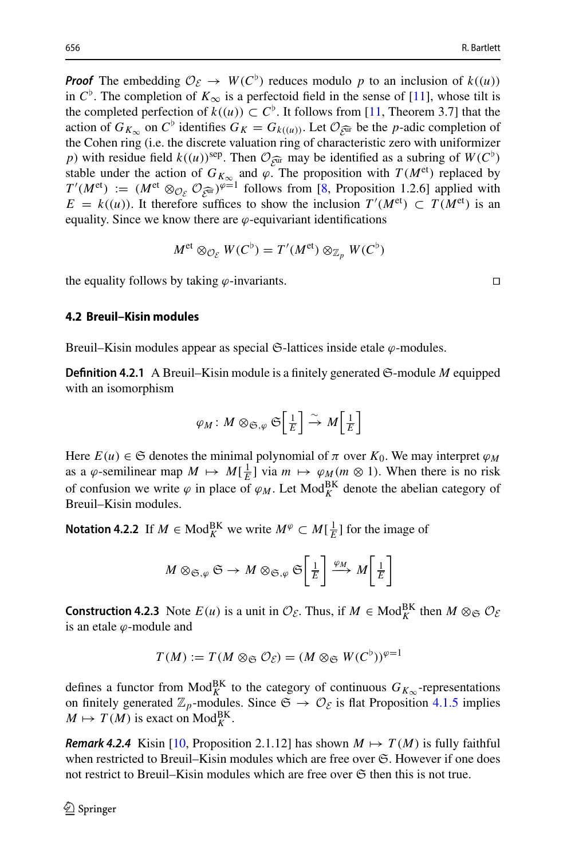*Proof* The embedding  $\mathcal{O}_{\mathcal{E}} \to W(C^{\flat})$  reduces modulo p to an inclusion of  $k((u))$ in  $C^{\flat}$ . The completion of  $K_{\infty}$  is a perfectoid field in the sense of [\[11](#page-36-4)], whose tilt is the completed perfection of  $k((u)) \subset C^{\flat}$ . It follows from [\[11,](#page-36-4) Theorem 3.7] that the action of  $G_{K_{\infty}}$  on  $C^{\flat}$  identifies  $G_K = G_{k((u))}$ . Let  $\mathcal{O}_{\widehat{\mathcal{C}^{\text{ur}}}}$  be the *p*-adic completion of the Cohen ring (i.e. the discrete valuation ring of characteristic zero with uniformizer *p*) with residue field  $k((u))$ <sup>sep</sup>. Then  $\mathcal{O}_{\widehat{\mathcal{E}^{\text{ur}}}}$  may be identified as a subring of  $W(C^{\flat})$ stable under the action of  $G_{K_{\infty}}$  and  $\varphi$ . The proposition with  $T(M^{\text{et}})$  replaced by  $T'(M^{\text{et}}) := (M^{\text{et}} \otimes_{\mathcal{O}_{\mathcal{E}}} \mathcal{O}_{\mathcal{E}^{\text{int}}})^{\varphi=1}$  follows from [\[8](#page-36-5), Proposition 1.2.6] applied with  $E = k((u))$ . It therefore suffices to show the inclusion  $T'(M^{\text{et}}) \subset T(M^{\text{et}})$  is an equality. Since we know there are  $\varphi$ -equivariant identifications

$$
M^{\text{et}} \otimes_{\mathcal{O}_{\mathcal{E}}} W(C^{\flat}) = T'(M^{\text{et}}) \otimes_{\mathbb{Z}_p} W(C^{\flat})
$$

the equality follows by taking  $\varphi$ -invariants.  $\square$ 

#### **4.2 Breuil–Kisin modules**

Breuil–Kisin modules appear as special  $\mathfrak{S}$ -lattices inside etale  $\varphi$ -modules.

**Definition 4.2.1** A Breuil–Kisin module is a finitely generated S-module *M* equipped with an isomorphism

$$
\varphi_M\colon M\otimes_{\mathfrak{S},\varphi}\mathfrak{S}\Big[\tfrac{1}{E}\Big]\stackrel{\sim}{\to} M\Big[\tfrac{1}{E}\Big]
$$

Here  $E(u) \in \mathfrak{S}$  denotes the minimal polynomial of  $\pi$  over  $K_0$ . We may interpret  $\varphi_M$ as a  $\varphi$ -semilinear map  $M \mapsto M[\frac{1}{E}]$  via  $m \mapsto \varphi_M(m \otimes 1)$ . When there is no risk of confusion we write  $\varphi$  in place of  $\varphi_M$ . Let Mod<sup>BK</sup> denote the abelian category of Breuil–Kisin modules. J,

**Notation 4.2.2** If  $M \in Mod_K^{BK}$  we write  $M^{\varphi} \subset M[\frac{1}{E}]$  for the image of

$$
M \otimes_{\mathfrak{S},\varphi} \mathfrak{S} \to M \otimes_{\mathfrak{S},\varphi} \mathfrak{S}\left[\frac{1}{E}\right] \xrightarrow{\varphi_M} M\left[\frac{1}{E}\right]
$$

**Construction 4.2.3** Note  $E(u)$  is a unit in  $\mathcal{O}_{\mathcal{E}}$ . Thus, if  $M \in Mod_K^{BK}$  then  $M \otimes_{\mathfrak{S}} \mathcal{O}_{\mathcal{E}}$ is an etale  $\varphi$ -module and

$$
T(M) := T(M \otimes_{\mathfrak{S}} \mathcal{O}_{\mathcal{E}}) = (M \otimes_{\mathfrak{S}} W(C^{\flat}))^{\varphi=1}
$$

defines a functor from  $\text{Mod}_{K}^{BK}$  to the category of continuous  $G_{K_{\infty}}$ -representations on finitely generated  $\mathbb{Z}_p$ -modules. Since  $\mathfrak{S} \to \mathcal{O}_{\mathcal{E}}$  is flat Proposition [4.1.5](#page-10-0) implies  $M \mapsto T(M)$  is exact on  $Mod_K^{BK}$ .

<span id="page-11-1"></span><span id="page-11-0"></span>*Remark 4.2.4* Kisin [\[10](#page-36-6), Proposition 2.1.12] has shown  $M \mapsto T(M)$  is fully faithful when restricted to Breuil–Kisin modules which are free over  $\mathfrak{S}$ . However if one does not restrict to Breuil–Kisin modules which are free over  $\mathfrak S$  then this is not true.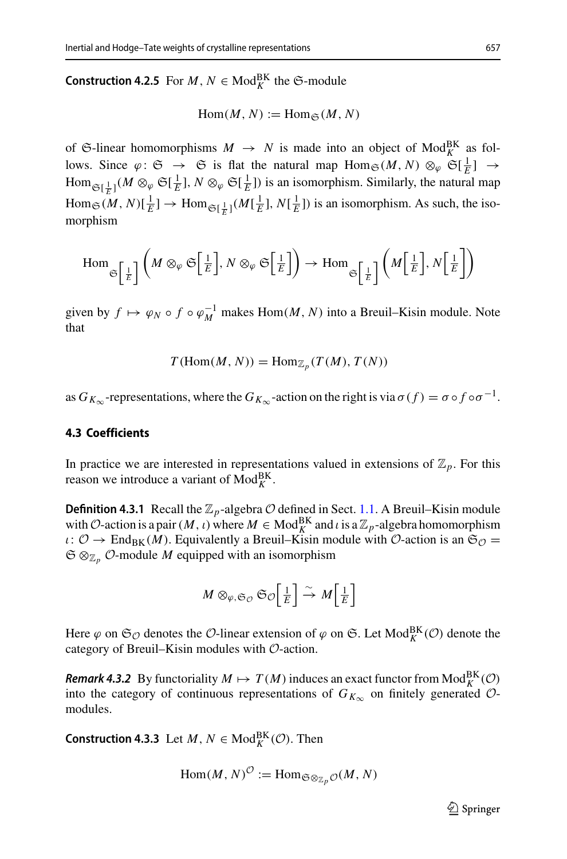**Construction 4.2.5** For  $M, N \in Mod_K^{BK}$  the  $\mathfrak{S}\text{-module}$ 

$$
\operatorname{Hom}(M, N) := \operatorname{Hom}_{\mathfrak{S}}(M, N)
$$

of G-linear homomorphisms  $M \to N$  is made into an object of Mod<sub>K</sub> as follows. Since  $\varphi: \mathfrak{S} \to \mathfrak{S}$  is flat the natural map  $\text{Hom}_{\mathfrak{S}}(M, N) \otimes_{\varphi} \mathfrak{S}[\frac{1}{E}] \to$  $\text{Hom}_{\mathfrak{S}[\frac{1}{E}]}(M \otimes_{\varphi} \mathfrak{S}[\frac{1}{E}], N \otimes_{\varphi} \mathfrak{S}[\frac{1}{E}])$  is an isomorphism. Similarly, the natural map  $\lim_{\epsilon \to 0} \mathcal{E}(M, N) \left[ \frac{1}{E} \right] \to \lim_{\epsilon \to 0} \mathcal{E} \left[ \frac{1}{E} \right] (M \left[ \frac{1}{E} \right], N \left[ \frac{1}{E} \right] \right]$  is an isomorphism. As such, the isomorphism  $\left[\frac{1}{E}\right] \rightarrow \text{Hom}_{\mathfrak{S}\left[\frac{1}{E}\right]}(M\left[\frac{1}{E}\right], N\left[\frac{1}{E}\right])$  is an isomor hism As such the

$$
\text{Hom}_{\mathfrak{S}\left[\frac{1}{E}\right]} \left(M \otimes_{\varphi} \mathfrak{S}\left[\frac{1}{E}\right], N \otimes_{\varphi} \mathfrak{S}\left[\frac{1}{E}\right]\right) \to \text{Hom}_{\mathfrak{S}\left[\frac{1}{E}\right]} \left(M\left[\frac{1}{E}\right], N\left[\frac{1}{E}\right]\right)
$$

given by  $f \mapsto \varphi_N \circ f \circ \varphi_M^{-1}$  makes  $\text{Hom}(M, N)$  into a Breuil–Kisin module. Note that

$$
T(\text{Hom}(M, N)) = \text{Hom}_{\mathbb{Z}_p}(T(M), T(N))
$$

as  $G_{K_{\infty}}$ -representations, where the  $G_{K_{\infty}}$ -action on the right is via  $\sigma(f) = \sigma \circ f \circ \sigma^{-1}$ .

## **4.3 Coefficients**

In practice we are interested in representations valued in extensions of  $\mathbb{Z}_p$ . For this reason we introduce a variant of  $Mod_K^{BK}$ .

**Definition 4.3.1** Recall the  $\mathbb{Z}_p$ -algebra  $\mathcal{O}$  defined in Sect. [1.1.](#page-3-1) A Breuil–Kisin module with *O*-action is a pair  $(M, \iota)$  where  $M \in Mod_R^{BK}$  and  $\iota$  is a  $\mathbb{Z}_p$ -algebra homomorphism  $\iota: \mathcal{O} \to \text{End}_{BK}(M)$ . Equivalently a Breuil–Kisin module with  $\mathcal{O}\text{-action}$  is an  $\mathfrak{S}_{\mathcal{O}} =$ S ⊗Z*<sup>p</sup> O*-module *M* equipped with an isomorphism

$$
M \otimes_{\varphi, \mathfrak{S}_{\mathcal{O}}} \mathfrak{S}_{\mathcal{O}}\left[\tfrac{1}{E}\right] \xrightarrow{\sim} M\left[\tfrac{1}{E}\right]
$$

Here  $\varphi$  on  $\mathfrak{S}_{\mathcal{O}}$  denotes the  $\mathcal{O}\text{-}$  linear extension of  $\varphi$  on  $\mathfrak{S}$ . Let  $\text{Mod}_{K}^{\text{BK}}(\mathcal{O})$  denote the category of Breuil–Kisin modules with *O*-action.

*Remark 4.3.2* By functoriality  $M \mapsto T(M)$  induces an exact functor from  $\text{Mod}_{K}^{\text{BK}}(\mathcal{O})$ into the category of continuous representations of  $G_{K_{\infty}}$  on finitely generated  $\mathcal{O}$ modules.

<span id="page-12-0"></span>**Construction 4.3.3** Let  $M, N \in Mod_K^{BK}(\mathcal{O})$ . Then

$$
\operatorname{Hom}(M,N)^{\mathcal{O}} := \operatorname{Hom}_{\mathfrak{S} \otimes_{\mathbb{Z}_p} \mathcal{O}}(M,N)
$$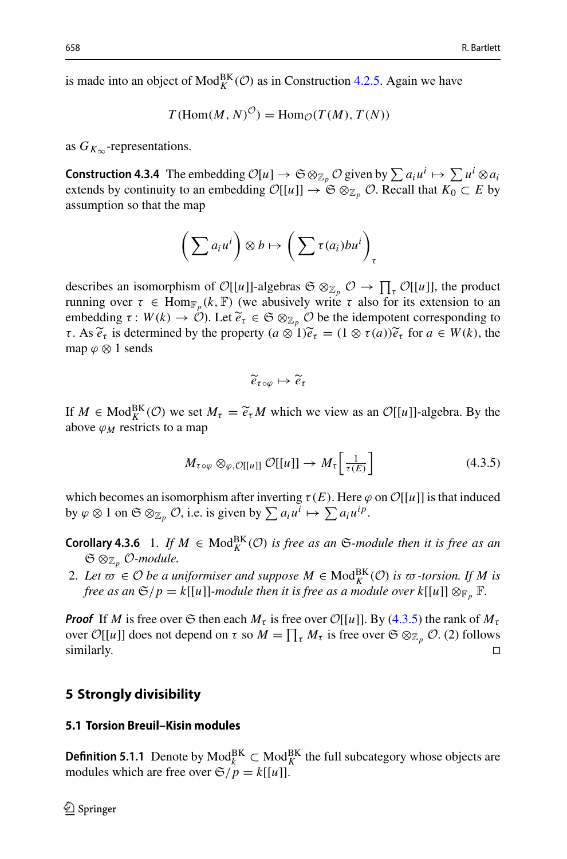is made into an object of  $Mod_K^{BK}(\mathcal{O})$  as in Construction [4.2.5.](#page-11-0) Again we have

$$
T(\text{Hom}(M, N)^{\mathcal{O}}) = \text{Hom}_{\mathcal{O}}(T(M), T(N))
$$

<span id="page-13-4"></span>as  $G_{K_{\infty}}$ -representations.

 $T(\text{Hom}(M, N)^{\mathcal{O}}) = \text{Hom}_{\mathcal{O}}(T(M), T(N))$ <br>
as  $G_{K_{\infty}}$ -representations.<br> **Construction 4.3.4** The embedding  $\mathcal{O}[u] \to \mathfrak{S} \otimes_{\mathbb{Z}_p} \mathcal{O}$  given by  $\sum a_i u^i \mapsto \sum u^i \otimes a_i$ <br>
axtends by continuity to an ambadding  $\mathcal{$ extends by continuity to an embedding  $\mathcal{O}[[u]] \to \mathfrak{S} \otimes_{\mathbb{Z}_p} \mathcal{O}$ . Recall that  $K_0 \subset E$  by assumption so that the map

$$
\left(\sum a_i u^i\right) \otimes b \mapsto \left(\sum \tau(a_i) b u^i\right)_{\tau}
$$

 $\left(\sum a_i u^i\right) \otimes b \mapsto \left(\sum \tau(a_i) b u^i\right)_{\tau}$ <br>describes an isomorphism of  $\mathcal{O}[[u]]$ -algebras  $\mathfrak{S} \otimes_{\mathbb{Z}_p} \mathcal{O} \to \prod_{\tau} \mathcal{O}[[u]]$ , the product running over  $\tau \in \text{Hom}_{\mathbb{F}_p}(k, \mathbb{F})$  (we abusively write  $\tau$  also for its extension to an describes an isomorphism of  $\mathcal{O}[[u]$ <br>running over  $\tau \in \text{Hom}_{\mathbb{F}_p}(k, \mathbb{F})$  (embedding  $\tau : W(k) \to \mathcal{O}$ ). Let  $\tilde{e}_\tau$ *embedding*  $\tau: W(k) \to \mathcal{O}$ ). Let  $\widetilde{e}_{\tau} \in \mathfrak{S} \otimes_{\mathbb{Z}_p} \mathcal{O}$  be the idempotent corresponding to describes an isomorphism of  $\mathcal{O}[[u]]$ -algebras  $\mathfrak{S} \otimes_{\mathbb{Z}_p} \mathcal{O} \to \prod_{\tau}$ <br>running over  $\tau \in \text{Hom}_{\mathbb{F}_p}(k, \mathbb{F})$  (we abusively write  $\tau$  also for<br>embedding  $\tau : W(k) \to \mathcal{O}$ ). Let  $\widetilde{e}_{\tau} \in \mathfrak{S} \otimes_{\mathbb{$ *e*<sub>τ oφ</sub>  $(a \otimes 1) \tilde{e}_{\tau} = (1 \otimes \tau(a)) \tilde{e}_{\tau}$  for  $a \in W(k)$ , the<br>  $\tilde{e}_{\tau \circ \varphi} \mapsto \tilde{e}_{\tau}$ map  $\varphi \otimes 1$  sends

$$
\widetilde{e}_{\tau \circ \varphi} \mapsto \widetilde{e}_{\tau}
$$

 $\widetilde{e}_{\tau \circ \varphi} \mapsto \widetilde{e}_{\tau}$ <br>If  $M \in \text{Mod}_{K}^{\text{BK}}(\mathcal{O})$  we set  $M_{\tau} = \widetilde{e}_{\tau}M$  which we view as an  $\mathcal{O}[[u]]$ -algebra. By the above  $\varphi_M$  restricts to a map

<span id="page-13-1"></span>
$$
M_{\tau \circ \varphi} \otimes_{\varphi, \mathcal{O}[[u]]} \mathcal{O}[[u]] \to M_{\tau} \left[ \frac{1}{\tau(E)} \right] \tag{4.3.5}
$$

which becomes an isomorphism after inverting  $\tau(E)$ . Here  $\varphi$  on  $\mathcal{O}[[u]]$  is that induced by  $\varphi \otimes 1$  on  $\mathfrak{S} \otimes_{\mathbb{Z}_p} \mathcal{O}$ , i.e. is given by  $\sum a_i u^i \mapsto \sum a_i u^{ip}$ .

<span id="page-13-3"></span>**Corollary 4.3.6** 1. If  $M \in Mod_K^{BK}(\mathcal{O})$  *is free as an*  $\mathfrak{S}\text{-module then it is free as an}$ S ⊗Z*<sup>p</sup> O-module.*

*free as an*  $\mathfrak{S}/p = k[[u]]$ *-module then it is free as a module over*  $k[[u]] \otimes_{\mathbb{F}_p} \mathbb{F}$ *.* 

2. Let  $\overline{\omega} \in \mathcal{O}$  *be a uniformiser and suppose*  $M \in \text{Mod}_K^{\text{BK}}(\mathcal{O})$  *is*  $\overline{\omega}$ -torsion. If *M is free as an*  $\mathfrak{S}/p = k[[u]]$ -module then it is free as a module over  $k[[u]] \otimes_{\mathbb{F}_p} \mathbb{F}$ .<br>**Proof** If *Proof* If *M* is free over  $\mathfrak{S}$  then each  $M_{\tau}$  is free over  $\mathcal{O}[[u]]$ . By [\(4.3.5\)](#page-13-1) the rank of  $M_{\tau}$ over  $\mathcal{O}[[u]]$  does not depend on  $\tau$  so  $M = \prod_{\tau} M_{\tau}$  is free over  $\mathfrak{S} \otimes_{\mathbb{Z}_p} \mathcal{O}.$  (2) follows  $\Box$  similarly.

#### <span id="page-13-0"></span>**5 Strongly divisibility**

#### **5.1 Torsion Breuil–Kisin modules**

<span id="page-13-2"></span>**Definition 5.1.1** Denote by  $\text{Mod}_{k}^{\text{BK}}$  ⊂  $\text{Mod}_{K}^{\text{BK}}$  the full subcategory whose objects are modules which are free over  $\mathfrak{S}/p = k[[u]]$ .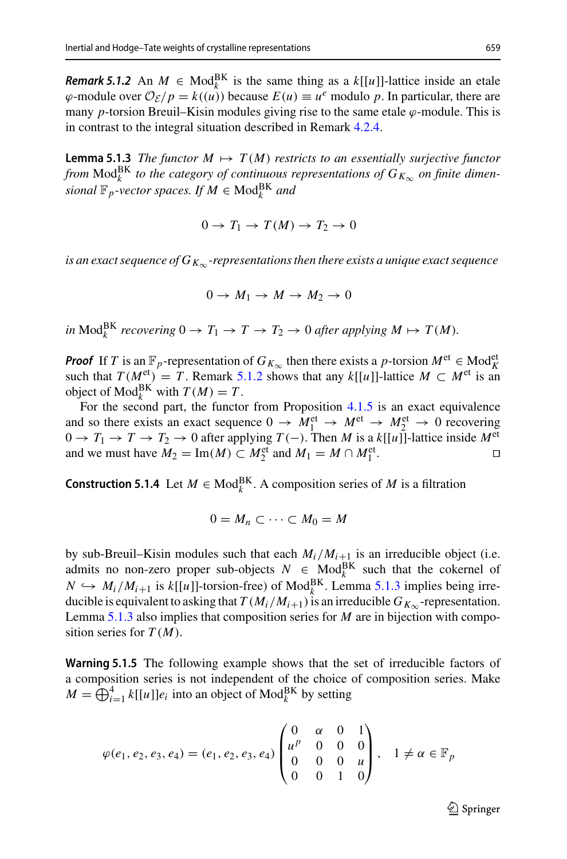*Remark 5.1.2* An  $M \in Mod_k^{BK}$  is the same thing as a  $k[[u]]$ -lattice inside an etale  $\varphi$ -module over  $\mathcal{O}_{\mathcal{E}}/p = k((u))$  because  $E(u) \equiv u^e$  modulo p. In particular, there are many *p*-torsion Breuil–Kisin modules giving rise to the same etale  $\varphi$ -module. This is in contrast to the integral situation described in Remark [4.2.4.](#page-11-1)

<span id="page-14-0"></span>**Lemma 5.1.3** *The functor*  $M \mapsto T(M)$  *restricts to an essentially surjective functor from*  $\text{Mod}_{k}^{\text{BK}}$  *to the category of continuous representations of*  $G_{K_{\infty}}$  *on finite dimen* $sional \mathbb{F}_p$ -vector spaces. If  $M \in \text{Mod}_k^{\text{BK}}$  and

$$
0 \to T_1 \to T(M) \to T_2 \to 0
$$

*is an exact sequence of*  $G_{K_{\infty}}$ *-representations then there exists a unique exact sequence* 

$$
0 \to M_1 \to M \to M_2 \to 0
$$

*in*  $\text{Mod}_{k}^{\text{BK}}$  *recovering*  $0 \to T_1 \to T \to T_2 \to 0$  *after applying*  $M \mapsto T(M)$ *.* 

*Proof* If *T* is an  $\mathbb{F}_p$ -representation of *G<sub>K*∞</sub> then there exists a *p*-torsion  $M^{\text{et}} \in \text{Mod}_{K}^{\text{et}}$ such that  $T(M<sup>et</sup>) = T$ . Remark [5.1.2](#page-13-2) shows that any  $k[[u]]$ -lattice  $M \subset M<sup>et</sup>$  is an object of  $\text{Mod}_k^{\text{BK}}$  with  $T(M) = T$ .

For the second part, the functor from Proposition [4.1.5](#page-10-0) is an exact equivalence and so there exists an exact sequence  $0 \rightarrow M_1^{\text{et}} \rightarrow M_2^{\text{et}} \rightarrow M_2^{\text{et}} \rightarrow 0$  recovering 0 → *T*<sub>1</sub> → *T* → *T*<sub>2</sub> → 0 after applying *T*(−). Then *M* is a *k*[[*u*]]<sup>-</sup>]-lattice inside  $M^{\text{et}}$  and we must have  $M_2 = \text{Im}(M) \subset M_2^{\text{et}}$  and  $M_1 = M \cap M_2^{\text{et}}$ . and we must have  $M_2 = \text{Im}(M) \subset M_2^{\text{et}}$  and  $M_1 = M \cap M_1^{\text{et}}$  $\Box$   $\Box$ 

**Construction 5.1.4** Let  $M \in Mod_k^{BK}$ . A composition series of  $M$  is a filtration

$$
0=M_n\subset\cdots\subset M_0=M
$$

by sub-Breuil–Kisin modules such that each  $M_i/M_{i+1}$  is an irreducible object (i.e. admits no non-zero proper sub-objects  $N \in \text{Mod}_k^{\text{BK}}$  such that the cokernel of  $N \hookrightarrow M_i/M_{i+1}$  is  $k[[u]]$ -torsion-free) of Mod<sup>BK</sup>. Lemma [5.1.3](#page-14-0) implies being irreducible is equivalent to asking that  $T(M_i/M_{i+1})$  is an irreducible  $G_{K_{\infty}}$ -representation. Lemma [5.1.3](#page-14-0) also implies that composition series for *M* are in bijection with composition series for *T* (*M*).

Warning 5.1.5 The following example shows that the set of irreducible factors of a composition series is not independent of the choice of composition series. Make **Example 3.1.5** The following example shows that the a composition series is not independent of the choice  $M = \bigoplus_{i=1}^{4} k[[u]]e_i$  into an object of Mod<sub>k</sub><sup>BK</sup> by setting

$$
\varphi(e_1, e_2, e_3, e_4) = (e_1, e_2, e_3, e_4) \begin{pmatrix} 0 & \alpha & 0 & 1 \\ u^p & 0 & 0 & 0 \\ 0 & 0 & 0 & u \\ 0 & 0 & 1 & 0 \end{pmatrix}, \quad 1 \neq \alpha \in \mathbb{F}_p
$$

 $\mathcal{D}$  Springer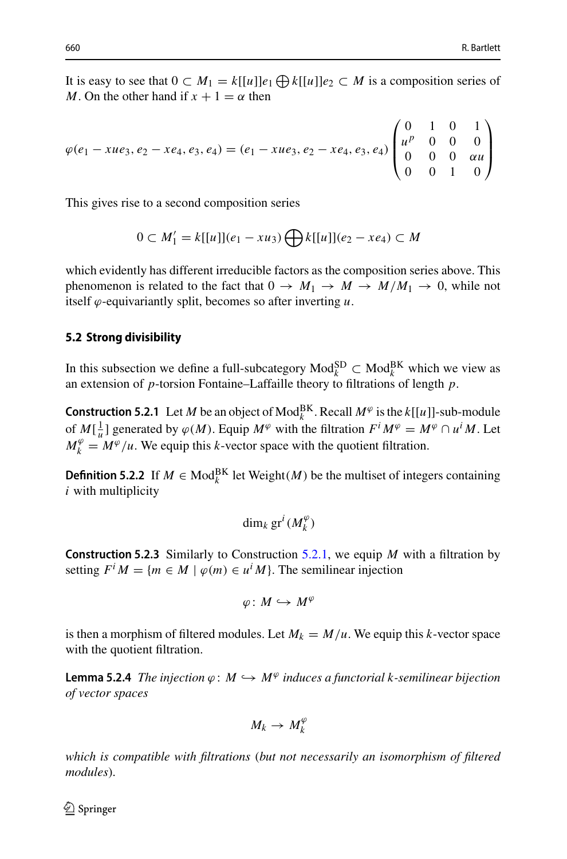It is easy to see that  $0 \subset M_1 = k[[u]]e_1 \bigoplus k[[u]]e_2 \subset M$  is a composition series of *M*. On the other hand if  $x + 1 = \alpha$  then

$$
\varphi(e_1 - xue_3, e_2 - xe_4, e_3, e_4) = (e_1 - xue_3, e_2 - xe_4, e_3, e_4) \begin{pmatrix} 0 & 1 & 0 & 1 \\ u^p & 0 & 0 & 0 \\ 0 & 0 & 0 & \alpha u \\ 0 & 0 & 1 & 0 \end{pmatrix}
$$

This gives rise to a second composition series

$$
0 \subset M_1' = k[[u]](e_1 - xu_3) \bigoplus k[[u]](e_2 - xe_4) \subset M
$$

which evidently has different irreducible factors as the composition series above. This phenomenon is related to the fact that  $0 \to M_1 \to M \to M/M_1 \to 0$ , while not itself  $\varphi$ -equivariantly split, becomes so after inverting  $u$ .

#### **5.2 Strong divisibility**

<span id="page-15-0"></span>In this subsection we define a full-subcategory  $\text{Mod}_{k}^{\text{SD}}$  ⊂  $\text{Mod}_{k}^{\text{BK}}$  which we view as an extension of *p*-torsion Fontaine–Laffaille theory to filtrations of length *p*.

**Construction 5.2.1** Let *M* be an object of  $\text{Mod}_{k}^{\text{BK}}$ . Recall  $M^{\varphi}$  is the *k*[[*u*]]-sub-module of  $M[\frac{1}{u}]$  generated by  $\varphi(M)$ . Equip  $M^{\varphi}$  with the filtration  $F^iM^{\varphi} = M^{\varphi} \cap u^iM$ . Let  $M_k^{\varphi} = M^{\varphi}/u$ . We equip this *k*-vector space with the quotient filtration.

**Definition 5.2.2** If  $M \in Mod_k^{BK}$  let Weight $(M)$  be the multiset of integers containing *i* with multiplicity

$$
\dim_k \operatorname{gr}^i(M_k^{\varphi})
$$

**Construction 5.2.3** Similarly to Construction [5.2.1,](#page-15-0) we equip *M* with a filtration by setting  $F^i M = \{m \in M \mid \varphi(m) \in u^i M\}$ . The semilinear injection

$$
\varphi\colon M\hookrightarrow M^\varphi
$$

is then a morphism of filtered modules. Let  $M_k = M/u$ . We equip this *k*-vector space with the quotient filtration.

**Lemma 5.2.4** *The injection*  $\varphi$ :  $M \hookrightarrow M^{\varphi}$  *induces a functorial k-semilinear bijection of vector spaces*

$$
M_k \to M_k^{\varphi}
$$

*which is compatible with filtrations* (*but not necessarily an isomorphism of filtered modules*)*.*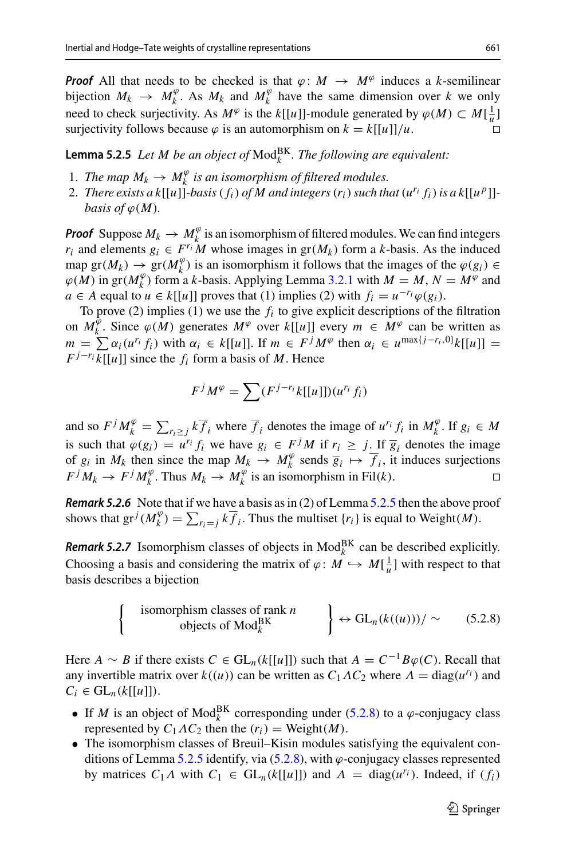*Proof* All that needs to be checked is that  $\varphi$ :  $M \to M^{\varphi}$  induces a *k*-semilinear bijection  $M_k \to M_k^{\varphi}$ . As  $M_k$  and  $M_k^{\varphi}$  have the same dimension over k we only need to check surjectivity. As  $M^{\varphi}$  is the  $k[[u]]$ -module generated by  $\varphi(M) \subset M[\frac{1}{u}]$ surjectivity follows because  $\varphi$  is an automorphism on  $k = k[[u]]/u$ .

<span id="page-16-0"></span>**Lemma 5.2.5** Let M be an object of  $\text{Mod}_{k}^{\text{BK}}$ . The following are equivalent:

- 1. *The map*  $M_k \to M_k^{\varphi}$  *is an isomorphism of filtered modules.*
- 2. *There exists a k*[[*u*]]*-basis*( $f_i$ ) *of M* and integers  $(r_i)$  *such that*  $(u^{r_i} f_i)$  *is a k*[[ $u^p$ ]]*basis of*  $\varphi(M)$ *.*

*Proof* Suppose  $M_k \to M_k^{\varphi}$  is an isomorphism of filtered modules. We can find integers *r<sub>i</sub>* and elements  $g_i \in F^{r_i}M$  whose images in  $gr(M_k)$  form a *k*-basis. As the induced map gr( $M_k$ )  $\rightarrow$  gr( $M_k^{\varphi}$ ) is an isomorphism it follows that the images of the  $\varphi(g_i)$  $\varphi(M)$  in gr( $M_k^{\varphi}$ ) form a *k*-basis. Applying Lemma [3.2.1](#page-8-1) with  $M = M$ ,  $N = M^{\varphi}$  and *a* ∈ *A* equal to *u* ∈ *k*[[*u*]] proves that (1) implies (2) with  $f_i = u^{-r_i} \varphi(g_i)$ .

To prove (2) implies (1) we use the *fi* to give explicit descriptions of the filtration on  $M_k^{\hat{\psi}}$ . Since  $\varphi(M)$  generates  $M^{\varphi}$  over  $k[[u]]$  every  $m \in M^{\varphi}$  can be written as *g*(*M*) in gr(*M*<sub>*k*</sub><sup>*j*</sup>) form a *k*-basis. Applying Lemma 3.2.1 with  $M = M$ ,  $N = M^{\varphi}$  and  $a \in A$  equal to  $u \in k[[u]]$  proves that (1) implies (2) with  $f_i = u^{-r_i}\varphi(g_i)$ .<br>
To prove (2) implies (1) we use the  $f_i$  to give  $F^{j-r_i} k[[u]]$  since the  $f_i$  form a basis of *M*. Hence Fractes  $M^{\psi}$  over  $k[[u]]$  every  $m$ <br>∈  $k[[u]]$ . If  $m \in F^j M^{\varphi}$  then  $\alpha$ <br>m a basis of  $M$ . Hence<br> $M^{\varphi} = \sum (F^{j-r_i} k[[u]]) (u^{r_i} f_i)$ 

$$
F^{j}M^{\varphi} = \sum (F^{j-r_i}k[[u]])(u^{r_i}f_i)
$$

and so  $F^{j} M^{\varphi} = \sum_i (F^{j-i}k[[u]]) (u^{r_i} f_i)$ <br>and so  $F^{j} M^{\varphi}_k = \sum_{r_i \ge j} k \overline{f}_i$  where  $\overline{f}_i$  denotes the image of  $u^{r_i} f_i$  in  $M^{\varphi}_k$ . If  $g_i \in M$ is such that  $\varphi(g_i) = u^{r_i} f_i$  we have  $g_i \in F^j M$  if  $r_i \geq j$ . If  $\overline{g}_i$  denotes the image of  $g_i$  in  $M_k$  then since the map  $M_k \to M_k^{\varphi}$  sends  $\overline{g}_i \mapsto \overline{f}_i$ , it induces surjections  $F^{j} M_{k} \to F^{j} M_{k}^{\varphi}$ . Thus  $M_{k} \to M_{k}^{\varphi}$  is an isomorphism in Fil(*k*). since the *k* if  $\lambda$  e that if  $\lambda_k^{\varphi}$   $= \sum_{k=1}^{k}$ 

<span id="page-16-2"></span>*Remark 5.2.6* Note that if we have a basis as in (2) of Lemma [5.2.5](#page-16-0) then the above proof shows that  $gr^j(M_k^{\varphi}) = \sum_{r_i=j} k \overline{f_i}$ . Thus the multiset  $\{r_i\}$  is equal to Weight $(M)$ .

<span id="page-16-3"></span>**Remark 5.2.7** Isomorphism classes of objects in  $\text{Mod}_{k}^{\text{BK}}$  can be described explicitly. Choosing a basis and considering the matrix of  $\varphi: M \hookrightarrow M[\frac{1}{u}]$  with respect to that basis describes a bijection

<span id="page-16-1"></span>
$$
\begin{cases}\n\text{isomorphism classes of rank } n \\
\text{objects of Mod}_{k}^{\text{BK}}\n\end{cases}\n\Rightarrow \text{GL}_{n}(k((u)))/ \sim (5.2.8)
$$

Here *A* ∼ *B* if there exists  $C \in GL_n(k[[u]])$  such that  $A = C^{-1}B\varphi(C)$ . Recall that any invertible matrix over  $k((u))$  can be written as  $C_1AC_2$  where  $A = \text{diag}(u^{r_i})$  and  $C_i \in GL_n(k[[u]]).$ 

- If *M* is an object of Mod<sub>k</sub><sup>BK</sup> corresponding under [\(5.2.8\)](#page-16-1) to a  $\varphi$ -conjugacy class represented by  $C_1AC_2$  then the  $(r_i)$  = Weight $(M)$ .
- The isomorphism classes of Breuil–Kisin modules satisfying the equivalent con-ditions of Lemma [5.2.5](#page-16-0) identify, via  $(5.2.8)$ , with  $\varphi$ -conjugacy classes represented by matrices  $C_1 \Lambda$  with  $C_1 \in GL_n(k[[u]])$  and  $\Lambda = \text{diag}(u^{r_i})$ . Indeed, if  $(f_i)$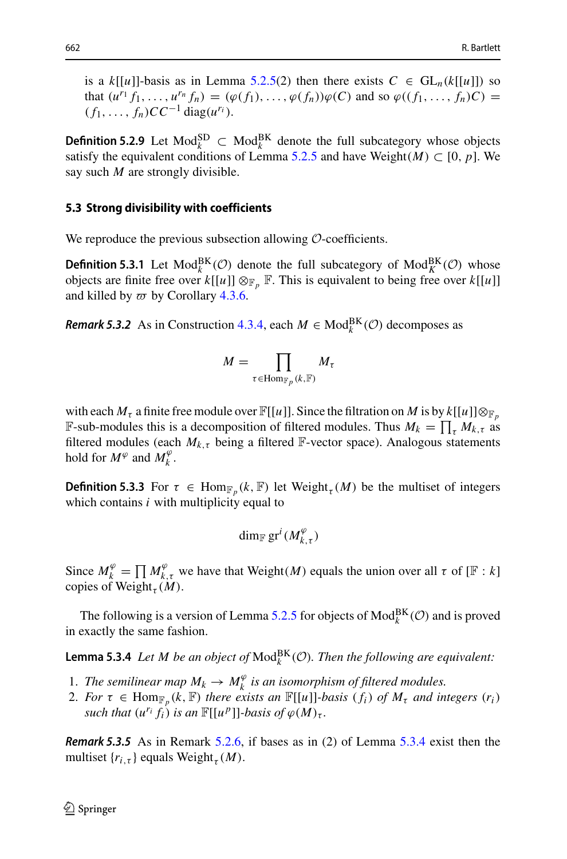is a  $k[[u]]$ -basis as in Lemma [5.2.5\(](#page-16-0)2) then there exists  $C \in GL_n(k[[u]])$  so that  $(u^{r_1} f_1, \ldots, u^{r_n} f_n) = (\varphi(f_1), \ldots, \varphi(f_n))\varphi(C)$  and so  $\varphi((f_1, \ldots, f_n)C) =$  $(f_1, ..., f_n)$ *CC*<sup>−1</sup> diag( $u^{r_i}$ ).

**Definition 5.2.9** Let Mod<sup>SD</sup> ⊂ Mod<sup>BK</sup> denote the full subcategory whose objects satisfy the equivalent conditions of Lemma [5.2.5](#page-16-0) and have Weight $(M) \subset [0, p]$ . We say such *M* are strongly divisible.

#### **5.3 Strong divisibility with coefficients**

We reproduce the previous subsection allowing *O*-coefficients.

**Definition 5.3.1** Let  $\text{Mod}_{k}^{\text{BK}}(\mathcal{O})$  denote the full subcategory of  $\text{Mod}_{K}^{\text{BK}}(\mathcal{O})$  whose objects are finite free over  $k[[u]] \otimes_{\mathbb{F}_p} \mathbb{F}$ . This is equivalent to being free over  $k[[u]]$ and killed by  $\varpi$  by Corollary [4.3.6.](#page-13-3)

*Remark 5.3.2* As in Construction [4.3.4,](#page-13-4) each  $M \in Mod_k^{BK}(\mathcal{O})$  decomposes as

4.3.6.  
on 4.3.4, each 
$$
M \in M
$$
  

$$
M = \prod_{\tau \in \text{Hom}_{\mathbb{F}_p}(k, \mathbb{F})} M_{\tau}
$$

with each  $M_{\tau}$  a finite free module over  $\mathbb{F}[[u]]$ . Since the filtration on  $M$  is by  $k[[u]] \otimes_{\mathbb{F}_p}$  $M = \prod_{\tau \in \text{Hom}_{\mathbb{F}_p}(k, \mathbb{F})} M_{\tau}$ <br>with each  $M_{\tau}$  a finite free module over  $\mathbb{F}[[u]]$ . Since the filtration on *M* is by *k*  $\mathbb{F}$ -sub-modules this is a decomposition of filtered modules. Thus  $M_k = \prod_{i=1}^{k}$ **F**-sub-modules this is a decomposition of filtered modules. Thus  $M_k = \prod_{\tau} M_{k,\tau}$  as filtered modules (each  $M_{k,\tau}$  being a filtered  $\mathbb{F}\text{-vector space}$ ). Analogous statements hold for  $M^{\varphi}$  and  $M^{\varphi}_k$ .

**Definition 5.3.3** For  $\tau \in \text{Hom}_{\mathbb{F}_p}(k, \mathbb{F})$  let Weight<sub> $\tau$ </sub>(*M*) be the multiset of integers which contains  $i$  with multiplicity equal to

<span id="page-17-0"></span>
$$
\dim_{\mathbb{F}}\mathrm{gr}^i(M_{k,\tau}^{\varphi})
$$

 $\dim_{\mathbb{F}} \text{gr}^i(M_{k,\tau}^{\varphi})$ <br>Since  $M_k^{\varphi} = \prod M_{k,\tau}^{\varphi}$  we have that Weight(*M*) equals the union over all  $\tau$  of [F : *k*] copies of Weight<sub> $\tau$ </sub> $(M)$ .

The following is a version of Lemma [5.2.5](#page-16-0) for objects of  $\text{Mod}_k^{\text{BK}}(\mathcal{O})$  and is proved in exactly the same fashion.

**Lemma 5.3.4** Let M be an object of  $\text{Mod}_{k}^{\text{BK}}(\mathcal{O})$ . Then the following are equivalent:

- 1. *The semilinear map*  $M_k \to M_k^{\varphi}$  *is an isomorphism of filtered modules.*
- 2. *For*  $\tau \in \text{Hom}_{\mathbb{F}_p}(k, \mathbb{F})$  *there exists an*  $\mathbb{F}[[u]]$ *-basis*  $(f_i)$  *of*  $M_{\tau}$  *and integers*  $(r_i)$ *such that*  $(u^{r_i} f_i)$  *is an*  $\mathbb{F}[[u^p]]$ *-basis of*  $\varphi(M)_\tau$ *.*

*Remark 5.3.5* As in Remark [5.2.6,](#page-16-2) if bases as in (2) of Lemma [5.3.4](#page-17-0) exist then the multiset  $\{r_{i,\tau}\}\$ equals Weight<sub> $\tau(M)$ .</sub>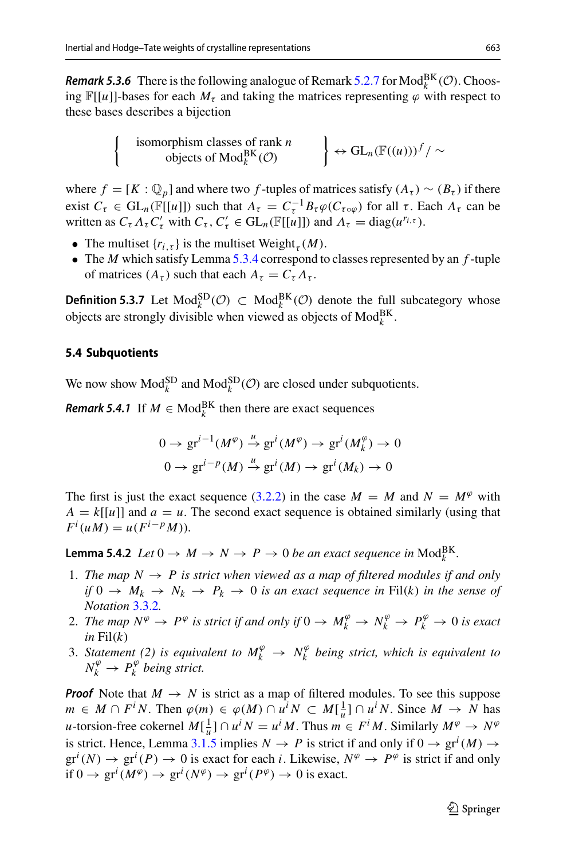**Remark 5.3.6** There is the following analogue of Remark [5.2.7](#page-16-3) for  $Mod_k^{BK}(\mathcal{O})$ . Choosing  $\mathbb{F}[[u]]$ -bases for each  $M_{\tau}$  and taking the matrices representing  $\varphi$  with respect to these bases describes a bijection

$$
\left\{\n\begin{array}{c}\n\text{isomorphism classes of rank } n \\
\text{objects of Mod}_{k}^{\text{BK}}(\mathcal{O})\n\end{array}\n\right\} \leftrightarrow \text{GL}_{n}(\mathbb{F}((u)))^{f}/\sim
$$

where  $f = [K : \mathbb{Q}_p]$  and where two *f*-tuples of matrices satisfy  $(A_\tau) \sim (B_\tau)$  if there exist  $C_{\tau} \in GL_n(\mathbb{F}[[u]])$  such that  $A_{\tau} = C_{\tau}^{-1} B_{\tau} \varphi(C_{\tau \circ \varphi})$  for all  $\tau$ . Each  $A_{\tau}$  can be written as  $C_{\tau} \Lambda_{\tau} C'_{\tau}$  with  $C_{\tau}$ ,  $C'_{\tau} \in GL_n(\mathbb{F}[[u]])$  and  $\Lambda_{\tau} = \text{diag}(u^{r_{i,\tau}})$ .

- The multiset  $\{r_{i,\tau}\}\)$  is the multiset Weight<sub> $\tau$ </sub> $(M)$ .
- The *M* which satisfy Lemma [5.3.4](#page-17-0) correspond to classes represented by an *f* -tuple of matrices  $(A_{\tau})$  such that each  $A_{\tau} = C_{\tau} A_{\tau}$ .

**Definition 5.3.7** Let Mod<sub> $k$ </sub><sup>SD</sup>( $\mathcal{O}$ ) ⊂ Mod<sub> $k$ </sub><sup>BK</sup>( $\mathcal{O}$ ) denote the full subcategory whose objects are strongly divisible when viewed as objects of  $\text{Mod}_{k}^{\text{BK}}$ .

## **5.4 Subquotients**

We now show  $\text{Mod}_k^{\text{SD}}$  and  $\text{Mod}_k^{\text{SD}}(\mathcal{O})$  are closed under subquotients.

*Remark 5.4.1* If  $M \in Mod_k^{BK}$  then there are exact sequences

<span id="page-18-0"></span>
$$
0 \to \operatorname{gr}^{i-1}(M^{\varphi}) \xrightarrow{\mu} \operatorname{gr}^{i}(M^{\varphi}) \to \operatorname{gr}^{i}(M^{\varphi}_{k}) \to 0
$$

$$
0 \to \operatorname{gr}^{i-p}(M) \xrightarrow{\mu} \operatorname{gr}^{i}(M) \to \operatorname{gr}^{i}(M_{k}) \to 0
$$

The first is just the exact sequence [\(3.2.2\)](#page-8-2) in the case  $M = M$  and  $N = M^{\varphi}$  with  $A = k[[u]]$  and  $a = u$ . The second exact sequence is obtained similarly (using that  $F^{i}(uM) = u(F^{i-p}M)$ .

<span id="page-18-1"></span>**Lemma 5.4.2** *Let*  $0 \to M \to N \to P \to 0$  *be an exact sequence in*  $\text{Mod}_{k}^{\text{BK}}$ *.* 

- 1. The map  $N \to P$  is strict when viewed as a map of filtered modules if and only *if*  $0 \rightarrow M_k \rightarrow N_k \rightarrow P_k \rightarrow 0$  *is an exact sequence in* Fil(*k*) *in the sense of Notation* [3.3.2](#page-9-1)*.*
- 2. *The map*  $N^{\varphi} \to P^{\varphi}$  *is strict if and only if*  $0 \to M^{\varphi}_k \to N^{\varphi}_k \to P^{\varphi}_k \to 0$  *is exact*  $in$  Fil $(k)$
- 3. *Statement* (2) is equivalent to  $M_k^{\varphi} \to N_k^{\varphi}$  being strict, which is equivalent to  $N_k^{\varphi} \rightarrow P_k^{\varphi}$  *being strict.*

*Proof* Note that  $M \to N$  is strict as a map of filtered modules. To see this suppose *m* ∈ *M* ∩ *F*<sup>*i*</sup> *N*. Then  $\varphi(m) \in \varphi(M) \cap u^i N \subset M[\frac{1}{u}] \cap u^i N$ . Since *M* → *N* has *u*-torsion-free cokernel  $M[\frac{1}{u}] \cap u^i N = u^i M$ . Thus  $m \in F^i M$ . Similarly  $M^\varphi \to N^\varphi$ is strict. Hence, Lemma [3.1.5](#page-7-1) implies  $N \to P$  is strict if and only if  $0 \to \text{gr}^i(M) \to$  $gr^{i}(N) \to gr^{i}(P) \to 0$  is exact for each *i*. Likewise,  $N^{\varphi} \to P^{\varphi}$  is strict if and only if  $0 \to \text{gr}^i(M^\varphi) \to \text{gr}^i(N^\varphi) \to \text{gr}^i(P^\varphi) \to 0$  is exact.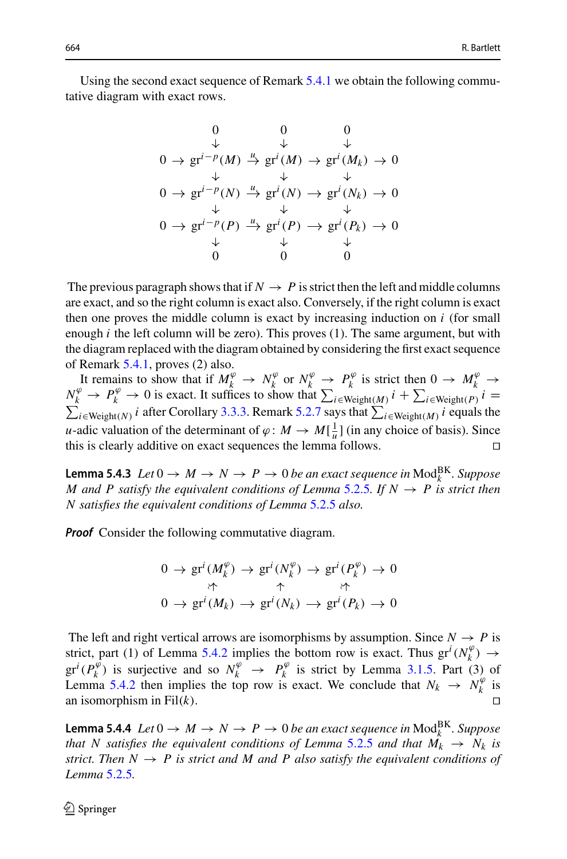Using the second exact sequence of Remark [5.4.1](#page-18-0) we obtain the following commutative diagram with exact rows.

$$
0 \qquad 0 \qquad 0
$$
  
\n
$$
0 \rightarrow \text{gr}^{i-p}(M) \xrightarrow{\mu} \text{gr}^{i}(M) \rightarrow \text{gr}^{i}(M_{k}) \rightarrow 0
$$
  
\n
$$
0 \rightarrow \text{gr}^{i-p}(N) \xrightarrow{\mu} \text{gr}^{i}(N) \rightarrow \text{gr}^{i}(N_{k}) \rightarrow 0
$$
  
\n
$$
0 \rightarrow \text{gr}^{i-p}(P) \xrightarrow{\mu} \text{gr}^{i}(P) \rightarrow \text{gr}^{i}(P_{k}) \rightarrow 0
$$
  
\n
$$
0 \rightarrow \text{gr}^{i-p}(P) \xrightarrow{\mu} \text{gr}^{i}(P) \rightarrow \text{gr}^{i}(P_{k}) \rightarrow 0
$$
  
\n
$$
\downarrow \qquad \downarrow \qquad \downarrow
$$
  
\n
$$
0 \qquad 0 \qquad 0
$$

The previous paragraph shows that if  $N \to P$  is strict then the left and middle columns are exact, and so the right column is exact also. Conversely, if the right column is exact then one proves the middle column is exact by increasing induction on *i* (for small enough  $i$  the left column will be zero). This proves  $(1)$ . The same argument, but with the diagram replaced with the diagram obtained by considering the first exact sequence of Remark [5.4.1,](#page-18-0) proves (2) also. the left column will be zero). This proves (1). The same argum<br> *i*m replaced with the diagram obtained by considering the first<br> *k* 5.4.1, proves (2) also.<br>
ains to show that if  $M_k^{\varphi} \to N_k^{\varphi}$  or  $N_k^{\varphi} \to P_k^{\varphi}$ 

It remains to show that if  $M_k^{\varphi} \to N_k^{\varphi}$  or  $N_k^{\varphi} \to P_k^{\varphi}$  is strict then  $0 \to M_k^{\varphi} \to$ *N*<sup>*k*</sup> → *P*<sup>φ</sup> → *D*<sup>φ</sup> → *N*<sup>*k*</sup> *i*c *n*<sup>*k*</sup> *i*c *N*<sup>*k*</sup> *i*c *N*<sup>φ</sup> → *P*<sup>φ</sup> *i*s strict then 0 → *M*<sup>φ</sup> → *N*<sup>φ</sup> → *N*<sup>φ</sup> → *P*<sup>φ</sup> → *D*<sup>φ</sup> → *D*<sup>φ</sup> → *D*<sup>φ</sup> → *D*<sup>φ</sup> → *D*<sup>φ</sup> → *D*<sup>φ</sup> → *D*<sup>φ</sup> → *D*<sub>*k*</sub><sup>*i*</sup> *u*-adic valuation of the determinant of  $\varphi : M \to M[\frac{1}{u}]$  (in any choice of basis). Since this is clearly additive on exact sequences the lemma follows.

<span id="page-19-1"></span>**Lemma 5.4.3** *Let*  $0 \rightarrow M \rightarrow N \rightarrow P \rightarrow 0$  *be an exact sequence in*  $\text{Mod}_{k}^{\text{BK}}$ *. Suppose M* and *P* satisfy the equivalent conditions of Lemma [5.2.5](#page-16-0). If  $N \rightarrow P$  is strict then *N satisfies the equivalent conditions of Lemma* [5.2.5](#page-16-0) *also.*

*Proof* Consider the following commutative diagram.

$$
0 \to \operatorname{gr}^i(M_k^{\varphi}) \to \operatorname{gr}^i(N_k^{\varphi}) \to \operatorname{gr}^i(P_k^{\varphi}) \to 0
$$
  
\n
$$
\uparrow \qquad \uparrow \qquad \uparrow
$$
  
\n
$$
0 \to \operatorname{gr}^i(M_k) \to \operatorname{gr}^i(N_k) \to \operatorname{gr}^i(P_k) \to 0
$$

The left and right vertical arrows are isomorphisms by assumption. Since  $N \rightarrow P$  is strict, part (1) of Lemma [5.4.2](#page-18-1) implies the bottom row is exact. Thus  $gr<sup>i</sup>(N<sub>k</sub><sup>\varphi</sup>) \rightarrow$  $gr^{i}(P_{k}^{\varphi})$  is surjective and so  $N_{k}^{\varphi} \rightarrow P_{k}^{\varphi}$  is strict by Lemma [3.1.5.](#page-7-1) Part (3) of Lemma [5.4.2](#page-18-1) then implies the top row is exact. We conclude that  $N_k \rightarrow N_k^{\varphi}$  is an isomorphism in Fil(*k*).

<span id="page-19-0"></span>**Lemma 5.4.4**  $Let\ 0 \rightarrow M \rightarrow N \rightarrow P \rightarrow 0$  be an exact sequence in  $\text{Mod}_{k}^{\text{BK}}$ . Suppose *that* N satisfies the equivalent conditions of Lemma [5.2.5](#page-16-0) and that  $M_k \rightarrow N_k$  is *strict. Then*  $N \rightarrow P$  *is strict and*  $M$  *and*  $P$  *also satisfy the equivalent conditions of Lemma* [5.2.5](#page-16-0)*.*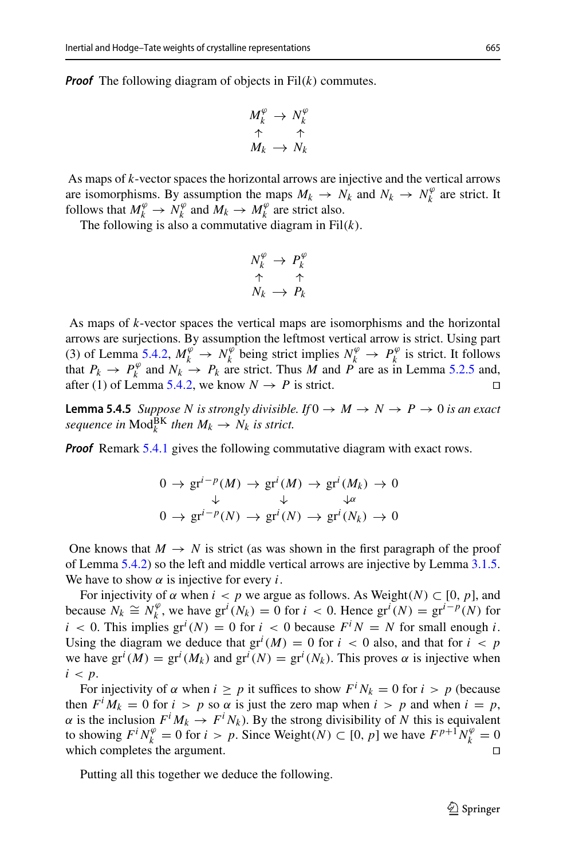*Proof* The following diagram of objects in Fil(*k*) commutes.

$$
M_k^{\varphi} \to N_k^{\varphi}
$$
  

$$
\uparrow \qquad \uparrow
$$
  

$$
M_k \to N_k
$$

As maps of *k*-vector spaces the horizontal arrows are injective and the vertical arrows are isomorphisms. By assumption the maps  $M_k \to N_k$  and  $N_k \to N_k^{\varphi}$  are strict. It follows that  $M_k^{\varphi} \to N_k^{\varphi}$  and  $M_k \to M_k^{\varphi}$  are strict also.

The following is also a commutative diagram in Fil(*k*).

$$
N_k^{\varphi} \rightarrow P_k^{\varphi}
$$
  
\n
$$
\uparrow \qquad \uparrow
$$
  
\n
$$
N_k \rightarrow P_k
$$

As maps of *k*-vector spaces the vertical maps are isomorphisms and the horizontal arrows are surjections. By assumption the leftmost vertical arrow is strict. Using part (3) of Lemma [5.4.2,](#page-18-1)  $M_k^{\varphi} \to N_k^{\varphi}$  being strict implies  $N_k^{\varphi} \to P_k^{\varphi}$  is strict. It follows that  $P_k \to P_k^{\varphi}$  and  $N_k \to P_k$  are strict. Thus *M* and *P* are as in Lemma [5.2.5](#page-16-0) and, after (1) of Lemma [5.4.2,](#page-18-1) we know  $N \to P$  is strict.

<span id="page-20-0"></span>**Lemma 5.4.5** *Suppose N is strongly divisible. If*  $0 \rightarrow M \rightarrow N \rightarrow P \rightarrow 0$  *is an exact sequence in*  $\text{Mod}_k^{\text{BK}}$  *then*  $M_k \to N_k$  *is strict.* 

*Proof* Remark [5.4.1](#page-18-0) gives the following commutative diagram with exact rows.

$$
0 \to \text{gr}^{i-p}(M) \to \text{gr}^{i}(M) \to \text{gr}^{i}(M_k) \to 0
$$
  

$$
\downarrow \qquad \qquad \downarrow \qquad \downarrow \qquad \downarrow \qquad \downarrow \qquad \downarrow \qquad \downarrow \qquad \downarrow \qquad \downarrow \qquad \downarrow \qquad \downarrow \qquad \downarrow \qquad \downarrow \qquad \downarrow \qquad \downarrow \qquad \downarrow \qquad \downarrow \qquad \downarrow \qquad \downarrow \qquad \downarrow \qquad \downarrow \qquad \downarrow \qquad \downarrow \qquad \downarrow \qquad \downarrow \qquad \downarrow \qquad \downarrow \qquad \downarrow \qquad \downarrow \qquad \downarrow \qquad \downarrow \qquad \downarrow \qquad \downarrow \qquad \downarrow \qquad \downarrow \qquad \downarrow \qquad \downarrow \qquad \downarrow \qquad \downarrow \qquad \downarrow \qquad \downarrow \qquad \downarrow \qquad \downarrow \qquad \downarrow \qquad \downarrow \qquad \downarrow \qquad \downarrow \qquad \downarrow \qquad \downarrow \qquad \downarrow \qquad \downarrow \qquad \downarrow \qquad \downarrow \qquad \downarrow \qquad \downarrow \qquad \downarrow \qquad \downarrow \qquad \downarrow \qquad \downarrow \qquad \downarrow \qquad \downarrow \qquad \downarrow \qquad \downarrow \qquad \downarrow \qquad \downarrow \qquad \downarrow \qquad \downarrow \qquad \downarrow \qquad \downarrow \qquad \downarrow \qquad \downarrow \qquad \downarrow \qquad \downarrow \qquad \downarrow \qquad \downarrow \qquad \downarrow \qquad \downarrow \qquad \downarrow \qquad \downarrow \qquad \downarrow \qquad \downarrow \qquad \downarrow \qquad \downarrow \qquad \downarrow \qquad \downarrow \qquad \downarrow \qquad \downarrow \qquad \downarrow \qquad \downarrow \qquad \downarrow \qquad \downarrow \qquad \downarrow \qquad \downarrow \qquad \downarrow \qquad \downarrow \qquad \downarrow \qquad \downarrow \qquad \downarrow \qquad \downarrow \qquad \downarrow \qquad \downarrow \qquad \downarrow \qquad \downarrow \qquad \downarrow \qquad \downarrow \qquad \downarrow \qquad \downarrow \qquad \downarrow \qquad \downarrow \qquad \downarrow \qquad \downarrow \qquad \downarrow \qquad \downarrow \qquad \downarrow \qquad \downarrow \qquad \downarrow \qquad \downarrow \qquad \down
$$

One knows that  $M \to N$  is strict (as was shown in the first paragraph of the proof of Lemma [5.4.2\)](#page-18-1) so the left and middle vertical arrows are injective by Lemma [3.1.5.](#page-7-1) We have to show  $\alpha$  is injective for every *i*.

For injectivity of  $\alpha$  when  $i < p$  we argue as follows. As Weight( $N$ )  $\subset [0, p]$ , and because  $N_k \cong N_k^{\varphi}$ , we have  $\text{gr}^i(N_k) = 0$  for  $i < 0$ . Hence  $\text{gr}^i(N) = \text{gr}^{i-p}(N)$  for  $i < 0$ . This implies  $gr^i(N) = 0$  for  $i < 0$  because  $F^i N = N$  for small enough *i*. Using the diagram we deduce that  $gr^{i}(M) = 0$  for  $i < 0$  also, and that for  $i < p$ we have  $gr^i(M) = gr^i(M_k)$  and  $gr^i(N) = gr^i(N_k)$ . This proves  $\alpha$  is injective when  $i < p$ .

For injectivity of  $\alpha$  when  $i \geq p$  it suffices to show  $F^i N_k = 0$  for  $i > p$  (because then  $F^{i} M_{k} = 0$  for  $i > p$  so  $\alpha$  is just the zero map when  $i > p$  and when  $i = p$ ,  $\alpha$  is the inclusion  $F^i M_k \to F^i N_k$ ). By the strong divisibility of N this is equivalent to showing  $F^i N_k^{\varphi} = 0$  for  $i > p$ . Since Weight $(N) \subset [0, p]$  we have  $F^{p+1} N_k^{\varphi} = 0$ which completes the argument.

<span id="page-20-1"></span>Putting all this together we deduce the following.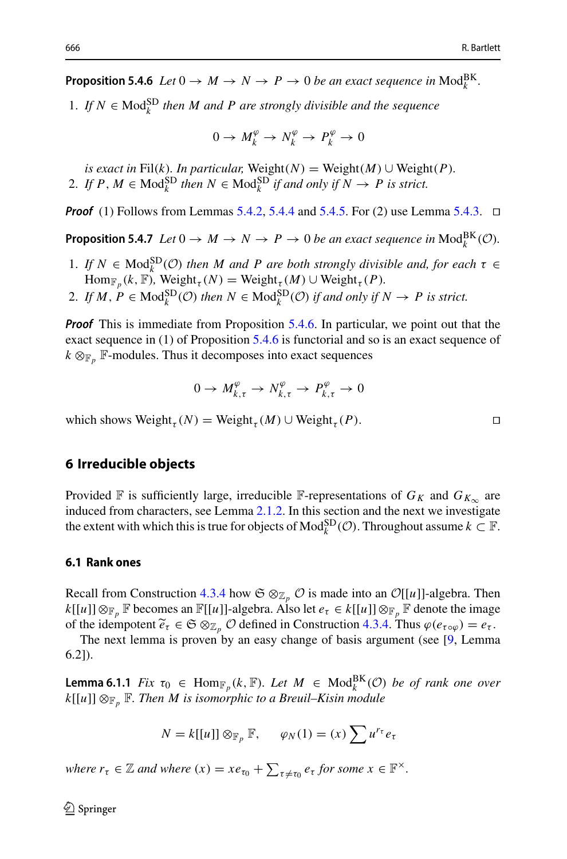**Proposition 5.4.6**  $Let\ 0 \to M \to N \to P \to 0$  be an exact sequence in  $\text{Mod}_{k}^{\text{BK}}$ .

1. If  $N \in \text{Mod}_{k}^{SD}$  then M and P are strongly divisible and the sequence

$$
0 \to M_k^{\varphi} \to N_k^{\varphi} \to P_k^{\varphi} \to 0
$$

*is exact in* Fil(*k*)*. In particular,* Weight(*N*) = Weight(*M*) ∪ Weight(*P*)*.* 2. If  $P, M \in Mod_k^{\text{SD}}$  then  $N \in Mod_k^{\text{SD}}$  if and only if  $N \to P$  is strict.

<span id="page-21-1"></span>*Proof* (1) Follows from Lemmas [5.4.2,](#page-18-1) [5.4.4](#page-19-0) and [5.4.5.](#page-20-0) For (2) use Lemma [5.4.3.](#page-19-1)  $\Box$ 

**Proposition 5.4.7** *Let*  $0 \to M \to N \to P \to 0$  *be an exact sequence in*  $\text{Mod}_{k}^{\text{BK}}(\mathcal{O})$ *.* 

- 1. *If*  $N \in Mod_k^{\text{SD}}(\mathcal{O})$  *then M* and *P* are both strongly divisible and, for each  $\tau \in$  $\text{Hom}_{\mathbb{F}_p}(k, \mathbb{F})$ , Weight<sub> $\tau$ </sub>(*N*) = Weight<sub> $\tau$ </sub>(*M*) ∪ Weight<sub> $\tau$ </sub>(*P*).
- 2. If  $M, P \in Mod_k^{SD}(\mathcal{O})$  then  $N \in Mod_k^{SD}(\mathcal{O})$  if and only if  $N \to P$  is strict.

*Proof* This is immediate from Proposition [5.4.6.](#page-20-1) In particular, we point out that the exact sequence in (1) of Proposition [5.4.6](#page-20-1) is functorial and so is an exact sequence of  $k \otimes_{\mathbb{F}_p}$  F-modules. Thus it decomposes into exact sequences

$$
0 \to M_{k,\tau}^{\varphi} \to N_{k,\tau}^{\varphi} \to P_{k,\tau}^{\varphi} \to 0
$$

which shows Weight<sub>r</sub>  $(N)$  = Weight<sub>r</sub>  $(M)$  ∪ Weight<sub>r</sub>  $(P)$ .

## <span id="page-21-0"></span>**6 Irreducible objects**

Provided F is sufficiently large, irreducible F-representations of  $G_K$  and  $G_{K_\infty}$  are induced from characters, see Lemma [2.1.2.](#page-4-1) In this section and the next we investigate the extent with which this is true for objects of  $\text{Mod}_k^{\text{SD}}(\mathcal{O})$ . Throughout assume  $k \subset \mathbb{F}$ .

#### **6.1 Rank ones**

Recall from Construction [4.3.4](#page-13-4) how  $\mathfrak{S} \otimes_{\mathbb{Z}_p} \mathcal{O}$  is made into an  $\mathcal{O}[[u]]$ -algebra. Then  $k[[u]] \otimes_{\mathbb{F}_p} \mathbb{F}$  becomes an  $\mathbb{F}[[u]]$ -algebra. Also let  $e_{\tau} \in k[[u]] \otimes_{\mathbb{F}_p} \mathbb{F}$  denote the image Recall from Construction 4.3.4 how  $\mathfrak{S} \otimes_{\mathbb{Z}_p} \mathcal{O}$  is made into an  $\mathcal{O}[[u]]$ -algebra. The  $k[[u]] \otimes_{\mathbb{F}_p} \mathbb{F}$  becomes an  $\mathbb{F}[[u]]$ -algebra. Also let  $e_\tau \in k[[u]] \otimes_{\mathbb{F}_p} \mathbb{F}$  denote the imag of th

The next lemma is proven by an easy change of basis argument (see [\[9,](#page-36-0) Lemma 6.2]).

<span id="page-21-2"></span>**Lemma 6.1.1** *Fix*  $\tau_0 \in \text{Hom}_{\mathbb{F}_p}(k, \mathbb{F})$ *. Let*  $M \in \text{Mod}_k^{\text{BK}}(\mathcal{O})$  *be of rank one over*  $k[[u]] \otimes_{\mathbb{F}_p} \mathbb{F}$ *. Then M is isomorphic to a Breuil–Kisin module*  $\overline{D}$ 

$$
N = k[[u]] \otimes_{\mathbb{F}_p} \mathbb{F}, \qquad \varphi_N(1) = (x) \sum u^{r_\tau} e_\tau
$$
  
where  $r_\tau \in \mathbb{Z}$  and where  $(x) = xe_{\tau_0} + \sum_{\tau \neq \tau_0} e_\tau$  for some  $x \in \mathbb{F}^\times$ .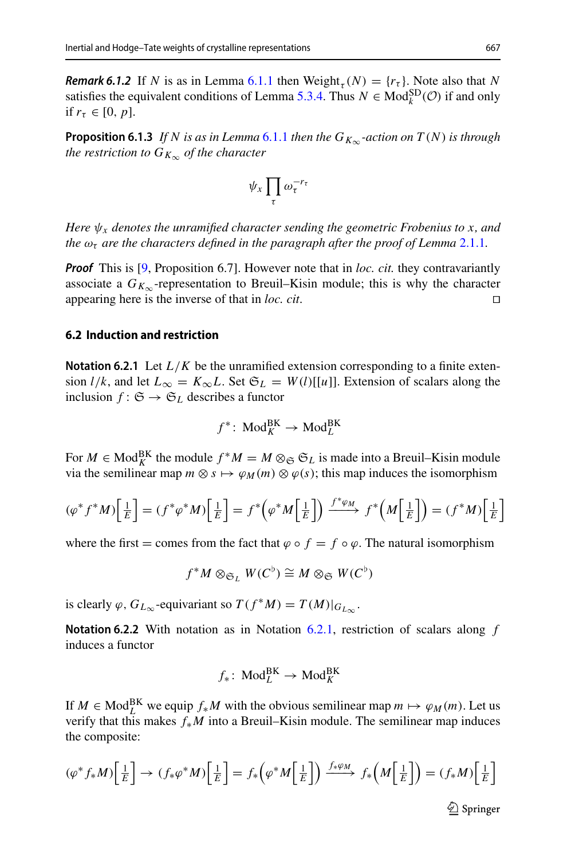*Remark 6.1.2* If *N* is as in Lemma [6.1.1](#page-21-2) then Weight,  $(N) = \{r_{\tau}\}\$ . Note also that *N* satisfies the equivalent conditions of Lemma [5.3.4.](#page-17-0) Thus  $N \in Mod_k^{SD}(\mathcal{O})$  if and only if  $r_{\tau} \in [0, p]$ .

<span id="page-22-1"></span>**Proposition 6.1.3** *If N* is as in Lemma [6.1.1](#page-21-2) then the  $G_{K_{\infty}}$ -action on  $T(N)$  is through *the restriction to*  $G_{K_{\infty}}$  *of the character* 

$$
\psi_x \prod_{\tau} \omega_{\tau}^{-r_{\tau}}
$$

*Here*  $\psi_x$  *denotes the unramified character sending the geometric Frobenius to x, and the*  $\omega_{\tau}$  *are the characters defined in the paragraph after the proof of Lemma* [2.1.1](#page-4-0)*.* 

*Proof* This is [\[9,](#page-36-0) Proposition 6.7]. However note that in *loc. cit.* they contravariantly associate a  $G_{K_{\infty}}$ -representation to Breuil–Kisin module; this is why the character appearing here is the inverse of that in *loc. cit.* appearing here is the inverse of that in *loc. cit*.

### **6.2 Induction and restriction**

<span id="page-22-0"></span>**Notation 6.2.1** Let *L*/*K* be the unramified extension corresponding to a finite extension *l/k*, and let  $L_{\infty} = K_{\infty}L$ . Set  $\mathfrak{S}_L = W(l)[[u]]$ . Extension of scalars along the inclusion  $f: \mathfrak{S} \to \mathfrak{S}_L$  describes a functor

$$
f^* \colon \mathrm{Mod}_K^{\mathrm{BK}} \to \mathrm{Mod}_L^{\mathrm{BK}}
$$

For  $M \in \text{Mod}_{K}^{\text{BK}}$  the module  $f^*M = M \otimes_{\mathfrak{S}} \mathfrak{S}_L$  is made into a Breuil–Kisin module via the semilinear map  $m \otimes s \mapsto \varphi_M(m) \otimes \varphi(s)$ ; this map induces the isomorphism  $\mathbf{P}^{\mathbf{V}}$ 

$$
(\varphi^* f^* M) \left[ \frac{1}{E} \right] = (f^* \varphi^* M) \left[ \frac{1}{E} \right] = f^* \left( \varphi^* M \left[ \frac{1}{E} \right] \right) \xrightarrow{f^* \varphi_M} f^* \left( M \left[ \frac{1}{E} \right] \right) = (f^* M) \left[ \frac{1}{E} \right]
$$

where the first = comes from the fact that  $\varphi \circ f = f \circ \varphi$ . The natural isomorphism

$$
f^*M \otimes_{\mathfrak{S}_L} W(C^{\flat}) \cong M \otimes_{\mathfrak{S}} W(C^{\flat})
$$

is clearly  $\varphi$ ,  $G_{L_{\infty}}$ -equivariant so  $T(f^*M) = T(M)|_{G_{L_{\infty}}}$ .

**Notation 6.2.2** With notation as in Notation [6.2.1,](#page-22-0) restriction of scalars along *f* induces a functor

$$
f_*\colon \operatorname{Mod}^{\operatorname{BK}}_L\to \operatorname{Mod}^{\operatorname{BK}}_K
$$

If  $M \in Mod_L^{BK}$  we equip  $f_*M$  with the obvious semilinear map  $m \mapsto \varphi_M(m)$ . Let us verify that this makes *f*∗*M* into a Breuil–Kisin module. The semilinear map induces the composite:

$$
(\varphi^* f_* M) \left[ \frac{1}{E} \right] \to (f_* \varphi^* M) \left[ \frac{1}{E} \right] = f_* \left( \varphi^* M \left[ \frac{1}{E} \right] \right) \xrightarrow{f_* \varphi_M} f_* \left( M \left[ \frac{1}{E} \right] \right) = (f_* M) \left[ \frac{1}{E} \right]
$$

 $\circled{2}$  Springer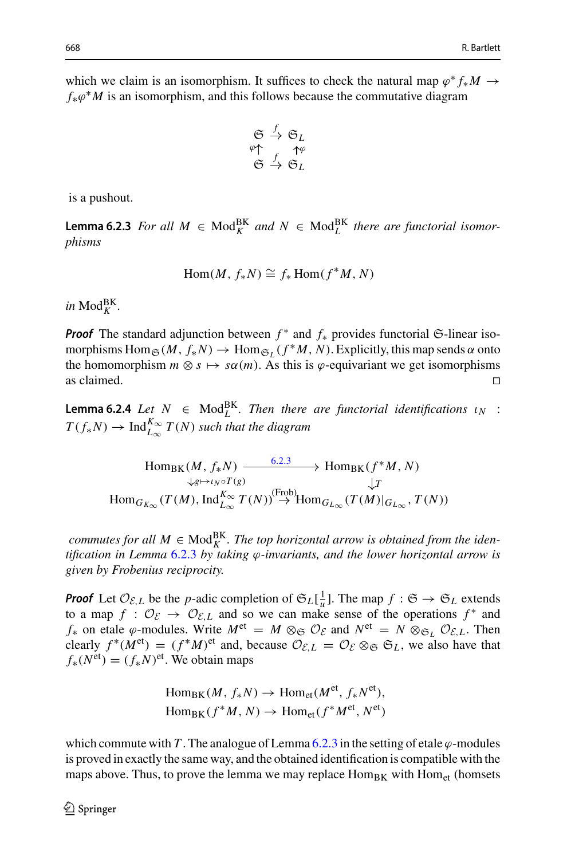which we claim is an isomorphism. It suffices to check the natural map  $\varphi^* f_* M \to$  $f_*\varphi^*M$  is an isomorphism, and this follows because the commutative diagram

$$
\begin{array}{ccc}\n\mathfrak{S} & \xrightarrow{f} & \mathfrak{S}_L \\
\varphi \uparrow & & \uparrow \varphi \\
\mathfrak{S} & \xrightarrow{f} & \mathfrak{S}_L\n\end{array}
$$

is a pushout.

<span id="page-23-0"></span>**Lemma 6.2.3** *For all*  $M \in Mod_K^{BK}$  *and*  $N \in Mod_L^{BK}$  *there are functorial isomorphisms*

$$
\text{Hom}(M, f_*N) \cong f_* \text{Hom}(f^*M, N)
$$

 $in \text{Mod}_{K}^{\text{BK}}$ .

*Proof* The standard adjunction between  $f^*$  and  $f_*$  provides functorial G-linear isomorphisms  $\text{Hom}_{\mathfrak{S}}(M, f_{*}N) \to \text{Hom}_{\mathfrak{S}_L}(f^*M, N)$ . Explicitly, this map sends  $\alpha$  onto the homomorphism  $m \otimes s \mapsto s\alpha(m)$ . As this is  $\varphi$ -equivariant we get isomorphisms as claimed. as claimed.  $\Box$ 

<span id="page-23-1"></span>**Lemma 6.2.4** *Let*  $N \in \text{Mod}_{L}^{\text{BK}}$ *. Then there are functorial identifications*  $\iota_N$  :  $T(f_*N) \to \text{Ind}_{L_{\infty}}^{K_{\infty}} T(N)$  *such that the diagram* 

$$
\operatorname{Hom}_{\operatorname{BK}}(M, f_*N) \xrightarrow{\qquad \qquad 6.2.3 \qquad} \operatorname{Hom}_{\operatorname{BK}}(f^*M, N)
$$
\n
$$
\downarrow_{g \mapsto \iota_N \circ T(g)} \qquad \qquad \downarrow T
$$
\n
$$
\operatorname{Hom}_{G_{K_{\infty}}}(T(M), \operatorname{Ind}_{L_{\infty}}^{K_{\infty}} T(N)) \xrightarrow{\text{(Frob)}} \operatorname{Hom}_{G_{L_{\infty}}}(T(M)|_{G_{L_{\infty}}}, T(N))
$$

 $commutes for all  $M \in \text{Mod}_{K}^{\text{BK}}$ . The top horizontal arrow is obtained from the iden$ *tification in Lemma* [6.2.3](#page-23-0) *by taking* ϕ*-invariants, and the lower horizontal arrow is given by Frobenius reciprocity.*

*Proof* Let  $\mathcal{O}_{\mathcal{E},L}$  be the *p*-adic completion of  $\mathfrak{S}_L[\frac{1}{u}]$ . The map  $f : \mathfrak{S} \to \mathfrak{S}_L$  extends to a map  $f : \mathcal{O}_{\mathcal{E}} \to \mathcal{O}_{\mathcal{E},L}$  and so we can make sense of the operations  $f^*$  and *f*<sup>∗</sup> on etale  $\varphi$ -modules. Write  $M^{et} = M \otimes_{\mathfrak{S}} \mathcal{O}_{\mathcal{E}}$  and  $N^{et} = N \otimes_{\mathfrak{S}_L} \mathcal{O}_{\mathcal{E},L}$ . Then clearly  $f^*(M^{\text{et}}) = (f^*M)^{\text{et}}$  and, because  $\mathcal{O}_{\mathcal{E},L} = \mathcal{O}_{\mathcal{E}} \otimes_{\mathfrak{S}} \mathfrak{S}_L$ , we also have that  $f_*(N^{\text{et}}) = (f_*/N)^{\text{et}}$ . We obtain maps

$$
Hom_{BK}(M, f_*N) \to Hom_{et}(M^{et}, f_*N^{et}),
$$
  

$$
Hom_{BK}(f^*M, N) \to Hom_{et}(f^*M^{et}, N^{et})
$$

which commute with *T*. The analogue of Lemma [6.2.3](#page-23-0) in the setting of etale  $\varphi$ -modules is proved in exactly the same way, and the obtained identification is compatible with the maps above. Thus, to prove the lemma we may replace  $Hom_{BK}$  with  $Hom_{et}$  (homsets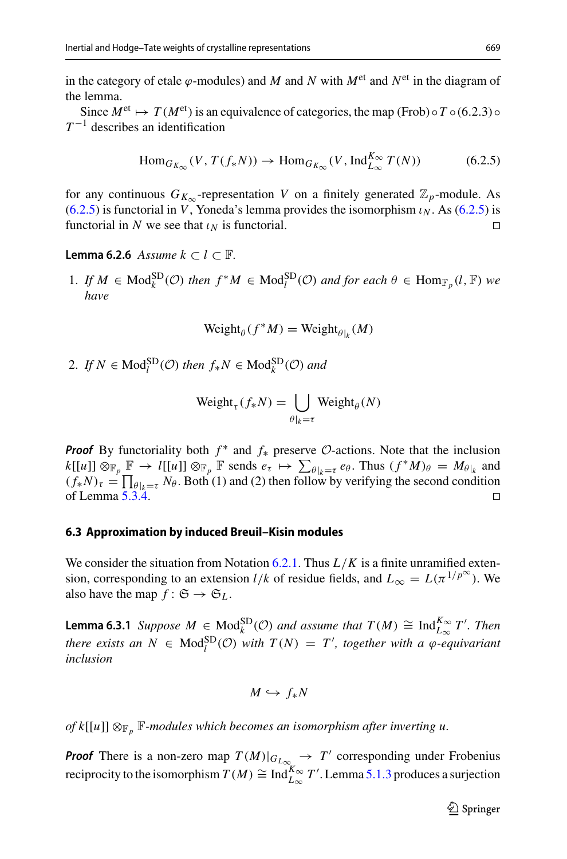in the category of etale  $\varphi$ -modules) and *M* and *N* with  $M^{\text{et}}$  and  $N^{\text{et}}$  in the diagram of the lemma.

Since  $M^{\text{et}} \mapsto T(M^{\text{et}})$  is an equivalence of categories, the map (Frob)  $\circ T \circ (6.2.3) \circ$  $T^{-1}$  describes an identification

<span id="page-24-0"></span>
$$
\text{Hom}_{G_{K_{\infty}}}(V, T(f_{*}N)) \to \text{Hom}_{G_{K_{\infty}}}(V, \text{Ind}_{L_{\infty}}^{K_{\infty}} T(N)) \tag{6.2.5}
$$

for any continuous  $G_{K_{\infty}}$ -representation *V* on a finitely generated  $\mathbb{Z}_p$ -module. As  $(6.2.5)$  is functorial in *V*, Yoneda's lemma provides the isomorphism  $\iota_N$ . As  $(6.2.5)$  is functorial in *N* we see that  $\iota_N$  is functorial.

<span id="page-24-1"></span>**Lemma 6.2.6** *Assume*  $k$  ⊂  $l$  ⊂  $\mathbb{F}$ *.* 

**1.** *If M* ∈ Mod<sub>*k*</sub><sup>SD</sup>(*O*) *then f*<sup>\*</sup>*M* ∈ Mod<sub>*i*</sub><sup>SD</sup>(*O*) *and for each*  $θ$  ∈ Hom<sub> $\mathbb{F}_p$ </sub>(*l*,  $\mathbb{F}$ ) *we have*

$$
Weight_{\theta}(f^*M) = Weight_{\theta|_k}(M)
$$

2. *If*  $N \in Mod_l^{SD}(\mathcal{O})$  *then*  $f_*N \in Mod_k^{SD}(\mathcal{O})$  *and* 

$$
en f_* N \in \text{Mod}_k^{\text{SD}}(\mathcal{O}) \text{ and}
$$
  

$$
\text{Weight}_{\tau}(f_* N) = \bigcup_{\theta|_k = \tau} \text{Weight}_{\theta}(N)
$$

*Proof* By functoriality both  $f^*$  and  $f_*$  preserve  $\mathcal{O}$ -actions. Note that the inclusion *k*[*u*]] ⊗<sub>F*p*</sub> F → *l*[[*u*]] ⊗<sub>F*p*</sub> F sends  $e_t \mapsto \sum_{\theta|k=t}^{\theta} e_{\theta}$ . Thus  $(f^*M)_{\theta} = M_{\theta|k}$  and  $f^*M$  and  $f^*M$  and  $f^*M$  and  $k[[u]]$  ⊗<sub>F</sub><sub>*p*</sub> F → *l*[[*u*]] ⊗<sub>F</sub><sub>*p*</sub> F sends  $e_t \mapsto \sum_{\theta|k=t}^{\theta} e_{\theta}$ . Thus **Proof** By fun<br>  $k[[u]] \otimes_{\mathbb{F}_p} \mathbb{F}$ <br>  $(f_* N)_\tau = \prod$  $(f_*N)_\tau = \prod_{\theta|_k=\tau} N_\theta$ . Both (1) and (2) then follow by verifying the second condition of Lemma 5.3.4. of Lemma [5.3.4.](#page-17-0)

#### **6.3 Approximation by induced Breuil–Kisin modules**

We consider the situation from Notation  $6.2.1$ . Thus  $L/K$  is a finite unramified extension, corresponding to an extension *l/k* of residue fields, and  $L_{\infty} = L(\pi^{1/p^{\infty}})$ . We also have the map  $f: \mathfrak{S} \to \mathfrak{S}_L$ .

<span id="page-24-2"></span>**Lemma 6.3.1** *Suppose*  $M \in Mod_k^{SD}(\mathcal{O})$  *and assume that*  $T(M) \cong Ind_{L_{\infty}}^{K_{\infty}} T'$ *. Then there exists an*  $N \in Mod_l^{SD}(\mathcal{O})$  *with*  $T(N) = T'$ , *together with a*  $\varphi$ *-equivariant inclusion*

$$
M\hookrightarrow f_*N
$$

*of k*[[u]]  $\otimes_{\mathbb{F}_p}$   $\mathbb{F}$ *-modules which becomes an isomorphism after inverting u.* 

*Proof* There is a non-zero map  $T(M)|_{G_{L_\infty}} \to T'$  corresponding under Frobenius reciprocity to the isomorphism  $T(M) \cong \text{Ind}_{L_{\infty}}^{K_{\infty}} T'$ . Lemma [5.1.3](#page-14-0) produces a surjection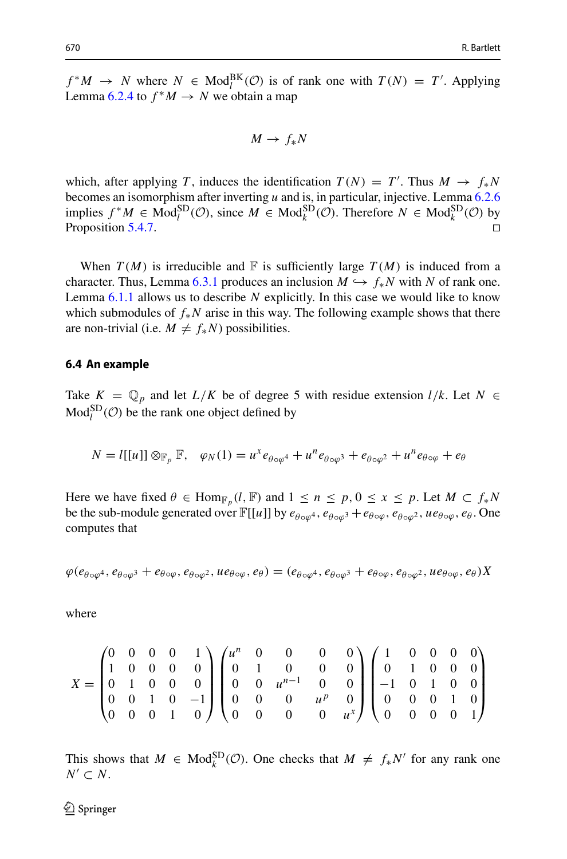$f^*M \to N$  where  $N \in Mod_l^{BK}(\mathcal{O})$  is of rank one with  $T(N) = T'$ . Applying Lemma [6.2.4](#page-23-1) to  $f^*M \to N$  we obtain a map

$$
M \to f_*N
$$

which, after applying *T*, induces the identification  $T(N) = T'$ . Thus  $M \to f_*N$ becomes an isomorphism after inverting *u* and is, in particular, injective. Lemma [6.2.6](#page-24-1) implies  $f^*M \in Mod_l^{SD}(\mathcal{O})$ , since  $M \in Mod_k^{SD}(\mathcal{O})$ . Therefore  $N \in Mod_k^{SD}(\mathcal{O})$  by Proposition [5.4.7.](#page-21-1)

When  $T(M)$  is irreducible and  $\mathbb F$  is sufficiently large  $T(M)$  is induced from a character. Thus, Lemma [6.3.1](#page-24-2) produces an inclusion  $M \hookrightarrow f_*N$  with N of rank one. Lemma [6.1.1](#page-21-2) allows us to describe *N* explicitly. In this case we would like to know which submodules of *f*∗*N* arise in this way. The following example shows that there are non-trivial (i.e.  $M \neq f_*N$ ) possibilities.

#### **6.4 An example**

Take  $K = \mathbb{Q}_p$  and let  $L/K$  be of degree 5 with residue extension  $l/k$ . Let  $N \in$  $Mod<sub>l</sub><sup>SD</sup>( $\mathcal{O}$ )$  be the rank one object defined by

$$
N = l[[u]] \otimes_{\mathbb{F}_p} \mathbb{F}, \quad \varphi_N(1) = u^x e_{\theta \circ \varphi^4} + u^n e_{\theta \circ \varphi^3} + e_{\theta \circ \varphi^2} + u^n e_{\theta \circ \varphi} + e_{\theta}
$$

Here we have fixed  $\theta \in \text{Hom}_{\mathbb{F}_p}(l, \mathbb{F})$  and  $1 \leq n \leq p, 0 \leq x \leq p$ . Let  $M \subset f_*N$ be the sub-module generated over  $\mathbb{F}[[u]]$  by  $e_{\theta \circ \omega^4}$ ,  $e_{\theta \circ \omega^3} + e_{\theta \circ \omega}$ ,  $e_{\theta \circ \omega^2}$ ,  $ue_{\theta \circ \omega}$ ,  $e_{\theta}$ . One computes that

$$
\varphi(e_{\theta \circ \varphi^4}, e_{\theta \circ \varphi^3} + e_{\theta \circ \varphi}, e_{\theta \circ \varphi^2}, u e_{\theta \circ \varphi}, e_{\theta}) = (e_{\theta \circ \varphi^4}, e_{\theta \circ \varphi^3} + e_{\theta \circ \varphi}, e_{\theta \circ \varphi^2}, u e_{\theta \circ \varphi}, e_{\theta})X
$$

where

$$
X = \begin{pmatrix} 0 & 0 & 0 & 0 & 1 \\ 1 & 0 & 0 & 0 & 0 \\ 0 & 1 & 0 & 0 & 0 \\ 0 & 0 & 1 & 0 & -1 \\ 0 & 0 & 0 & 1 & 0 \end{pmatrix} \begin{pmatrix} u^n & 0 & 0 & 0 & 0 \\ 0 & 1 & 0 & 0 & 0 \\ 0 & 0 & u^{n-1} & 0 & 0 \\ 0 & 0 & 0 & u^p & 0 \\ 0 & 0 & 0 & 0 & u^s \end{pmatrix} \begin{pmatrix} 1 & 0 & 0 & 0 & 0 \\ 0 & 1 & 0 & 0 & 0 \\ -1 & 0 & 1 & 0 & 0 \\ 0 & 0 & 0 & 1 & 0 \\ 0 & 0 & 0 & 0 & 1 \end{pmatrix}
$$

This shows that  $M \in Mod_k^{\text{SD}}(\mathcal{O})$ . One checks that  $M \neq f_*N'$  for any rank one  $N'$  ⊂  $N$ .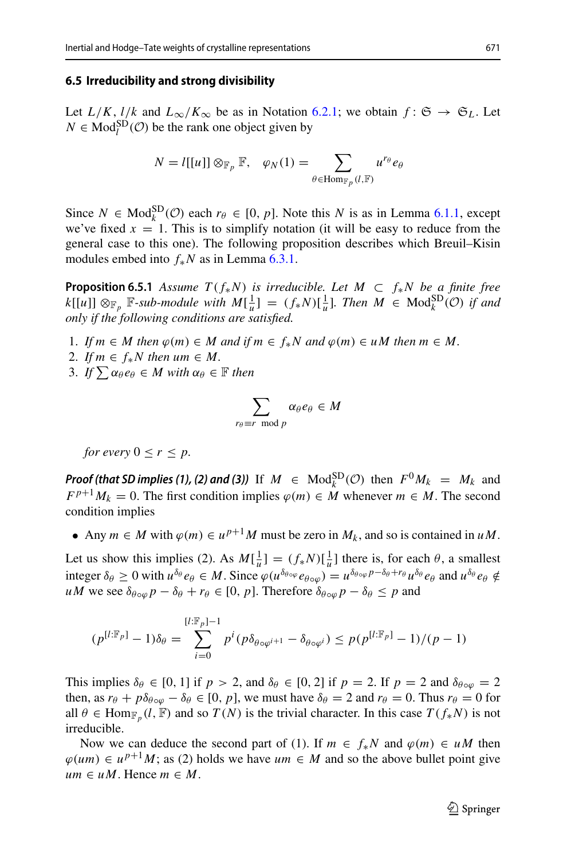#### <span id="page-26-1"></span>**6.5 Irreducibility and strong divisibility**

Let  $L/K$ ,  $l/k$  and  $L_{\infty}/K_{\infty}$  be as in Notation [6.2.1;](#page-22-0) we obtain  $f: \mathfrak{S} \to \mathfrak{S}_L$ . Let  $N \in Mod_l^{SD}(\mathcal{O})$  be the rank one object given by *N* = *l*[ $U_{\infty}/K_{\infty}$  be as in Notation 6.2.1; where the rank one object given by<br>*N* = *l*[[*u*]] ⊗<sub>*Fp*</sub> *F*,  $\varphi_N(1) = \sum$ 

$$
N = l[[u]] \otimes_{\mathbb{F}_p} \mathbb{F}, \quad \varphi_N(1) = \sum_{\theta \in \text{Hom}_{\mathbb{F}_p}(l, \mathbb{F})} u^{r_{\theta}} e_{\theta}
$$

Since  $N \in Mod_k^{SD}(\mathcal{O})$  each  $r_\theta \in [0, p]$ . Note this  $N$  is as in Lemma [6.1.1,](#page-21-2) except we've fixed  $x = 1$ . This is to simplify notation (it will be easy to reduce from the general case to this one). The following proposition describes which Breuil–Kisin modules embed into *f*∗*N* as in Lemma [6.3.1.](#page-24-2)

<span id="page-26-0"></span>**Proposition 6.5.1** *Assume*  $T(f_*N)$  *is irreducible. Let*  $M \subset f_*N$  *be a finite free*  $k[[u]] \otimes_{\mathbb{F}_p} \mathbb{F}$ -sub-module with  $M[\frac{1}{u}] = (f_*N)[\frac{1}{u}]$ . Then  $M \in Mod_k^{SD}(\mathcal{O})$  if and *only if the following conditions are satisfied. If*  $\int_{p}^{u}$  if the following conditions are s<br>
1. *If*  $m \in M$  then  $\varphi(m) \in M$  and if<br>
2. *If*  $m \in f_*N$  then  $um \in M$ .<br>
3. *If*  $\sum \alpha_{\theta} e_{\theta} \in M$  with  $\alpha_{\theta} \in \mathbb{F}$  then

- 1. *If*  $m \in M$  then  $\varphi(m) \in M$  and if  $m \in f_*N$  and  $\varphi(m) \in uM$  then  $m \in M$ .  $m<sub>6</sub>$
- 
- 2. *If*  $m \in f_*N$  then  $um \in M$ .<br>3. *If*  $\sum \alpha_{\theta} e_{\theta} \in M$  with  $\alpha_{\theta} \in \mathbb{F}$  then

$$
\sum_{r_{\theta}\equiv r \mod p} \alpha_{\theta} e_{\theta} \in M
$$

*for every*  $0 \leq r \leq p$ .

*Proof (that SD implies (1), (2) and (3))* If  $M \in Mod_k^{SD}(\mathcal{O})$  then  $F^0M_k = M_k$  and  $F^{p+1}M_k = 0$ . The first condition implies  $\varphi(m) \in M$  whenever  $m \in M$ . The second condition implies

• Any  $m \in M$  with  $\varphi(m) \in u^{p+1}M$  must be zero in  $M_k$ , and so is contained in  $uM$ .

Let us show this implies (2). As  $M[\frac{1}{u}] = (f_*N)[\frac{1}{u}]$  there is, for each  $\theta$ , a smallest integer  $\delta_{\theta} \ge 0$  with  $u^{\delta_{\theta}} e_{\theta} \in M$ . Since  $\varphi(u^{\delta_{\theta \circ \varphi}} e_{\theta \circ \varphi}) = u^{\delta_{\theta \circ \varphi} p - \delta_{\theta} + r_{\theta}} u^{\delta_{\theta}} e_{\theta}$  and  $u^{\delta_{\theta}} e_{\theta} \notin$  $uM$  we see  $\delta_{\theta \circ \varphi} p - \delta_{\theta} + r_{\theta} \in [0, p]$ . Therefore  $\delta_{\theta \circ \varphi} p - \delta_{\theta} \leq p$  and

$$
(p^{[l:\mathbb{F}_p]}-1)\delta_{\theta} = \sum_{i=0}^{[l:\mathbb{F}_p]-1} p^i (p \delta_{\theta \circ \varphi^{i+1}} - \delta_{\theta \circ \varphi^i}) \le p(p^{[l:\mathbb{F}_p]}-1)/(p-1)
$$

This implies  $\delta_{\theta} \in [0, 1]$  if  $p > 2$ , and  $\delta_{\theta} \in [0, 2]$  if  $p = 2$ . If  $p = 2$  and  $\delta_{\theta \circ \varphi} = 2$ then, as  $r_{\theta} + p\delta_{\theta \circ \varphi} - \delta_{\theta} \in [0, p]$ , we must have  $\delta_{\theta} = 2$  and  $r_{\theta} = 0$ . Thus  $r_{\theta} = 0$  for all  $\theta \in \text{Hom}_{\mathbb{F}_p}(l, \mathbb{F})$  and so  $T(N)$  is the trivial character. In this case  $T(f_*N)$  is not irreducible.

Now we can deduce the second part of (1). If  $m \in f_*N$  and  $\varphi(m) \in uM$  then  $\varphi(um) \in u^{p+1}M$ ; as (2) holds we have  $um \in M$  and so the above bullet point give  $um \in uM$ . Hence  $m \in M$ .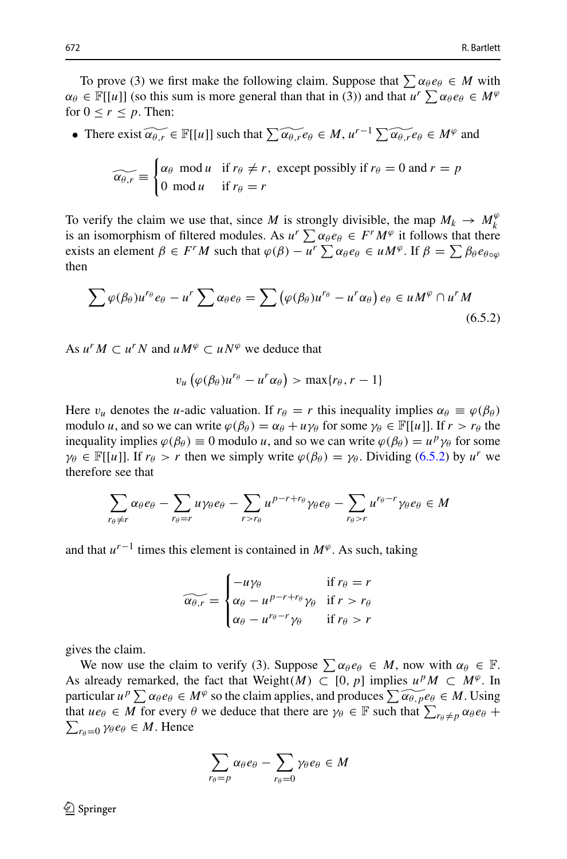To prove (3) we first make the following claim. Suppose that  $\sum \alpha_{\theta} e_{\theta} \in M$  with  $\alpha_{\theta} \in \mathbb{F}[[u]]$  (so this sum is more general than that in (3)) and that  $u^r \sum_{\alpha} \alpha_{\theta} e_{\theta} \in M^{\varphi}$ for  $0 \le r \le p$ . Then: To prove (3) we first make the following claim. Suppose that  $\sum \alpha_{\theta} e_{\theta} \in M$ <br>  $\alpha_{\theta} e_{\theta} \in \mathbb{F}[[u]]$  (so this sum is more general than that in (3)) and that  $u^r \sum \alpha_{\theta} e_{\theta} \in$ <br>
or  $0 \le r \le p$ . Then:<br>
• There exist  $\$ 

$$
\widetilde{\alpha_{\theta,r}} \equiv \begin{cases} \alpha_{\theta} \mod u & \text{if } r_{\theta} \neq r, \text{ except possibly if } r_{\theta} = 0 \text{ and } r = p \\ 0 \mod u & \text{if } r_{\theta} = r \end{cases}
$$

To verify the claim we use that, since *M* is strongly divisible, the map  $M_k \to M_k^{\varphi}$  $\widehat{\alpha_{\theta,r}} \equiv \begin{cases} \alpha_{\theta} \text{ mod } u & \text{if } r_{\theta} = r \\ 0 \text{ mod } u & \text{if } r_{\theta} = r \end{cases}$ <br>To verify the claim we use that, since *M* is strongly divisible, the map  $M_k \rightarrow M_k^{\varphi}$ <br>is an isomorphism of filtered modules. As  $u^r \sum \alpha_{\theta} e_{\theta} \in$ To verify the claim we use that, since *M* is strongly divisible, the map  $M_k \to M_k^{\emptyset}$ <br>is an isomorphism of filtered modules. As  $u^r \sum \alpha_{\theta} e_{\theta} \in F^r M^{\emptyset}$  it follows that there<br>exists an element  $\beta \in F^r M$  such tha then  $\mu$  element  $\beta \in F^rM$  such that  $\varphi(\beta)$ <br>  $\varphi(\beta_\theta)u^{r_\theta}e_\theta - u^r\sum \alpha_\theta e_\theta = \sum ($ 

<span id="page-27-0"></span>
$$
\sum \varphi(\beta_{\theta})u^{r_{\theta}}e_{\theta} - u^{r} \sum \alpha_{\theta}e_{\theta} = \sum (\varphi(\beta_{\theta})u^{r_{\theta}} - u^{r}\alpha_{\theta}) e_{\theta} \in uM^{\varphi} \cap u^{r}M
$$
\n(6.5.2)

As  $u^r M \subset u^r N$  and  $u M^\varphi \subset u N^\varphi$  we deduce that

$$
v_u\left(\varphi(\beta_\theta)u^{r_\theta}-u^r\alpha_\theta\right)>\max\{r_\theta,r-1\}
$$

Here  $v_u$  denotes the *u*-adic valuation. If  $r_\theta = r$  this inequality implies  $\alpha_\theta \equiv \varphi(\beta_\theta)$ modulo *u*, and so we can write  $\varphi(\beta_\theta) = \alpha_\theta + u\gamma_\theta$  for some  $\gamma_\theta \in \mathbb{F}[[u]]$ . If  $r > r_\theta$  the inequality implies  $\varphi(\beta_{\theta}) \equiv 0$  modulo *u*, and so we can write  $\varphi(\beta_{\theta}) = u^p \gamma_{\theta}$  for some  $\gamma_{\theta} \in \mathbb{F}[[u]]$ . If  $r_{\theta} > r$  then we simply write  $\varphi(\beta_{\theta}) = \gamma_{\theta}$ . Dividing (6.5.2) by *u<sup>r</sup>* we therefore see that  $\gamma_{\theta} \in \mathbb{F}[[u]]$ . If  $r_{\theta} > r$  then we simply write  $\varphi(\beta_{\theta}) = \gamma_{\theta}$ . Dividing [\(6.5.2\)](#page-27-0) by  $u^r$  we therefore see that

$$
\sum_{r_{\theta}\neq r} \alpha_{\theta} e_{\theta} - \sum_{r_{\theta}=r} u \gamma_{\theta} e_{\theta} - \sum_{r>r_{\theta}} u^{p-r+r_{\theta}} \gamma_{\theta} e_{\theta} - \sum_{r_{\theta}>r} u^{r_{\theta}-r} \gamma_{\theta} e_{\theta} \in M
$$

and that  $u^{r-1}$  times this element is contained in  $M^{\varphi}$ . As such, taking

$$
\widetilde{\alpha_{\theta,r}} = \begin{cases}\n-u\gamma_{\theta} & \text{if } r_{\theta} = r \\
\alpha_{\theta} - u^{p-r+r_{\theta}}\gamma_{\theta} & \text{if } r > r_{\theta} \\
\alpha_{\theta} - u^{r_{\theta}-r}\gamma_{\theta} & \text{if } r_{\theta} > r\n\end{cases}
$$

gives the claim.

We now use the claim to verify (3). Suppose  $\sum \alpha_{\theta} e_{\theta} \in M$ , now with  $\alpha_{\theta} \in \mathbb{F}$ . As already remarked, the fact that Weight $(M) \subset [0, p]$  implies  $u^p M \subset M^{\varphi}$ . In gives the claim.<br>We now use the claim to verify (3). Suppose  $\sum \alpha_{\theta} e_{\theta} \in M$ , now with  $\alpha_{\theta} \in \mathbb{F}$ .<br>As already remarked, the fact that Weight( $M$ )  $\subset [0, p]$  implies  $u^p M \subset M^{\varphi}$ . In particular  $u^p \sum \alpha_{\theta} e_{\theta} \$ gives the claim.<br>We now use the claim to verify (3). Suppose  $\sum \alpha_{\theta} e_{\theta} \in M$ , now w<br>As already remarked, the fact that Weight $(M) \subset [0, p]$  implies  $u^p M$ <br>particular  $u^p \sum \alpha_{\theta} e_{\theta} \in M^{\varphi}$  so the claim applies, and pr  $r_{\theta} \neq p \alpha_{\theta} e_{\theta} +$  $\sum_{r_{\theta}=0} \gamma_{\theta} e_{\theta} \in M$ . Hence so t  $\alpha$ <sub>θ</sub>  $e$ <sub>θ</sub> −  $\sum$ 

$$
\sum_{r_{\theta}=p} \alpha_{\theta} e_{\theta} - \sum_{r_{\theta}=0} \gamma_{\theta} e_{\theta} \in M
$$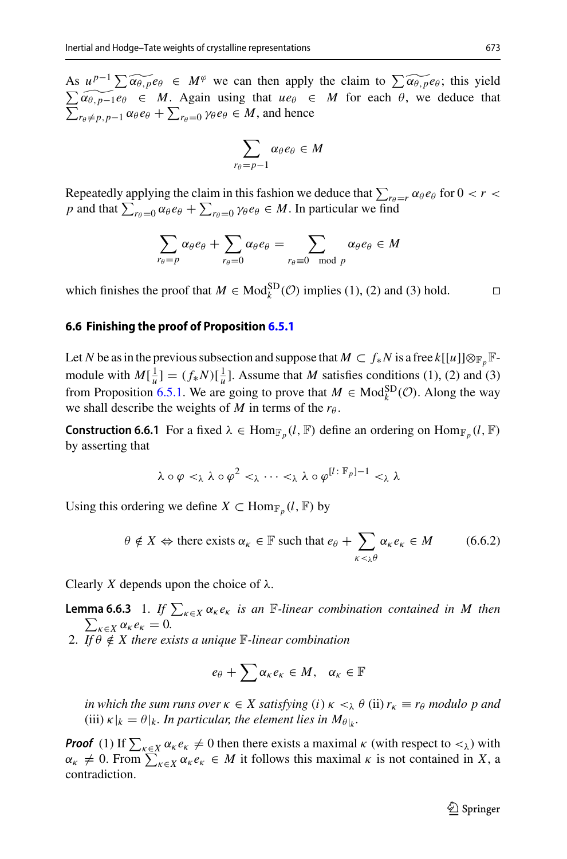**Inertial and Hodge–Tate weights of crystalline representations** 673<br>As  $u^{p-1} \sum \widetilde{\alpha_{\theta, p}} e_{\theta} \in M^{\varphi}$  we can then apply the claim to  $\sum \widetilde{\alpha_{\theta, p}} e_{\theta}$ ; this yield  $\sum_{r_{\theta}\neq p, p-1} \alpha_{\theta} e_{\theta} + \sum_{r_{\theta}=0} \gamma_{\theta} e_{\theta} \in M$ , and hence  $\sum \widetilde{\alpha_{\theta,p-1}}e_{\theta} \in M$ . Again using that  $ue_{\theta} \in M$  for each  $\theta$ , we deduce that *r*ed and Houge-Tate weight<br>  $\alpha_{\theta, p-1}e_{\theta} \in M$ .<br>  $\alpha_{\theta, p-1}e_{\theta} \in M$ .<br>  $r_{\theta} \neq p, p-1} \alpha_{\theta}e_{\theta} + \sum_{n=1}^{\infty} p_n$ ո<br>111

$$
\sum_{r_{\theta}=p-1} \alpha_{\theta} e_{\theta} \in M
$$

 $\sum_{r_{\theta}=p-1} \alpha_{\theta} e_{\theta} \in M$ <br>Repeatedly applying the claim in this fashion we deduce that  $\sum_{r_{\theta}=r} \alpha_{\theta} e_{\theta}$  for  $0 < r <$  $\sum_{r_{\theta}=p-1} \alpha_{\theta} e_{\theta} \in M$ <br>
Repeatedly applying the claim in this fashion we deduce that  $\sum_{r_{\theta}=0} \alpha_{\theta} e_{\theta} + \sum_{r_{\theta}=0} \gamma_{\theta} e_{\theta} \in M$ . In particular we find  $\alpha$ e claim in this fashion we de<br>
+  $\sum_{r_{\theta}=0} \gamma_{\theta} e_{\theta} \in M$ . In par<br>
α<sub>θ</sub> e<sub>θ</sub> +  $\sum \alpha_{\theta} e_{\theta} = \sum$ 

$$
\sum_{r_{\theta}=p} \alpha_{\theta} e_{\theta} + \sum_{r_{\theta}=0} \alpha_{\theta} e_{\theta} = \sum_{r_{\theta}=0 \mod p} \alpha_{\theta} e_{\theta} \in M
$$

which finishes the proof that  $M \in Mod_k^{SD}(\mathcal{O})$  implies (1), (2) and (3) hold.  $\square$ 

#### <span id="page-28-1"></span>**6.6 Finishing the proof of Proposition [6.5.1](#page-26-0)**

Let *N* be as in the previous subsection and suppose that  $M \subset f_*N$  is a free  $k[[u]] \otimes_{\mathbb{F}_p} \mathbb{F}_p$ module with  $M[\frac{1}{u}] = (f_*N)[\frac{1}{u}]$ . Assume that *M* satisfies conditions (1), (2) and (3) from Proposition [6.5.1.](#page-26-0) We are going to prove that  $M \in Mod_k^{SD}(\mathcal{O})$ . Along the way we shall describe the weights of *M* in terms of the  $r_{\theta}$ .

**Construction 6.6.1** For a fixed  $\lambda \in \text{Hom}_{\mathbb{F}_p}(l, \mathbb{F})$  define an ordering on  $\text{Hom}_{\mathbb{F}_p}(l, \mathbb{F})$ by asserting that

$$
\lambda \circ \varphi <_{\lambda} \lambda \circ \varphi^2 <_{\lambda} \cdots <_{\lambda} \lambda \circ \varphi^{[l]:\mathbb{F}_p]-1} <_{\lambda} \lambda
$$

Using this ordering we define *X*  $\subset$  Hom<sub> $\mathbb{F}_p$ </sub> (*l*,  $\mathbb{F}$ ) by

$$
\lambda \circ \varphi <_{\lambda} \lambda \circ \varphi^2 <_{\lambda} \dots <_{\lambda} \lambda \circ \varphi^{\mu \cdot \mu} \circ \varphi^1 <_{\lambda} \lambda
$$
\nordering we define  $X \subset \text{Hom}_{\mathbb{F}_p}(l, \mathbb{F})$  by

\n
$$
\theta \notin X \Leftrightarrow \text{there exists } \alpha_{\kappa} \in \mathbb{F} \text{ such that } e_{\theta} + \sum_{\kappa <_{\lambda} \theta} \alpha_{\kappa} e_{\kappa} \in M \tag{6.6.2}
$$

<span id="page-28-0"></span>Clearly *X* depends upon the choice of  $\lambda$ .

**Lemma 6.6.3** 1. *If*  $\sum_{k \in \chi} \alpha_k e_k$  *is an*  $\mathbb{F}$ *-linear combination contained in M then*<br>  $\sum_{k \in \chi} \alpha_k e_k = 0$ .<br>
2. *If*  $\theta \notin X$  *there exists a unique*  $\mathbb{F}$ *-linear combination*<br>  $e_{\theta} + \sum \alpha_k e_k \in M$ ,  $\alpha_k \in \mathbb{$  $\sum_{\kappa \in X} \alpha_{\kappa} e_{\kappa} = 0.$ 

2. *If*  $\theta \notin X$  there exists a unique F-linear combination

$$
e_{\theta} + \sum \alpha_{\kappa} e_{\kappa} \in M, \quad \alpha_{\kappa} \in \mathbb{F}
$$

*in which the sum runs over*  $\kappa \in X$  *satisfying* (*i*)  $\kappa <_{\lambda} \theta$  (ii)  $r_{\kappa} \equiv r_{\theta}$  *modulo p and* (iii)  $\kappa|_k = \theta|_k$ . In particular, the element lies in  $M_{\theta|_k}$ . *in which the sum runs over*  $\kappa \in X$  *satisfying* (*i*)  $\kappa <_{\lambda} \theta$  (ii)  $r_{\kappa} \equiv r_{\theta}$  *modulo p and* (iii)  $\kappa |_{k} = \theta |_{k}$ . *In particular, the element lies in*  $M_{\theta | k}$ .<br>**Proof** (1) If  $\sum_{\kappa \in X} \alpha_{\kappa} e_{\kappa} \neq$ 

in which the sum runs over  $\kappa \in X$  satisfying (i)  $\kappa <_{\lambda} \theta$  (ii)  $r_{\kappa} \equiv r_{\theta}$  modulo p and<br>(iii)  $\kappa |_{k} = \theta |_{k}$ . In particular, the element lies in  $M_{\theta | k}$ .<br>**Proof** (1) If  $\sum_{\kappa \in X} \alpha_{\kappa} e_{\kappa} \neq 0$  then th contradiction.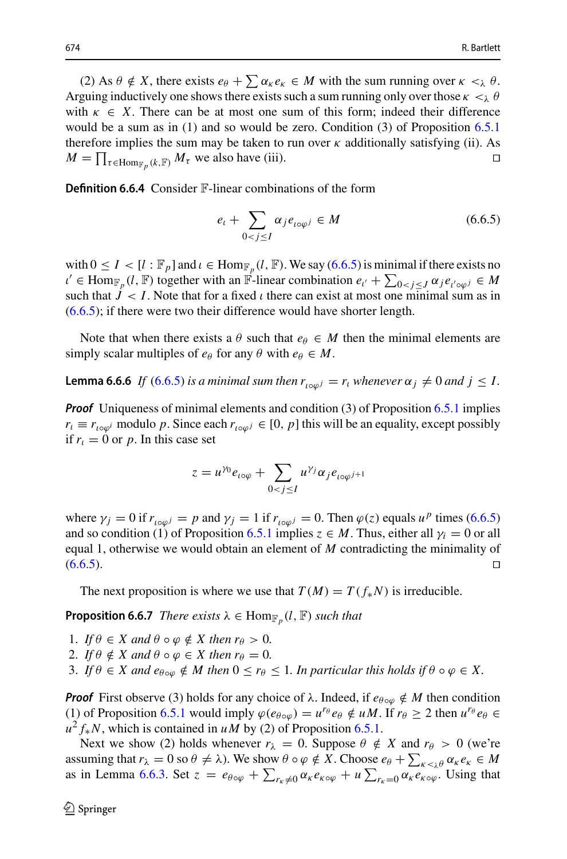(2) As  $\theta \notin X$ , there exists  $e_{\theta} + \sum \alpha_{\kappa} e_{\kappa} \in M$  with the sum running over  $\kappa <_{\lambda} \theta$ . Arguing inductively one shows there exists such a sum running only over those  $\kappa <_{\lambda} \theta$ with  $\kappa \in X$ . There can be at most one sum of this form; indeed their difference would be a sum as in (1) and so would be zero. Condition (3) of Proposition [6.5.1](#page-26-0) therefore implies the sum may be taken to run over  $\kappa$  additionally satisfying (ii). As *M* and *K* = *X*. There can be at most one sum of this form; indeed their difference would be a sum as in (1) and so would be zero. Condition (3) of Proposition 6.5.1 therefore implies the sum may be taken to run over *k* 

**Definition 6.6.4** Consider F-linear combinations of the form

<span id="page-29-0"></span>
$$
e_{t} + \sum_{0 < j \leq I} \alpha_{j} e_{t \circ \varphi^{j}} \in M \tag{6.6.5}
$$

with  $0 \le I \lt [l : \mathbb{F}_p]$  and  $\iota \in \text{Hom}_{\mathbb{F}_p}(l, \mathbb{F})$ . We say  $(6.6.5)$  is minimal if there exists no  $e_t + \sum_{0 < j \leq I} \alpha_j e_{t \circ \varphi^j} \in M$  (6.6.5)<br>
with  $0 \leq I < [l : \mathbb{F}_p]$  and  $\iota \in \text{Hom}_{\mathbb{F}_p}(l, \mathbb{F})$ . We say (6.6.5) is minimal if there exists no<br>  $\iota' \in \text{Hom}_{\mathbb{F}_p}(l, \mathbb{F})$  together with an  $\mathbb{F}$ -linear combin such that  $J < I$ . Note that for a fixed  $\iota$  there can exist at most one minimal sum as in  $(6.6.5)$ ; if there were two their difference would have shorter length.

<span id="page-29-1"></span>Note that when there exists a  $\theta$  such that  $e_{\theta} \in M$  then the minimal elements are simply scalar multiples of  $e_{\theta}$  for any  $\theta$  with  $e_{\theta} \in M$ .

**Lemma 6.6.6** *If* [\(6.6.5\)](#page-29-0) *is a minimal sum then*  $r_{i \circ \varphi j} = r_i$  *whenever*  $\alpha_j \neq 0$  *and*  $j \leq I$ .

*Proof* Uniqueness of minimal elements and condition (3) of Proposition [6.5.1](#page-26-0) implies  $r_l \equiv r_{i \circ \varphi^j}$  modulo *p*. Since each  $r_{i \circ \varphi^j} \in [0, p]$  this will be an equality, except possibly if  $r_1 = 0$  or p. In this case set *z* is each  $r_{i \circ \varphi^j} \in [0, p)$ <br>  $z = u^{\gamma 0} e_{i \circ \varphi} + \sum_{i=1}^{\infty}$ 

<span id="page-29-2"></span>
$$
z = u^{\gamma_0} e_{i \circ \varphi} + \sum_{0 < j \leq I} u^{\gamma_j} \alpha_j e_{i \circ \varphi^{j+1}}
$$

where  $\gamma_j = 0$  if  $r_{i \infty \omega^j} = p$  and  $\gamma_j = 1$  if  $r_{i \in \omega^j} = 0$ . Then  $\varphi(z)$  equals  $u^p$  times [\(6.6.5\)](#page-29-0) and so condition (1) of Proposition [6.5.1](#page-26-0) implies  $z \in M$ . Thus, either all  $\gamma_i = 0$  or all equal 1, otherwise we would obtain an element of *M* contradicting the minimality of  $(6.6.5)$ .

The next proposition is where we use that  $T(M) = T(f_{*}N)$  is irreducible.

**Proposition 6.6.7** *There exists*  $\lambda \in \text{Hom}_{\mathbb{F}_p}(l, \mathbb{F})$  *such that* 

- 1. *If*  $\theta \in X$  and  $\theta \circ \varphi \notin X$  then  $r_{\theta} > 0$ .
- 2. *If*  $\theta \notin X$  and  $\theta \circ \varphi \in X$  then  $r_{\theta} = 0$ .
- 3. If  $\theta \in X$  and  $e_{\theta \circ \varphi} \notin M$  then  $0 \leq r_{\theta} \leq 1$ . In particular this holds if  $\theta \circ \varphi \in X$ .

*Proof* First observe (3) holds for any choice of  $\lambda$ . Indeed, if  $e_{\theta \circ \varphi} \notin M$  then condition (1) of Proposition [6.5.1](#page-26-0) would imply  $\varphi(e_{\theta \circ \varphi}) = u^{r_{\theta}} e_{\theta} \notin uM$ . If  $r_{\theta} \geq 2$  then  $u^{r_{\theta}} e_{\theta} \in$  $u^2 f_* N$ , which is contained in *uM* by (2) of Proposition [6.5.1.](#page-26-0) **Proof** First observe (3) holds for any choice of  $\lambda$ . Indeed, if  $e_{\theta \circ \varphi} \notin M$  then condition (1) of Proposition 6.5.1 would imply  $\varphi(e_{\theta \circ \varphi}) = u^{r_{\theta}} e_{\theta} \notin uM$ . If  $r_{\theta} \ge 2$  then  $u^{r_{\theta}} e_{\theta} \in u^2 f_* N$ , which is

Next we show (2) holds whenever  $r_{\lambda} = 0$ . Suppose  $\theta \notin X$  and  $r_{\theta} > 0$  (we're (1) of Proposition 6.5.1 would imply  $\varphi(e_{\theta \circ \varphi}) = u^{r_{\theta}} e_{\theta} \notin uM$ . If  $r_{\theta} \ge 2$  then  $u^{r_{\theta}} e_{\theta} \in u^2 f_*N$ , which is contained in  $uM$  by (2) of Proposition 6.5.1.<br>Next we show (2) holds whenever  $r_{\lambda} = 0$ . Suppos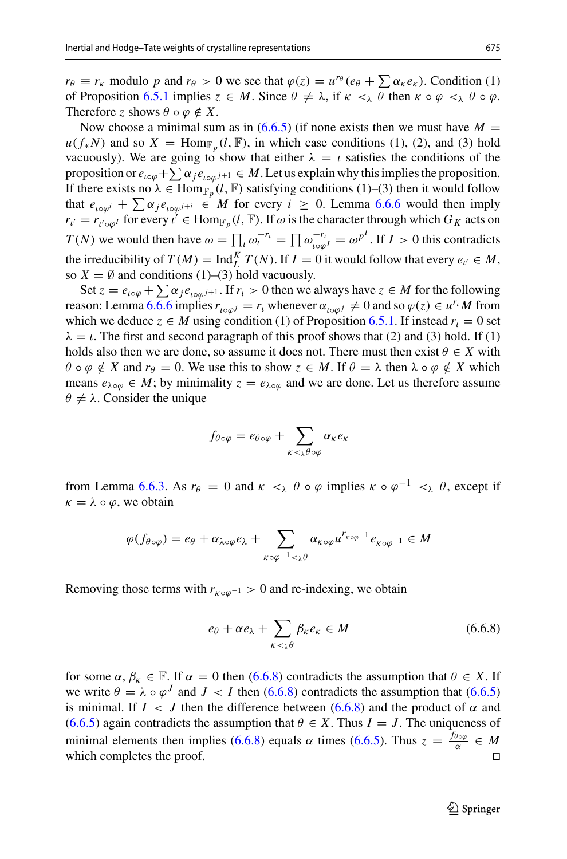$r_{\theta} \equiv r_{\kappa}$  modulo *p* and  $r_{\theta} > 0$  we see that  $\varphi(z) = u^{r_{\theta}}(e_{\theta} + \sum \alpha_{\kappa} e_{\kappa})$ . Condition (1) of Proposition [6.5.1](#page-26-0) implies  $z \in M$ . Since  $\theta \neq \lambda$ , if  $\kappa <_{\lambda} \theta$  then  $\kappa \circ \varphi <_{\lambda} \theta \circ \varphi$ . Therefore *z* shows  $\theta \circ \varphi \notin X$ .

Now choose a minimal sum as in  $(6.6.5)$  (if none exists then we must have  $M =$  $u(f_*N)$  and so  $X = \text{Hom}_{\mathbb{F}_p}(l, \mathbb{F})$ , in which case conditions (1), (2), and (3) hold vacuously). We are going to show that either  $\lambda = \iota$  satisfies the conditions of the proposition or  $e_{\iota \circ \varphi} + \sum \alpha_j e_{\iota \circ \varphi^{j+1}} \in M$ . Let us explain why this implies the proposition. Therefore z shows  $\theta \circ \varphi \notin X$ .<br>
Now choose a minimal sum as in (6.6.5) (if none exists then we must have  $M = u(f_*N)$  and so  $X = \text{Hom}_{\mathbb{F}_p}(l, \mathbb{F})$ , in which case conditions (1), (2), and (3) hold vacuously). We are goin If there exists no  $\lambda \in \text{Hom}_{\mathbb{F}_p}(l, \mathbb{F})$  satisfying conditions (1)–(3) then it would follow that  $e_{i \circ \varphi^i} + \sum \alpha_j e_{i \circ \varphi^{j+i}} \in M$  for every  $i \geq 0$ . Lemma [6.6.6](#page-29-1) would then imply  $r_{l'} = r_{l' \circ \varphi^l}$  for every  $l' \in \text{Hom}_{\mathbb{F}_p}(l, \mathbb{F})$ . If  $\omega$  is the character through which  $G_K$  acts on proposition  $e_{i\in\varphi} + \sum \alpha_j e_{i\in\varphi^{j+1}} \in M$ . Let us explain why unsimplies the proposition.<br>
If there exists no  $\lambda \in \text{Hom}_{\mathbb{F}_p}(l, \mathbb{F})$  satisfying conditions (1)–(3) then it would follow<br>
that  $e_{i\in\varphi^{j}} + \sum \alpha_j e_{i\$ the irreducibility of  $T(M) = \text{Ind}_{L}^{K} T(N)$ . If  $I = 0$  it would follow that every  $e_{i'} \in M$ , so *X* = Ø and conditions (1)–(3) hold vacuously.<br>Set  $z = e_{i \circ \varphi} + \sum \alpha_j e_{i \circ \varphi^{j+1}}$ . If  $r_i > 0$  then we always have  $z \in M$  for the following

reason: Lemma [6.6.6](#page-29-1) implies  $r_{i \in \omega} = r_i$  whenever  $\alpha_{i \in \omega} = \emptyset$  and so  $\varphi(z) \in u^{r_i}M$  from which we deduce  $z \in M$  using condition (1) of Proposition [6.5.1.](#page-26-0) If instead  $r<sub>l</sub> = 0$  set  $\lambda = \iota$ . The first and second paragraph of this proof shows that (2) and (3) hold. If (1) holds also then we are done, so assume it does not. There must then exist  $\theta \in X$  with  $\theta \circ \varphi \notin X$  and  $r_{\theta} = 0$ . We use this to show  $z \in M$ . If  $\theta = \lambda$  then  $\lambda \circ \varphi \notin X$  which means  $e_{\lambda \circ \varphi} \in M$ ; by minimality  $z = e_{\lambda \circ \varphi}$  and we are done. Let us therefore assume  $\theta \neq \lambda$ . Consider the unique  $f_{\theta \circ \varphi}$  =  $e_{\lambda \circ \varphi}$  and  $\theta$ <br>*f*<sub>θ</sub><sub>ο $\varphi$ </sub> =  $e_{\theta \circ \varphi}$  +  $\sum$ 

$$
f_{\theta \circ \varphi} = e_{\theta \circ \varphi} + \sum_{\kappa < \lambda} \alpha_{\kappa} e_{\kappa}
$$

from Lemma [6.6.3.](#page-28-0) As  $r_{\theta} = 0$  and  $\kappa <_{\lambda} \theta \circ \varphi$  implies  $\kappa \circ \varphi^{-1} <_{\lambda} \theta$ , except if<br>  $\kappa = \lambda \circ \varphi$ , we obtain<br>  $\varphi(f_{\theta \circ \varphi}) = e_{\theta} + \alpha_{\lambda \circ \varphi} e_{\lambda} + \sum_{\alpha_{\kappa \circ \varphi}} \alpha_{\kappa \circ \varphi} u^{r_{\kappa \circ \varphi^{-1}}} e_{\kappa \circ \varphi^{-1}} \in M$  $\kappa = \lambda \circ \varphi$ , we obtain

$$
\varphi(f_{\theta\circ\varphi})=e_{\theta}+\alpha_{\lambda\circ\varphi}e_{\lambda}+\sum_{\kappa\circ\varphi^{-1}<_{\lambda}\theta}\alpha_{\kappa\circ\varphi}u^{r_{\kappa\circ\varphi^{-1}}}e_{\kappa\circ\varphi^{-1}}\in M
$$

Removing those terms with  $r_{k \circ \varphi^{-1}} > 0$  and re-indexing, we obtain

<span id="page-30-0"></span>
$$
r_{\kappa \circ \varphi^{-1}} > 0 \text{ and re-indexing, we obtain}
$$
  

$$
e_{\theta} + \alpha e_{\lambda} + \sum_{\kappa < \lambda} \beta_{\kappa} e_{\kappa} \in M \tag{6.6.8}
$$

for some  $\alpha, \beta_k \in \mathbb{F}$ . If  $\alpha = 0$  then [\(6.6.8\)](#page-30-0) contradicts the assumption that  $\theta \in X$ . If we write  $\theta = \lambda \circ \varphi^{J}$  and  $J < I$  then [\(6.6.8\)](#page-30-0) contradicts the assumption that [\(6.6.5\)](#page-29-0) is minimal. If  $I \leq J$  then the difference between [\(6.6.8\)](#page-30-0) and the product of  $\alpha$  and [\(6.6.5\)](#page-29-0) again contradicts the assumption that  $\theta \in X$ . Thus  $I = J$ . The uniqueness of minimal elements then implies [\(6.6.8\)](#page-30-0) equals  $\alpha$  times [\(6.6.5\)](#page-29-0). Thus  $z = \frac{f_{\theta \circ \varphi}}{\alpha} \in M$ which completes the proof.  $\Box$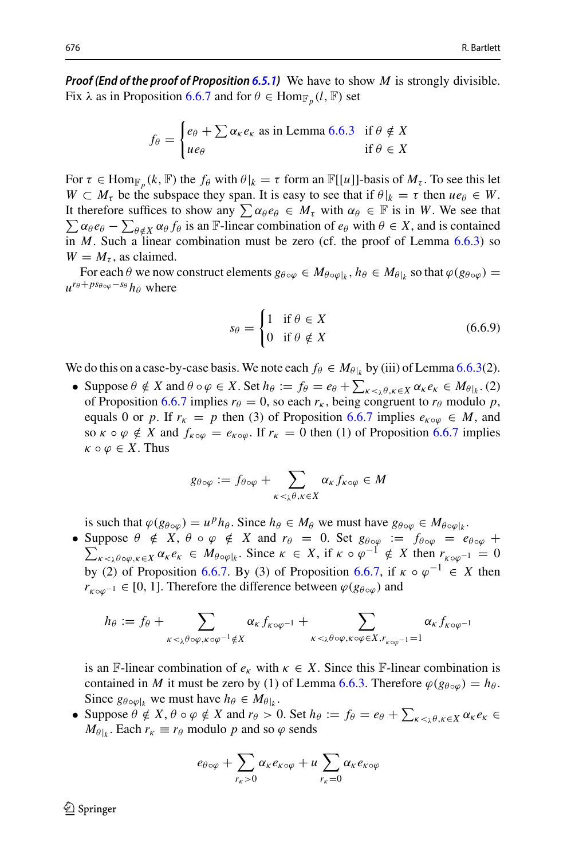*Proof (End of the proof of Proposition [6.5.1\)](#page-26-0)* We have to show *M* is strongly divisible.<br>
Fix  $\lambda$  as in Proposition [6](#page-28-0).6.7 and for  $\theta \in \text{Hom}_{\mathbb{F}_p}(l, \mathbb{F})$  set<br>  $f_0 = \begin{cases} e_\theta + \sum \alpha_k e_k \text{ as in Lemma 6.6.3} & \text{if } \theta \notin X \end{cases}$ Fix  $\lambda$  as in Proposition [6.6.7](#page-29-2) and for  $\theta \in \text{Hom}_{\mathbb{F}_p}(l, \mathbb{F})$  set

$$
f_{\theta} = \begin{cases} e_{\theta} + \sum \alpha_{\kappa} e_{\kappa} \text{ as in Lemma 6.6.3} & \text{if } \theta \notin X \\ ue_{\theta} & \text{if } \theta \in X \end{cases}
$$

For  $\tau \in \text{Hom}_{\mathbb{F}_p}(k, \mathbb{F})$  the  $f_\theta$  with  $\theta|_k = \tau$  form an  $\mathbb{F}[[u]]$ -basis of  $M_\tau$ . To see this let  $W \subset M_{\tau}$  be the subspace they span. It is easy to see that if  $\theta|_k = \tau$  then  $ue_{\theta} \in W$ . For  $\tau \in \text{Hom}_{\mathbb{F}_p}(k, \mathbb{F})$  the  $f_\theta$  with  $\theta|_W \subset M_\tau$  be the subspace they span It therefore suffices to show any  $\sum$  $\sum \alpha_{\theta} e_{\theta} - \sum_{\theta \notin X} \alpha_{\theta} f_{\theta}$  is an F-linear combination of  $e_{\theta}$  with  $\theta \in X$ , and is contained It therefore suffices to show any  $\sum \alpha_{\theta} e_{\theta} \in M_{\tau}$  with  $\alpha_{\theta} \in \mathbb{F}$  is in *W*. We see that  $\tau \in \text{Hom}$ <br>  $\subset M_{\tau}$  be<br>
herefore s<br>  $\alpha_{\theta}e_{\theta} - \sum_{\theta}$ in *M*. Such a linear combination must be zero (cf. the proof of Lemma [6.6.3\)](#page-28-0) so  $W = M_{\tau}$ , as claimed.

For each  $\theta$  we now construct elements  $g_{\theta \circ \varphi} \in M_{\theta \circ \varphi \circ k}$ ,  $h_{\theta} \in M_{\theta \circ k}$  so that  $\varphi(g_{\theta \circ \varphi}) =$  $u^{r_{\theta}+ps_{\theta \circ \varphi}-s_{\theta}}h_{\theta}$  where

<span id="page-31-0"></span>
$$
s_{\theta} = \begin{cases} 1 & \text{if } \theta \in X \\ 0 & \text{if } \theta \notin X \end{cases}
$$
 (6.6.9)

We do this on a case-by-case basis. We note each  $f_{\theta} \in M_{\theta|_k}$  by (iii) of Lemma [6.6.3\(](#page-28-0)2).

 $s_{\theta} = \begin{cases} 1 & \text{if } \theta \notin X \\ 0 & \text{if } \theta \notin X \end{cases}$  (6.6.9)<br>
We do this on a case-by-case basis. We note each  $f_{\theta} \in M_{\theta|k}$  by (iii) of Lemma 6.6.3(2).<br>
• Suppose  $\theta \notin X$  and  $\theta \circ \varphi \in X$ . Set  $h_{\theta} := f_{\theta} = e_{\theta} + \sum_{\kappa < \lambda} \theta$ of Proposition [6.6.7](#page-29-2) implies  $r_{\theta} = 0$ , so each  $r_{\kappa}$ , being congruent to  $r_{\theta}$  modulo p, equals 0 or *p*. If  $r_k = p$  then (3) of Proposition [6.6.7](#page-29-2) implies  $e_{\kappa \circ \varphi} \in M$ , and<br>so  $\kappa \circ \varphi \notin X$  and  $f_{\kappa \circ \varphi} = e_{\kappa \circ \varphi}$ . If  $r_k = 0$  then (1) of Proposition 6.6.7 implies<br> $\kappa \circ \varphi \in X$ . Thus<br> $g_{\theta \circ \varphi} := f_{\theta \$ so  $\kappa \circ \varphi \notin X$  and  $f_{\kappa \circ \varphi} = e_{\kappa \circ \varphi}$ . If  $r_{\kappa} = 0$  then (1) of Proposition [6.6.7](#page-29-2) implies  $\kappa \circ \varphi \in X$ . Thus

$$
g_{\theta \circ \varphi} := f_{\theta \circ \varphi} + \sum_{\kappa < \lambda^{\theta}, \kappa \in X} \alpha_{\kappa} f_{\kappa \circ \varphi} \in M
$$

is such that  $\varphi(g_{\theta \circ \varphi}) = u^p h_\theta$ . Since  $h_\theta \in M_\theta$  we must have  $g_{\theta \circ \varphi} \in M_{\theta \circ \varphi|_k}$ .

• Suppose  $\theta \notin X$ ,  $\theta \circ \varphi \notin X$  and  $r_{\theta} = 0$ . Set  $g_{\theta \circ \varphi} := f_{\theta \circ \varphi} = e_{\theta \circ \varphi} +$  $\sum_{K \leq \lambda} \theta \circ \varphi, \kappa \in X$   $\alpha_K e_K \in M_{\theta \circ \varphi|_k}$ . Since  $\kappa \in X$ , if  $\kappa \circ \varphi^{-1} \notin X$  then  $r_{\kappa \circ \varphi^{-1}} = 0$ by (2) of Proposition [6.6.7.](#page-29-2) By (3) of Proposition [6.6.7,](#page-29-2) if  $\kappa \circ \varphi^{-1} \in X$  then *r*<sub>κ</sub><sup>oω−1</sup> ∈ [0, 1]. Therefore the difference between  $\varphi$ ( $g_{\theta \circ \varphi}$ ) and *h*θ  $\alpha_{k} \in X$   $\alpha_{k} e_{k} \in M \theta \circ \varphi_{k}$ . Since  $k \in X$ , if  $k \circ \varphi$ <br>
(2) of Proposition 6.6.7. By (3) of Proposition 6.6.7.<br>  $h_{\theta} := f_{\theta} + \sum_{k \in X} \alpha_{k} f_{k \circ \varphi^{-1}} + \sum_{k \in X} \alpha_{k} f_{k \circ \varphi^{-1}}$ 

$$
h_{\theta} := f_{\theta} + \sum_{\kappa < \lambda^{\theta} \circ \varphi, \kappa \circ \varphi^{-1} \notin X} \alpha_{\kappa} f_{\kappa \circ \varphi^{-1}} + \sum_{\kappa < \lambda^{\theta} \circ \varphi, \kappa \circ \varphi \in X, r_{\kappa \circ \varphi^{-1}} = 1} \alpha_{\kappa} f_{\kappa \circ \varphi^{-1}}
$$

is an F-linear combination of  $e_k$  with  $\kappa \in X$ . Since this F-linear combination is contained in *M* it must be zero by (1) of Lemma [6.6.3.](#page-28-0) Therefore  $\varphi(g_{\theta \circ \varphi}) = h_{\theta}$ . Since  $g_{\theta \circ \varphi|_k}$  we must have  $h_{\theta} \in M_{\theta|_k}$ . is an  $\mathbb{F}\text{-linear combination of } e_{\kappa}$  with  $\kappa \in X$ . Since this  $\mathbb{F}\text{-linear combination is  
contained in } M$  it must be zero by (1) of Lemma 6.6.3. Therefore  $\varphi(g_{\theta \circ \varphi}) = h_{\theta}$ .<br>Since  $g_{\theta \circ \varphi|_k}$  we must have  $h_{\theta} \in M_{\theta|_k}$ .<br>• Suppose  $\theta \notin X$ ,  $\theta$ 

 $M_{\theta|k}$ . Each  $r_k \equiv r_\theta$  modulo *p* and so  $\varphi$  sends have  $h_{\theta} \in I$ <br>  $\notin X$  and  $r_{\theta}$ <br>
odulo p and<br>  $e_{\theta \circ \varphi} + \sum$ 

$$
e_{\theta \circ \varphi} + \sum_{r_{\kappa} > 0} \alpha_{\kappa} e_{\kappa \circ \varphi} + u \sum_{r_{\kappa} = 0} \alpha_{\kappa} e_{\kappa \circ \varphi}
$$

 $\mathcal{Q}$  Springer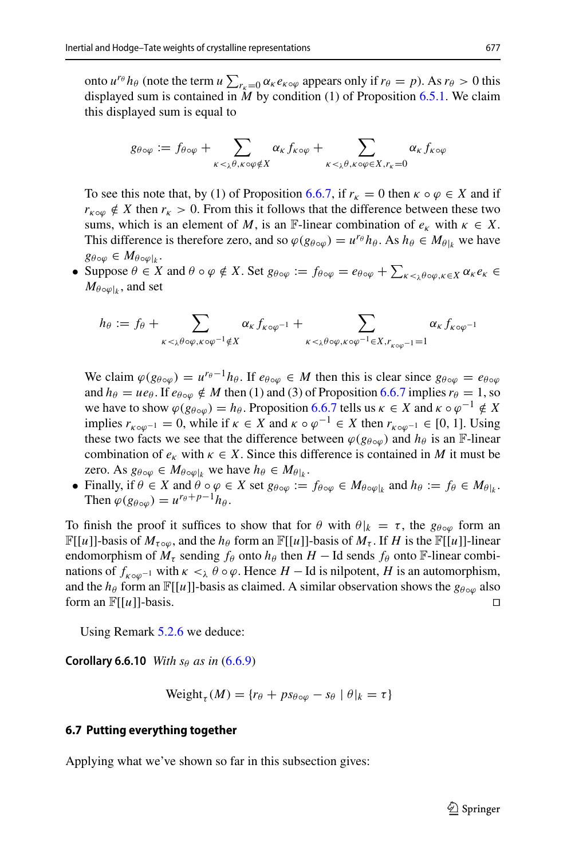onto  $u^{r\theta} h_{\theta}$  (note the term  $u \sum_{r_k=0} \alpha_k e_{k\theta}$  appears only if  $r_{\theta} = p$ ). As  $r_{\theta} > 0$  this displayed sum is contained in *M* by condition (1) of Proposition [6.5.1.](#page-26-0) We claim this displayed sum is equal to *g*θ (note the term *u*  $\sum_{r_k=0} \alpha_k e_{k \circ \varphi}$  appears only if sum is contained in *M* by condition (1) of Pro ayed sum is equal to<br>ayed sum is equal to<br> $g_{\theta \circ \varphi} := f_{\theta \circ \varphi} + \sum_{r_k=r_k} \alpha_k f_{k \circ \varphi} + \sum_{r_k=r_k}$ 

$$
g_{\theta \circ \varphi} := f_{\theta \circ \varphi} + \sum_{\kappa < \lambda^{\theta}, \kappa \circ \varphi \notin X} \alpha_{\kappa} f_{\kappa \circ \varphi} + \sum_{\kappa < \lambda^{\theta}, \kappa \circ \varphi \in X, r_{\kappa} = 0} \alpha_{\kappa} f_{\kappa \circ \varphi}
$$

To see this note that, by (1) of Proposition [6.6.7,](#page-29-2) if  $r_k = 0$  then  $\kappa \circ \varphi \in X$  and if  $r_{k} \neq X$  then  $r_k > 0$ . From this it follows that the difference between these two sums, which is an element of *M*, is an F-linear combination of  $e_k$  with  $\kappa \in X$ . This difference is therefore zero, and so  $\varphi(g_{\theta \circ \varphi}) = u^{r_{\theta}} h_{\theta}$ . As  $h_{\theta} \in M_{\theta|_k}$  we have  $g_{\theta \circ \varphi} \in M_{\theta \circ \varphi|_k}$ .  $r_{K \circ \varphi} \notin X$  then  $r_K > 0$ . From this it follows that the difference between these two<br>sums, which is an element of *M*, is an F-linear combination of  $e_K$  with  $\kappa \in X$ .<br>This difference is therefore zero, and so  $\varphi(g_{\$ 

 $M_{\theta \circ \varphi|_k}$ , and set  $\begin{aligned} \text{ppose } \theta \in M\theta \circ \varphi_k. \\ \text{ppose } \theta \in X \text{ and } \theta \circ \varphi \notin X. \text{ Set } g_{\theta \circ \varphi} := f_{\theta \circ \varphi} = e_{\theta \circ \varphi}, \\ h_{\theta} &:= f_{\theta} + \sum_{\alpha_k f_{\kappa \circ \varphi^{-1}}} \alpha_{\kappa} f_{\kappa \circ \varphi^{-1}} + \sum_{\alpha_k f_{\kappa} \circ \varphi_k} \theta_k \end{aligned}$ 

$$
h_{\theta} := f_{\theta} + \sum_{\kappa <_{\lambda} \theta \circ \varphi, \kappa \circ \varphi^{-1} \notin X} \alpha_{\kappa} f_{\kappa \circ \varphi^{-1}} + \sum_{\kappa <_{\lambda} \theta \circ \varphi, \kappa \circ \varphi^{-1} \in X, r_{\kappa \circ \varphi^{-1}} = 1} \alpha_{\kappa} f_{\kappa \circ \varphi^{-1}}
$$

We claim  $\varphi(g_{\theta \circ \varphi}) = u^{r_{\theta}-1}h_{\theta}$ . If  $e_{\theta \circ \varphi} \in M$  then this is clear since  $g_{\theta \circ \varphi} = e_{\theta \circ \varphi}$ and  $h_{\theta} = ue_{\theta}$ . If  $e_{\theta \circ \omega} \notin M$  then (1) and (3) of Proposition [6.6.7](#page-29-2) implies  $r_{\theta} = 1$ , so we have to show  $\varphi(g_{\theta \circ \omega}) = h_{\theta}$ . Proposition [6.6.7](#page-29-2) tells us  $\kappa \in X$  and  $\kappa \circ \varphi^{-1} \notin X$ implies  $r_{k \circ \omega^{-1}} = 0$ , while if  $\kappa \in X$  and  $\kappa \circ \varphi^{-1} \in X$  then  $r_{k \circ \omega^{-1}} \in [0, 1]$ . Using these two facts we see that the difference between  $\varphi(g_{\theta \circ \omega})$  and  $h_{\theta}$  is an F-linear combination of  $e_k$  with  $\kappa \in X$ . Since this difference is contained in *M* it must be zero. As  $g_{\theta \circ \varphi} \in M_{\theta \circ \varphi|_k}$  we have  $h_{\theta} \in M_{\theta|_k}$ .

• Finally, if  $\theta \in X$  and  $\theta \circ \varphi \in X$  set  $g_{\theta \circ \varphi} := f_{\theta \circ \varphi} \in M_{\theta \circ \varphi|k}$  and  $h_{\theta} := f_{\theta} \in M_{\theta|k}$ . Then  $\varphi(g_{\theta \circ \varphi}) = u^{r_{\theta} + p - 1} h_{\theta}$ .

To finish the proof it suffices to show that for  $\theta$  with  $\theta|_k = \tau$ , the  $g_{\theta \circ \varphi}$  form an  $\mathbb{F}[[u]]$ -basis of  $M_{\tau \circ \varphi}$ , and the  $h_{\theta}$  form an  $\mathbb{F}[[u]]$ -basis of  $M_{\tau}$ . If *H* is the  $\mathbb{F}[[u]]$ -linear endomorphism of  $M_{\tau}$  sending  $f_{\theta}$  onto  $h_{\theta}$  then  $H - \text{Id}$  sends  $f_{\theta}$  onto  $\mathbb{F}\text{-linear combi-}$ nations of  $f_{k \circ \omega^{-1}}$  with  $\kappa <_\lambda \theta \circ \varphi$ . Hence  $H - \text{Id}$  is nilpotent,  $H$  is an automorphism, and the *h*<sub>θ</sub> form an  $\mathbb{F}[[u]]$ -basis as claimed. A similar observation shows the  $g_{\theta \circ \varphi}$  also form an  $\mathbb{F}[[u]]$ -basis form an  $\mathbb{F}[[u]]$ -basis.

<span id="page-32-1"></span>Using Remark [5.2.6](#page-16-2) we deduce:

**Corollary 6.6.10** *With s<sub>θ</sub> as in* [\(6.6.9\)](#page-31-0)

<span id="page-32-0"></span>
$$
\text{Weight}_{\tau}(M) = \{r_{\theta} + ps_{\theta \circ \varphi} - s_{\theta} \mid \theta|_{k} = \tau\}
$$

#### **6.7 Putting everything together**

Applying what we've shown so far in this subsection gives: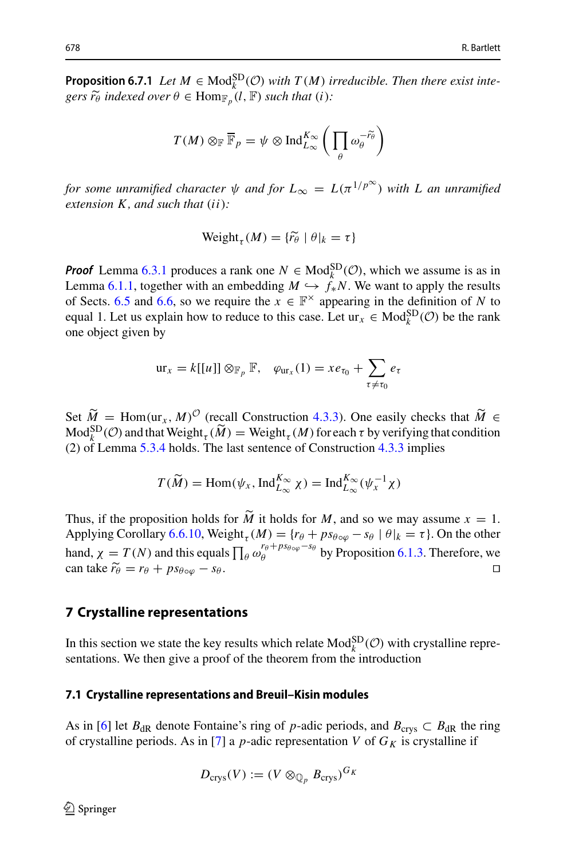**Proposition 6.7.1** *Let*  $M \in \text{Mod}_{k}^{SD}(\mathcal{O})$  *with*  $T(M)$  *irreducible. Then there exist inte-*678<br>**Propos**<br>gers r̃o gers  $\widetilde{r_{\theta}}$  indexed over  $\theta \in \text{Hom}_{\mathbb{F}_p}(l, \mathbb{F})$  such that (*i*): ) irreducible

$$
\theta \in \text{Hom}_{\mathbb{F}_p}(l, \mathbb{F}) \text{ such that } (i):
$$

$$
T(M) \otimes_{\mathbb{F}} \overline{\mathbb{F}}_p = \psi \otimes \text{Ind}_{L_{\infty}}^{K_{\infty}} \left( \prod_{\theta} \omega_{\theta}^{-\widetilde{r_{\theta}}} \right)
$$

*for some unramified character*  $\psi$  *and for*  $L_{\infty} = L(\pi^{1/p^{\infty}})$  *with L an unramified*<br>extension *K*, *and such that* (*ii*):<br>Weight<sub>τ</sub> (*M*) = { $\tilde{r_{\theta}} | \theta |_{k} = \tau$ } *extension K , and such that* (*ii*)*:*

$$
Weight_{\tau}(M) = {\widetilde{r_{\theta}}} \mid \theta|_{k} = \tau\}
$$

*Proof* Lemma [6.3.1](#page-24-2) produces a rank one  $N \in Mod_k^{SD}(\mathcal{O})$ , which we assume is as in Lemma [6.1.1,](#page-21-2) together with an embedding  $M \hookrightarrow f^*_{*}N$ . We want to apply the results of Sects. [6.5](#page-26-1) and [6.6,](#page-28-1) so we require the  $x \in \mathbb{F}^{\times}$  appearing in the definition of *N* to equal 1. Let us explain how to reduce to this case. Let  $ur_x \in Mod_k^{SD}(\mathcal{O})$  be the rank one object given by **1. c**), so we require the *x* ∈  $\mathbb{F}^n$  appearing in plain how to reduce to this case. Let  $ur_x \in \mathbb{N}$ <br>by  $ur_x = k[[u]] \otimes_{\mathbb{F}_p} \mathbb{F}$ ,  $\varphi_{ur_x}(1) = xe_{\tau_0} + \sum_{\tau_0}$ 

$$
\mathrm{ur}_x = k[[u]] \otimes_{\mathbb{F}_p} \mathbb{F}, \quad \varphi_{\mathrm{ur}_x}(1) = x e_{\tau_0} + \sum_{\tau \neq \tau_0} e_{\tau}
$$

 $\operatorname{Var}_x = k[[u]] \otimes_{\mathbb{F}_p} \mathbb{F}$ ,  $\varphi_{\text{ur}_x}(1) = xe_{\tau_0} + \sum_{\tau \neq \tau_0} e_{\tau}$ <br>Set  $\widetilde{M} = \text{Hom}(\text{ur}_x, M)^{\mathcal{O}}$  (regall Construction [4.3.3\)](#page-12-0). One easily checks that  $\widetilde{M} \in$ Mod<sub>k</sub><sup>SD</sup>(*C*) and that Weight<sub>τ</sub>( $\tilde{M}$ ) = Weight<sub>τ</sub>( $M$ ) for each τ by verifying that condition (2) of Lemma 5.3.4 holds. The last sentence of Construction 4.3.3 implies<br>  $T(\tilde{M}) = \text{Hom}(\psi_x, \text{Ind}_{L_{\infty}}^{K_{\infty}} \chi) = \text{Ind$  $\widetilde{M}$  = Hom(ur<sub>x</sub>, *M*)<sup>*O*</sup> (rec.<br>SD<sub>(</sub>*O*) and that Weight<sub>τ</sub> ( $\widetilde{M}$ (2) of Lemma [5.3.4](#page-17-0) holds. The last sentence of Construction [4.3.3](#page-12-0) implies

$$
T(\widetilde{M}) = \text{Hom}(\psi_x, \text{Ind}_{L_{\infty}}^{K_{\infty}} \chi) = \text{Ind}_{L_{\infty}}^{K_{\infty}}(\psi_x^{-1} \chi)
$$

 $T(\widetilde{M}) = \text{Hom}(\psi_x, \text{Ind}_{L_{\infty}}^{K_{\infty}} \chi) = \text{Ind}_{L_{\infty}}^{K_{\infty}}(\psi_x^{-1} \chi)$ <br>Thus, if the proposition holds for  $\widetilde{M}$  it holds for *M*, and so we may assume  $x = 1$ . Applying Corollary [6.6.10,](#page-32-1) Weight<sub> $\tau$ </sub> (*M*) = { $r_{\theta}$  +  $ps_{\theta \circ \varphi}$  –  $s_{\theta}$  |  $\theta$ | $_k$  =  $\tau$ }. On the other Thus, if the proposition holds for  $\widetilde{M}$  it holds for  $M$ , and so we may assume  $x = 1$ .<br>Applying Corollary 6.6.10, Weight<sub>τ</sub>( $M$ ) = { $r_{\theta} + ps_{\theta \circ \varphi} - s_{\theta} | \theta |_{k} = \tau$ }. On the other hand,  $\chi = T(N)$  and this equals  $\prod$ Thus, if the<br>Applying C<br>hand,  $\chi =$ <br>can take  $\tilde{r}_{\theta}$  $\tan \,\mathrm{take}\,\,\widetilde{r}_{\theta} = r_{\theta} + ps_{\theta \circ \omega} - s_{\theta}$ .

#### <span id="page-33-0"></span>**7 Crystalline representations**

In this section we state the key results which relate  $Mod_k^{SD}(\mathcal{O})$  with crystalline representations. We then give a proof of the theorem from the introduction

## **7.1 Crystalline representations and Breuil–Kisin modules**

As in [\[6](#page-36-7)] let  $B_{dR}$  denote Fontaine's ring of *p*-adic periods, and  $B_{crys} \subset B_{dR}$  the ring of crystalline periods. As in [\[7\]](#page-36-8) a  $p$ -adic representation  $V$  of  $G_K$  is crystalline if

$$
D_{\operatorname{crys}}(V) := (V \otimes_{\mathbb{Q}_p} B_{\operatorname{crys}})^{G_K}
$$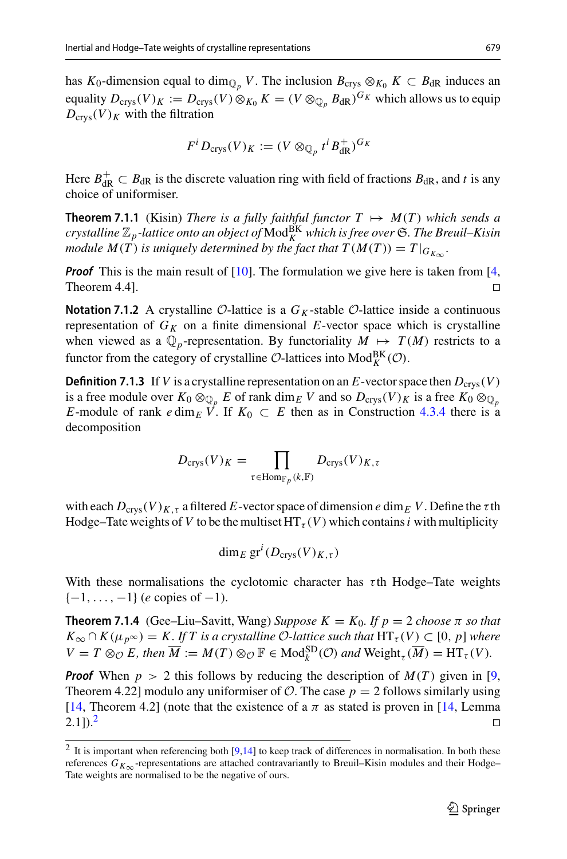has *K*<sub>0</sub>-dimension equal to dim<sub> $\mathbb{O}_p$ </sub> *V*. The inclusion  $B_{\text{crys}} \otimes_{K_0} K \subset B_{\text{dR}}$  induces an equality  $D_{\text{crys}}(V)_K := D_{\text{crys}}(V) \otimes_{K_0} K = (V \otimes_{\mathbb{Q}_p} B_{\text{dR}})^{G_K}$  which allows us to equip  $D_{\text{crys}}(V)_K$  with the filtration

$$
F^i D_{\text{crys}}(V)_K := (V \otimes_{\mathbb{Q}_p} t^i B_{\text{dR}}^+)^{G_K}
$$

Here  $B_{\text{dR}}^+ \subset B_{\text{dR}}$  is the discrete valuation ring with field of fractions  $B_{\text{dR}}$ , and *t* is any choice of uniformiser.

**Theorem 7.1.1** (Kisin) *There is a fully faithful functor*  $T \mapsto M(T)$  *which sends a crystalline* Z*p-lattice onto an object of* ModBK *<sup>K</sup> which is free over* S*. The Breuil–Kisin module*  $M(T)$  *is uniquely determined by the fact that*  $T(M(T)) = T|_{G_{K_{\infty}}}$ *.* 

*Proof* This is the main result of [\[10](#page-36-6)]. The formulation we give here is taken from [\[4,](#page-35-5) Theorem 4.4].  $\Box$ 

**Notation 7.1.2** A crystalline  $O$ -lattice is a  $G_K$ -stable  $O$ -lattice inside a continuous representation of  $G_K$  on a finite dimensional *E*-vector space which is crystalline when viewed as a  $\mathbb{Q}_p$ -representation. By functoriality  $M \mapsto T(M)$  restricts to a functor from the category of crystalline  $\mathcal{O}\text{-}$  lattices into  $\text{Mod}_{K}^{\text{BK}}(\mathcal{O})$ .

**Definition 7.1.3** If *V* is a crystalline representation on an *E*-vector space then  $D_{\text{crys}}(V)$ is a free module over  $K_0 \otimes_{\mathbb{Q}_p} E$  of rank dim<sub>*E*</sub> *V* and so  $D_{\text{crys}}(V)_K$  is a free  $K_0 \otimes_{\mathbb{Q}_p} E$ *E*-module of rank  $e \dim_E V$ . If  $K_0 \subset E$  then as in Construction [4.3.4](#page-13-4) there is a decomposition  $K_0 \otimes_{\mathbb{Q}_p} E$  of rank din<br>  $\lim_E V$ . If  $K_0 \subset E$ <br>  $D_{\text{crys}}(V)_K = \prod$ 

$$
D_{\text{crys}}(V)_K = \prod_{\tau \in \text{Hom}_{\mathbb{F}_p}(k,\mathbb{F})} D_{\text{crys}}(V)_{K,\tau}
$$

with each  $D_{\text{crys}}(V)_{K,\tau}$  a filtered *E*-vector space of dimension *e* dim<sub>*E*</sub> V. Define the  $\tau$ th Hodge–Tate weights of *V* to be the multiset  $HT_{\tau}(V)$  which contains *i* with multiplicity

dim<sub>*E*</sub> gr<sup>*i*</sup></sup>( $D_{\text{crys}}(V)_{K,\tau}$ )

With these normalisations the cyclotomic character has  $\tau$ th Hodge–Tate weights {−1,..., −1} (*e* copies of −1).

<span id="page-34-1"></span>**Theorem 7.1.4** (Gee–Liu–Savitt, Wang) *Suppose*  $K = K_0$ . If  $p = 2$  *choose*  $\pi$  *so that*  $K_{\infty} \cap K(\mu_{p^{\infty}}) = K$ . If T is a crystalline *O*-lattice such that  $HT_{\tau}(V) \subset [0, p]$  where  $V = T \otimes_{\mathcal{O}} E$ , then  $\overline{M} := M(T) \otimes_{\mathcal{O}} \mathbb{F} \in Mod_{k}^{SD}(\mathcal{O})$  *and*  $Weight_{\tau}(\overline{M}) = HT_{\tau}(V)$ *.* 

*Proof* When  $p > 2$  this follows by reducing the description of  $M(T)$  given in [\[9,](#page-36-0) Theorem 4.22] modulo any uniformiser of  $O$ . The case  $p = 2$  follows similarly using [\[14](#page-36-1), Theorem 4.2] (note that the existence of a  $\pi$  as stated is proven in [14, Lemma] 2.1]).<sup>2</sup>

<span id="page-34-0"></span> $2$  It is important when referencing both [\[9](#page-36-0)[,14\]](#page-36-1) to keep track of differences in normalisation. In both these references  $G_{K_{\infty}}$ -representations are attached contravariantly to Breuil–Kisin modules and their Hodge– Tate weights are normalised to be the negative of ours.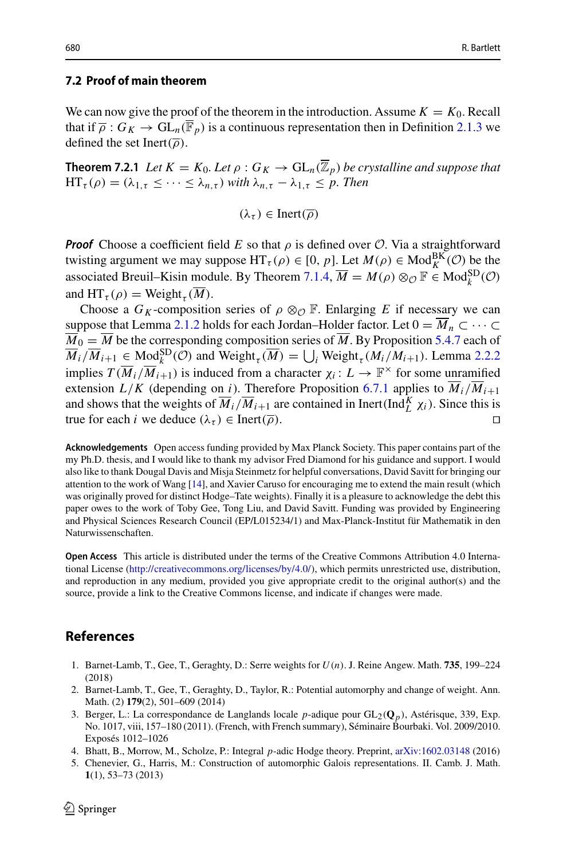#### **7.2 Proof of main theorem**

We can now give the proof of the theorem in the introduction. Assume  $K = K_0$ . Recall that if  $\overline{\rho}: G_K \to GL_n(\overline{\mathbb{F}}_p)$  is a continuous representation then in Definition [2.1.3](#page-5-0) we defined the set Inert( $\overline{\rho}$ ).

**Theorem 7.2.1** *Let*  $K = K_0$ *. Let*  $\rho : G_K \to GL_n(\overline{\mathbb{Z}}_p)$  *be crystalline and suppose that*  $HT_{\tau}(\rho) = (\lambda_{1,\tau} \leq \cdots \leq \lambda_{n,\tau})$  *with*  $\lambda_{n,\tau} - \lambda_{1,\tau} \leq p$ . Then

 $(\lambda_{\tau}) \in \text{Inert}(\overline{\rho})$ 

*Proof* Choose a coefficient field *E* so that  $\rho$  is defined over *O*. Via a straightforward twisting argument we may suppose  $HT_{\tau}(\rho) \in [0, p]$ . Let  $M(\rho) \in Mod_K^{BK}(\mathcal{O})$  be the associated Breuil–Kisin module. By Theorem [7.1.4,](#page-34-1)  $\overline{M} = M(\rho) \otimes_{\mathcal{O}} \mathbb{F} \in Mod_k^{SD}(\mathcal{O})$ and  $HT_{\tau}(\rho) = \text{Weight}_{\tau}(\overline{M}).$ 

Choose a  $G_K$ -composition series of  $\rho \otimes_{\mathcal{O}} \mathbb{F}$ . Enlarging *E* if necessary we can suppose that Lemma [2.1.2](#page-4-1) holds for each Jordan–Holder factor. Let  $0 = \overline{M}_n \subset \cdots \subset$  $\overline{M}_0 = \overline{M}$  be the corresponding composition series of  $\overline{M}$ . By Proposition [5.4.7](#page-21-1) each of and  $\text{HT}_{\tau}(\rho) = \text{Weight}_{\tau}(M)$ .<br>
Choose a  $G_K$ -composition series of  $\rho \otimes_{\mathcal{O}} \mathbb{F}$ . Enlarging *E* if necessary we can<br>
suppose that Lemma 2.1.2 holds for each Jordan–Holder factor. Let  $0 = \overline{M}_n \subset \cdots \subset$ <br>  $\overline{M}_0 = \over$ implies  $T(\overline{M}_i/\overline{M}_{i+1})$  is induced from a character  $\chi_i: L \to \mathbb{F}^\times$  for some unramified extension  $L/K$  (depending on *i*). Therefore Proposition [6.7.1](#page-32-0) applies to  $\overline{M}_i/\overline{M}_{i+1}$ and shows that the weights of  $\overline{M}_i / \overline{M}_{i+1}$  are contained in Inert(Ind $\frac{K}{L} \chi_i$ ). Since this is true for each *i* we deduce  $(\lambda_{\tau}) \in \text{Inert}(\overline{\rho})$ .

**Acknowledgements** Open access funding provided by Max Planck Society. This paper contains part of the my Ph.D. thesis, and I would like to thank my advisor Fred Diamond for his guidance and support. I would also like to thank Dougal Davis and Misja Steinmetz for helpful conversations, David Savitt for bringing our attention to the work of Wang [\[14\]](#page-36-1), and Xavier Caruso for encouraging me to extend the main result (which was originally proved for distinct Hodge–Tate weights). Finally it is a pleasure to acknowledge the debt this paper owes to the work of Toby Gee, Tong Liu, and David Savitt. Funding was provided by Engineering and Physical Sciences Research Council (EP/L015234/1) and Max-Planck-Institut für Mathematik in den Naturwissenschaften.

**Open Access** This article is distributed under the terms of the Creative Commons Attribution 4.0 International License [\(http://creativecommons.org/licenses/by/4.0/\)](http://creativecommons.org/licenses/by/4.0/), which permits unrestricted use, distribution, and reproduction in any medium, provided you give appropriate credit to the original author(s) and the source, provide a link to the Creative Commons license, and indicate if changes were made.

## <span id="page-35-0"></span>**References**

- <span id="page-35-4"></span>1. Barnet-Lamb, T., Gee, T., Geraghty, D.: Serre weights for *U*(*n*). J. Reine Angew. Math. **735**, 199–224 (2018)
- <span id="page-35-3"></span>2. Barnet-Lamb, T., Gee, T., Geraghty, D., Taylor, R.: Potential automorphy and change of weight. Ann. Math. (2) **179**(2), 501–609 (2014)
- <span id="page-35-1"></span>3. Berger, L.: La correspondance de Langlands locale *p*-adique pour GL2(**Q***p*), Astérisque, 339, Exp. No. 1017, viii, 157–180 (2011). (French, with French summary), Séminaire Bourbaki. Vol. 2009/2010. Exposés 1012–1026
- <span id="page-35-5"></span>4. Bhatt, B., Morrow, M., Scholze, P.: Integral *p*-adic Hodge theory. Preprint, [arXiv:1602.03148](http://arxiv.org/abs/1602.03148) (2016)
- <span id="page-35-2"></span>5. Chenevier, G., Harris, M.: Construction of automorphic Galois representations. II. Camb. J. Math. **1**(1), 53–73 (2013)